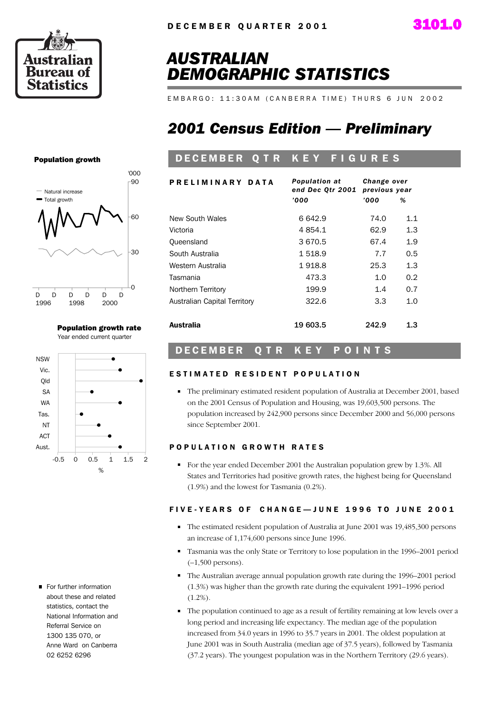

## *AUSTRALIAN DEMOGRAPHIC STATISTICS*

E M B A R G O : 11:30 A M ( C A N B E R R A T I M E ) T H U R S 6 J U N 2002

## *2001 Census Edition — Preliminary*

## DECEMBER Q T R K E Y F I G U R E S

| PRELIMINARY DATA             | <b>Population at</b><br>end Dec Otr 2001 | Change over<br>previous year |     |  |  |
|------------------------------|------------------------------------------|------------------------------|-----|--|--|
|                              | '000                                     | '000                         | %   |  |  |
| New South Wales              | 6642.9                                   | 74.0                         | 1.1 |  |  |
| Victoria                     | 4 854.1                                  | 62.9                         | 1.3 |  |  |
| Queensland                   | 3670.5                                   | 67.4                         | 1.9 |  |  |
| South Australia              | 1518.9                                   | 7.7                          | 0.5 |  |  |
| Western Australia            | 1918.8                                   | 25.3                         | 1.3 |  |  |
| Tasmania                     | 473.3                                    | 1.0                          | 0.2 |  |  |
| Northern Territory           | 199.9                                    | 1.4                          | 0.7 |  |  |
| Australian Capital Territory | 322.6                                    | 3.3                          | 1.0 |  |  |
| Australia                    | 19 603.5                                 | 242.9                        | 1.3 |  |  |

## DECEMBER Q TR KEY POINTS

### ESTIMATED RESIDENT POPULATION

The preliminary estimated resident population of Australia at December 2001, based on the 2001 Census of Population and Housing, was 19,603,500 persons. The population increased by 242,900 persons since December 2000 and 56,000 persons since September 2001.

### POPULATION GROWTH RATES

For the year ended December 2001 the Australian population grew by 1.3%. All States and Territories had positive growth rates, the highest being for Queensland (1.9%) and the lowest for Tasmania (0.2%).

### FIVE-YEARS OF CHANGE-JUNE 1996 TO JUNE 2001

- The estimated resident population of Australia at June 2001 was 19,485,300 persons an increase of 1,174,600 persons since June 1996.
- Tasmania was the only State or Territory to lose population in the 1996–2001 period  $(-1,500$  persons).
- The Australian average annual population growth rate during the 1996–2001 period (1.3%) was higher than the growth rate during the equivalent 1991–1996 period  $(1.2\%)$ .
- The population continued to age as a result of fertility remaining at low levels over a long period and increasing life expectancy. The median age of the population increased from 34.0 years in 1996 to 35.7 years in 2001. The oldest population at June 2001 was in South Australia (median age of 37.5 years), followed by Tasmania (37.2 years). The youngest population was in the Northern Territory (29.6 years).

Population growth



Population growth rate Year ended current quarter



For further information about these and related statistics, contact the National Information and Referral Service on 1300 135 070, or Anne Ward on Canberra 02 6252 6296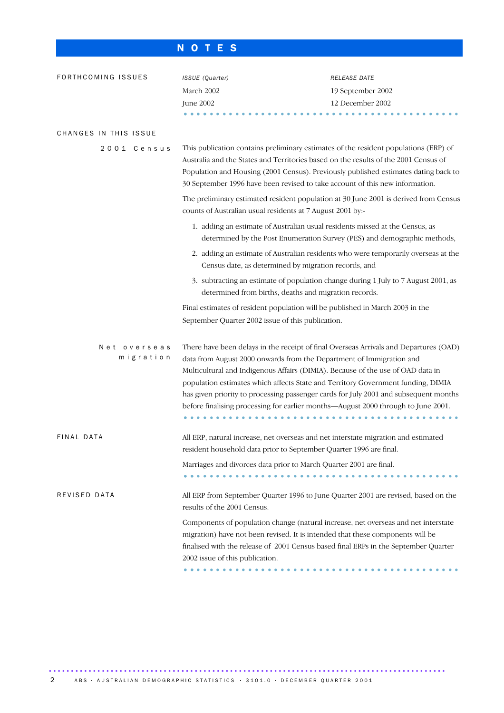## N O T E S

| FORTHCOMING ISSUES    |                           | ISSUE (Quarter)                                                                                                                                                                                                                                                                                                                                                                                                                                                                                                   | RELEASE DATE                                                             |  |  |  |  |
|-----------------------|---------------------------|-------------------------------------------------------------------------------------------------------------------------------------------------------------------------------------------------------------------------------------------------------------------------------------------------------------------------------------------------------------------------------------------------------------------------------------------------------------------------------------------------------------------|--------------------------------------------------------------------------|--|--|--|--|
|                       |                           | March 2002                                                                                                                                                                                                                                                                                                                                                                                                                                                                                                        | 19 September 2002                                                        |  |  |  |  |
|                       |                           | June 2002                                                                                                                                                                                                                                                                                                                                                                                                                                                                                                         | 12 December 2002                                                         |  |  |  |  |
|                       |                           |                                                                                                                                                                                                                                                                                                                                                                                                                                                                                                                   |                                                                          |  |  |  |  |
| CHANGES IN THIS ISSUE |                           |                                                                                                                                                                                                                                                                                                                                                                                                                                                                                                                   |                                                                          |  |  |  |  |
|                       | 2001 Census               | This publication contains preliminary estimates of the resident populations (ERP) of<br>Australia and the States and Territories based on the results of the 2001 Census of<br>Population and Housing (2001 Census). Previously published estimates dating back to<br>30 September 1996 have been revised to take account of this new information.                                                                                                                                                                |                                                                          |  |  |  |  |
|                       |                           | The preliminary estimated resident population at 30 June 2001 is derived from Census<br>counts of Australian usual residents at 7 August 2001 by:-                                                                                                                                                                                                                                                                                                                                                                |                                                                          |  |  |  |  |
|                       |                           | 1. adding an estimate of Australian usual residents missed at the Census, as                                                                                                                                                                                                                                                                                                                                                                                                                                      | determined by the Post Enumeration Survey (PES) and demographic methods, |  |  |  |  |
|                       |                           | 2. adding an estimate of Australian residents who were temporarily overseas at the<br>Census date, as determined by migration records, and                                                                                                                                                                                                                                                                                                                                                                        |                                                                          |  |  |  |  |
|                       |                           | 3. subtracting an estimate of population change during 1 July to 7 August 2001, as<br>determined from births, deaths and migration records.                                                                                                                                                                                                                                                                                                                                                                       |                                                                          |  |  |  |  |
|                       |                           | Final estimates of resident population will be published in March 2003 in the<br>September Quarter 2002 issue of this publication.                                                                                                                                                                                                                                                                                                                                                                                |                                                                          |  |  |  |  |
|                       | Net overseas<br>migration | There have been delays in the receipt of final Overseas Arrivals and Departures (OAD)<br>data from August 2000 onwards from the Department of Immigration and<br>Multicultural and Indigenous Affairs (DIMIA). Because of the use of OAD data in<br>population estimates which affects State and Territory Government funding, DIMIA<br>has given priority to processing passenger cards for July 2001 and subsequent months<br>before finalising processing for earlier months—August 2000 through to June 2001. |                                                                          |  |  |  |  |
| FINAL DATA            |                           | All ERP, natural increase, net overseas and net interstate migration and estimated<br>resident household data prior to September Quarter 1996 are final.                                                                                                                                                                                                                                                                                                                                                          |                                                                          |  |  |  |  |
|                       |                           | Marriages and divorces data prior to March Quarter 2001 are final.                                                                                                                                                                                                                                                                                                                                                                                                                                                |                                                                          |  |  |  |  |
| REVISED DATA          |                           | All ERP from September Quarter 1996 to June Quarter 2001 are revised, based on the<br>results of the 2001 Census.                                                                                                                                                                                                                                                                                                                                                                                                 |                                                                          |  |  |  |  |
|                       |                           | Components of population change (natural increase, net overseas and net interstate<br>migration) have not been revised. It is intended that these components will be<br>finalised with the release of 2001 Census based final ERPs in the September Quarter<br>2002 issue of this publication.                                                                                                                                                                                                                    |                                                                          |  |  |  |  |
|                       |                           |                                                                                                                                                                                                                                                                                                                                                                                                                                                                                                                   |                                                                          |  |  |  |  |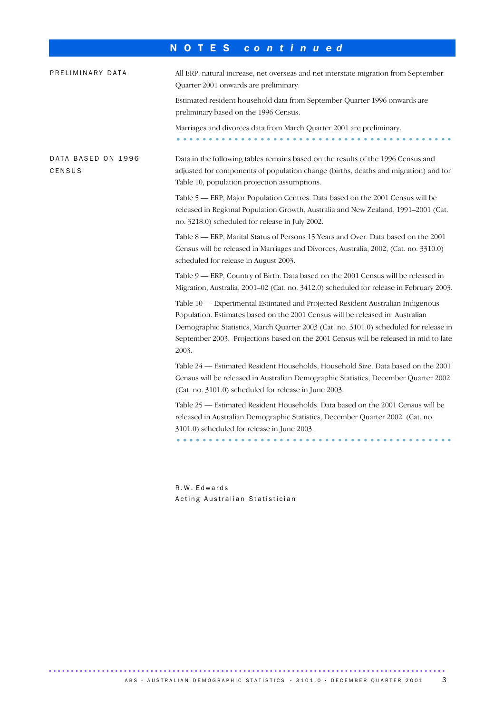## N O T E S *c o n t i n u e d*

| PRELIMINARY DATA             | All ERP, natural increase, net overseas and net interstate migration from September<br>Quarter 2001 onwards are preliminary.                                                                                                                                                                                                                              |
|------------------------------|-----------------------------------------------------------------------------------------------------------------------------------------------------------------------------------------------------------------------------------------------------------------------------------------------------------------------------------------------------------|
|                              | Estimated resident household data from September Quarter 1996 onwards are<br>preliminary based on the 1996 Census.                                                                                                                                                                                                                                        |
|                              | Marriages and divorces data from March Quarter 2001 are preliminary.                                                                                                                                                                                                                                                                                      |
| DATA BASED ON 1996<br>CENSUS | Data in the following tables remains based on the results of the 1996 Census and<br>adjusted for components of population change (births, deaths and migration) and for<br>Table 10, population projection assumptions.                                                                                                                                   |
|                              | Table 5 — ERP, Major Population Centres. Data based on the 2001 Census will be<br>released in Regional Population Growth, Australia and New Zealand, 1991-2001 (Cat.<br>no. 3218.0) scheduled for release in July 2002.                                                                                                                                   |
|                              | Table 8 — ERP, Marital Status of Persons 15 Years and Over. Data based on the 2001<br>Census will be released in Marriages and Divorces, Australia, 2002, (Cat. no. 3310.0)<br>scheduled for release in August 2003.                                                                                                                                      |
|                              | Table 9 - ERP, Country of Birth. Data based on the 2001 Census will be released in<br>Migration, Australia, 2001-02 (Cat. no. 3412.0) scheduled for release in February 2003.                                                                                                                                                                             |
|                              | Table 10 - Experimental Estimated and Projected Resident Australian Indigenous<br>Population. Estimates based on the 2001 Census will be released in Australian<br>Demographic Statistics, March Quarter 2003 (Cat. no. 3101.0) scheduled for release in<br>September 2003. Projections based on the 2001 Census will be released in mid to late<br>2003. |
|                              | Table 24 - Estimated Resident Households, Household Size. Data based on the 2001<br>Census will be released in Australian Demographic Statistics, December Quarter 2002<br>(Cat. no. 3101.0) scheduled for release in June 2003.                                                                                                                          |
|                              | Table 25 - Estimated Resident Households. Data based on the 2001 Census will be<br>released in Australian Demographic Statistics, December Quarter 2002 (Cat. no.<br>3101.0) scheduled for release in June 2003.                                                                                                                                          |
|                              | .                                                                                                                                                                                                                                                                                                                                                         |

R . W . E d w a r d s Acting Australian Statistician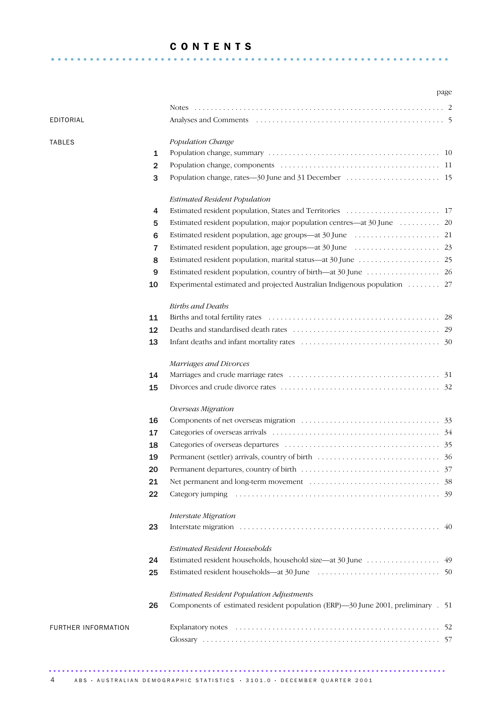## C O N T E N T S .............................................................. .

|                     |                |                                                                                  | page |
|---------------------|----------------|----------------------------------------------------------------------------------|------|
|                     |                |                                                                                  |      |
| EDITORIAL           |                |                                                                                  |      |
|                     |                |                                                                                  |      |
| <b>TABLES</b>       |                | Population Change                                                                |      |
|                     | 1              |                                                                                  |      |
|                     | $\overline{2}$ |                                                                                  |      |
|                     | 3              |                                                                                  |      |
|                     |                | <b>Estimated Resident Population</b>                                             |      |
|                     | 4              |                                                                                  |      |
|                     | 5              | Estimated resident population, major population centres—at 30 June 20            |      |
|                     | 6              |                                                                                  |      |
|                     | 7              |                                                                                  |      |
|                     | 8              |                                                                                  |      |
|                     | 9              |                                                                                  |      |
|                     | 10             | Experimental estimated and projected Australian Indigenous population  27        |      |
|                     |                | <b>Births and Deaths</b>                                                         |      |
|                     | 11             |                                                                                  |      |
|                     | 12             |                                                                                  |      |
|                     | 13             |                                                                                  |      |
|                     |                | Marriages and Divorces                                                           |      |
|                     | 14             |                                                                                  |      |
|                     | 15             |                                                                                  |      |
|                     |                | Overseas Migration                                                               |      |
|                     | 16             |                                                                                  |      |
|                     | 17             |                                                                                  |      |
|                     | 18             |                                                                                  |      |
|                     | 19             |                                                                                  |      |
|                     | 20             |                                                                                  |      |
|                     | 21             |                                                                                  |      |
|                     | 22             |                                                                                  |      |
|                     |                | Interstate Migration                                                             |      |
|                     | 23             |                                                                                  |      |
|                     |                | <b>Estimated Resident Households</b>                                             |      |
|                     | 24             |                                                                                  |      |
|                     | 25             |                                                                                  |      |
|                     |                | Estimated Resident Population Adjustments                                        |      |
|                     | 26             | Components of estimated resident population (ERP)-30 June 2001, preliminary . 51 |      |
| FURTHER INFORMATION |                |                                                                                  |      |
|                     |                |                                                                                  |      |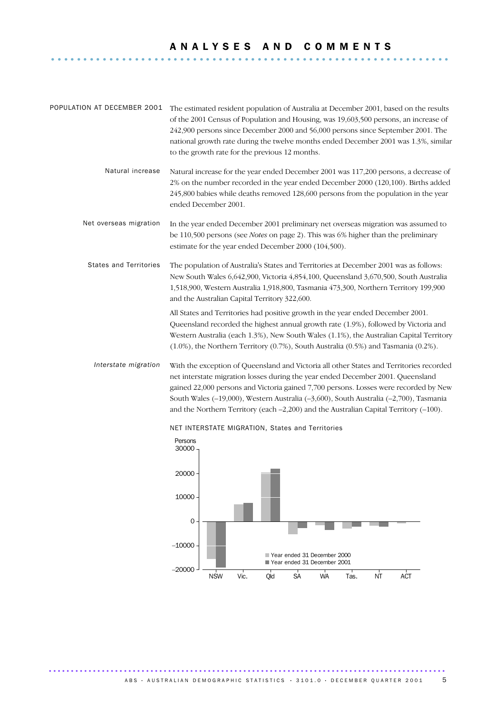# A N A L Y S E S A N D C O M M E N T S ..............................................................

| POPULATION AT DECEMBER 2001   | The estimated resident population of Australia at December 2001, based on the results<br>of the 2001 Census of Population and Housing, was 19,603,500 persons, an increase of<br>242,900 persons since December 2000 and 56,000 persons since September 2001. The<br>national growth rate during the twelve months ended December 2001 was 1.3%, similar<br>to the growth rate for the previous 12 months.                                                 |
|-------------------------------|------------------------------------------------------------------------------------------------------------------------------------------------------------------------------------------------------------------------------------------------------------------------------------------------------------------------------------------------------------------------------------------------------------------------------------------------------------|
| Natural increase              | Natural increase for the year ended December 2001 was 117,200 persons, a decrease of<br>2% on the number recorded in the year ended December 2000 (120,100). Births added<br>245,800 babies while deaths removed 128,600 persons from the population in the year<br>ended December 2001.                                                                                                                                                                   |
| Net overseas migration        | In the year ended December 2001 preliminary net overseas migration was assumed to<br>be 110,500 persons (see <i>Notes</i> on page 2). This was 6% higher than the preliminary<br>estimate for the year ended December 2000 (104,500).                                                                                                                                                                                                                      |
| <b>States and Territories</b> | The population of Australia's States and Territories at December 2001 was as follows:<br>New South Wales 6,642,900, Victoria 4,854,100, Queensland 3,670,500, South Australia<br>1,518,900, Western Australia 1,918,800, Tasmania 473,300, Northern Territory 199,900<br>and the Australian Capital Territory 322,600.                                                                                                                                     |
|                               | All States and Territories had positive growth in the year ended December 2001.<br>Queensland recorded the highest annual growth rate (1.9%), followed by Victoria and<br>Western Australia (each 1.3%), New South Wales (1.1%), the Australian Capital Territory<br>$(1.0\%)$ , the Northern Territory $(0.7\%)$ , South Australia $(0.5\%)$ and Tasmania $(0.2\%)$ .                                                                                     |
| Interstate migration          | With the exception of Queensland and Victoria all other States and Territories recorded<br>net interstate migration losses during the year ended December 2001. Queensland<br>gained 22,000 persons and Victoria gained 7,700 persons. Losses were recorded by New<br>South Wales (-19,000), Western Australia (-3,600), South Australia (-2,700), Tasmania<br>and the Northern Territory (each $-2,200$ ) and the Australian Capital Territory $(-100)$ . |



NET INTERSTATE MIGRATION, States and Territories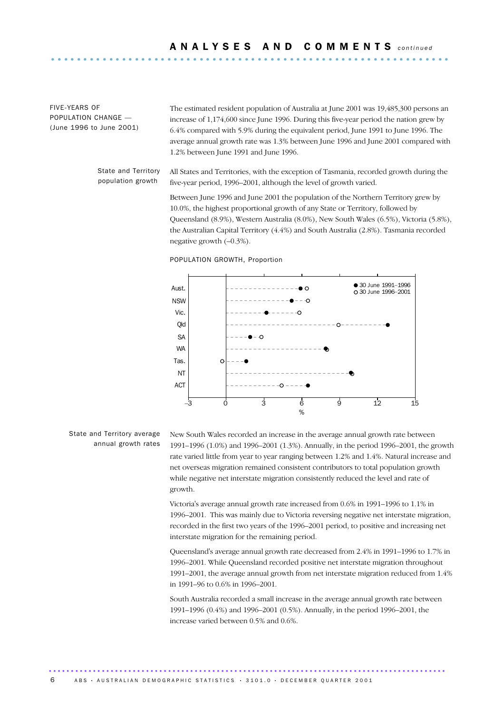FIVE-YEARS OF POPULATION CHANGE — (June 1996 to June 2001)

The estimated resident population of Australia at June 2001 was 19,485,300 persons an increase of 1,174,600 since June 1996. During this five-year period the nation grew by 6.4% compared with 5.9% during the equivalent period, June 1991 to June 1996. The average annual growth rate was 1.3% between June 1996 and June 2001 compared with 1.2% between June 1991 and June 1996.

State and Territory population growth

All States and Territories, with the exception of Tasmania, recorded growth during the five-year period, 1996–2001, although the level of growth varied.

Between June 1996 and June 2001 the population of the Northern Territory grew by 10.0%, the highest proportional growth of any State or Territory, followed by Queensland (8.9%), Western Australia (8.0%), New South Wales (6.5%), Victoria (5.8%), the Australian Capital Territory (4.4%) and South Australia (2.8%). Tasmania recorded negative growth (–0.3%).





State and Territory average annual growth rates New South Wales recorded an increase in the average annual growth rate between 1991–1996 (1.0%) and 1996–2001 (1.3%). Annually, in the period 1996–2001, the growth rate varied little from year to year ranging between 1.2% and 1.4%. Natural increase and net overseas migration remained consistent contributors to total population growth while negative net interstate migration consistently reduced the level and rate of growth.

Victoria's average annual growth rate increased from 0.6% in 1991–1996 to 1.1% in 1996–2001. This was mainly due to Victoria reversing negative net interstate migration, recorded in the first two years of the 1996–2001 period, to positive and increasing net interstate migration for the remaining period.

Queensland's average annual growth rate decreased from 2.4% in 1991–1996 to 1.7% in 1996–2001. While Queensland recorded positive net interstate migration throughout 1991–2001, the average annual growth from net interstate migration reduced from 1.4% in 1991–96 to 0.6% in 1996–2001.

South Australia recorded a small increase in the average annual growth rate between 1991–1996 (0.4%) and 1996–2001 (0.5%). Annually, in the period 1996–2001, the increase varied between 0.5% and 0.6%.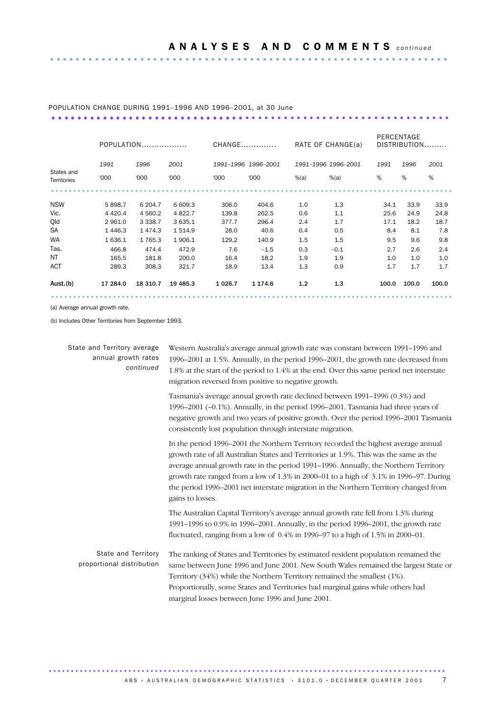### POPULATION CHANGE DURING 1991–1996 AND 1996–2001, at 30 June .............................................................. ..............................

|                           | POPULATION |             |           | CHANGE   |                     | RATE OF CHANGE(a) |                     | PERCENTAGE<br>DISTRIBUTION |       |       |
|---------------------------|------------|-------------|-----------|----------|---------------------|-------------------|---------------------|----------------------------|-------|-------|
|                           | 1991       | 1996        | 2001      |          | 1991-1996 1996-2001 |                   | 1991-1996 1996-2001 | 1991                       | 1996  | 2001  |
| States and<br>Territories | '000       | '000        | '000      | '000     | '000                | $%$ $(a)$         | $%$ $(a)$           | %                          | %     | %     |
|                           |            |             |           |          |                     |                   |                     |                            |       |       |
| <b>NSW</b>                | 5898.7     | 6 204.7     | 6 609.3   | 306.0    | 404.6               | 1.0               | 1.3                 | 34.1                       | 33.9  | 33.9  |
| Vic.                      | 4 4 2 0.4  | 4 5 6 0.2   | 4 8 2 2.7 | 139.8    | 262.5               | 0.6               | 1.1                 | 25.6                       | 24.9  | 24.8  |
| Qld                       | 2 9 6 1.0  | 3 3 3 8.7   | 3 635.1   | 377.7    | 296.4               | 2.4               | 1.7                 | 17.1                       | 18.2  | 18.7  |
| <b>SA</b>                 | 1446.3     | 1474.3      | 1514.9    | 28.0     | 40.6                | 0.4               | 0.5                 | 8.4                        | 8.1   | 7.8   |
| <b>WA</b>                 | 1636.1     | 1 7 6 5 . 3 | 1906.1    | 129.2    | 140.9               | 1.5               | 1.5                 | 9.5                        | 9.6   | 9.8   |
| Tas.                      | 466.8      | 474.4       | 472.9     | 7.6      | $-1.5$              | 0.3               | $-0.1$              | 2.7                        | 2.6   | 2.4   |
| NT.                       | 165.5      | 181.8       | 200.0     | 16.4     | 18.2                | 1.9               | 1.9                 | 1.0                        | 1.0   | 1.0   |
| <b>ACT</b>                | 289.3      | 308.3       | 321.7     | 18.9     | 13.4                | 1.3               | 0.9                 | 1.7                        | 1.7   | 1.7   |
| Aust.(b)                  | 17 284.0   | 18 310.7    | 19 4 85.3 | 1 0 26.7 | 1 1 7 4 . 6         | 1.2               | 1.3                 | 100.0                      | 100.0 | 100.0 |
|                           |            |             |           |          |                     |                   |                     |                            |       |       |

(a) Average annual growth rate.

(b) Includes Other Territories from September 1993.

| State and Territory average<br>annual growth rates<br>continued | Western Australia's average annual growth rate was constant between 1991-1996 and<br>1996–2001 at 1.5%. Annually, in the period 1996–2001, the growth rate decreased from<br>1.8% at the start of the period to 1.4% at the end. Over this same period net interstate<br>migration reversed from positive to negative growth.                                                                                                                                             |  |  |  |
|-----------------------------------------------------------------|---------------------------------------------------------------------------------------------------------------------------------------------------------------------------------------------------------------------------------------------------------------------------------------------------------------------------------------------------------------------------------------------------------------------------------------------------------------------------|--|--|--|
|                                                                 | Tasmania's average annual growth rate declined between 1991-1996 (0.3%) and<br>1996–2001 $(-0.1\%)$ . Annually, in the period 1996–2001, Tasmania had three years of<br>negative growth and two years of positive growth. Over the period 1996-2001 Tasmania<br>consistently lost population through interstate migration.                                                                                                                                                |  |  |  |
|                                                                 | In the period 1996–2001 the Northern Territory recorded the highest average annual<br>growth rate of all Australian States and Territories at 1.9%. This was the same as the<br>average annual growth rate in the period 1991-1996. Annually, the Northern Territory<br>growth rate ranged from a low of 1.3% in 2000–01 to a high of 3.1% in 1996–97. During<br>the period 1996–2001 net interstate migration in the Northern Territory changed from<br>gains to losses. |  |  |  |
|                                                                 | The Australian Capital Territory's average annual growth rate fell from 1.3% during<br>1991-1996 to 0.9% in 1996-2001. Annually, in the period 1996-2001, the growth rate<br>fluctuated, ranging from a low of 0.4% in 1996–97 to a high of 1.5% in 2000–01.                                                                                                                                                                                                              |  |  |  |
| <b>State and Territory</b><br>proportional distribution         | The ranking of States and Territories by estimated resident population remained the<br>same between June 1996 and June 2001. New South Wales remained the largest State or<br>Territory (34%) while the Northern Territory remained the smallest (1%).<br>Proportionally, some States and Territories had marginal gains while others had<br>marginal losses between June 1996 and June 2001.                                                                             |  |  |  |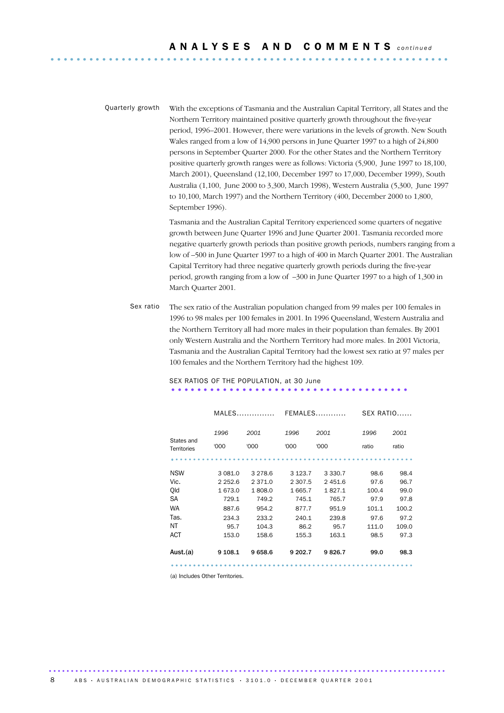Quarterly growth With the exceptions of Tasmania and the Australian Capital Territory, all States and the Northern Territory maintained positive quarterly growth throughout the five-year period, 1996–2001. However, there were variations in the levels of growth. New South Wales ranged from a low of 14,900 persons in June Quarter 1997 to a high of 24,800 persons in September Quarter 2000. For the other States and the Northern Territory positive quarterly growth ranges were as follows: Victoria (5,900, June 1997 to 18,100, March 2001), Queensland (12,100, December 1997 to 17,000, December 1999), South Australia (1,100, June 2000 to 3,300, March 1998), Western Australia (5,300, June 1997 to 10,100, March 1997) and the Northern Territory (400, December 2000 to 1,800, September 1996).

> Tasmania and the Australian Capital Territory experienced some quarters of negative growth between June Quarter 1996 and June Quarter 2001. Tasmania recorded more negative quarterly growth periods than positive growth periods, numbers ranging from a low of –500 in June Quarter 1997 to a high of 400 in March Quarter 2001. The Australian Capital Territory had three negative quarterly growth periods during the five-year period, growth ranging from a low of –300 in June Quarter 1997 to a high of 1,300 in March Quarter 2001.

Sex ratio The sex ratio of the Australian population changed from 99 males per 100 females in 1996 to 98 males per 100 females in 2001. In 1996 Queensland, Western Australia and the Northern Territory all had more males in their population than females. By 2001 only Western Australia and the Northern Territory had more males. In 2001 Victoria, Tasmania and the Australian Capital Territory had the lowest sex ratio at 97 males per 100 females and the Northern Territory had the highest 109.

| MALES        |              |              |              |               | SEX RATIO     |  |  |
|--------------|--------------|--------------|--------------|---------------|---------------|--|--|
| 1996<br>'000 | 2001<br>'000 | 1996<br>'000 | 2001<br>'000 | 1996<br>ratio | 2001<br>ratio |  |  |
|              |              |              |              |               |               |  |  |
| 3 081.0      | 3 2 7 8 . 6  | 3 1 2 3 . 7  | 3 3 3 0.7    | 98.6          | 98.4          |  |  |
| 2 2 5 2 . 6  | 2 371.0      | 2 3 0 7.5    | 2451.6       | 97.6          | 96.7          |  |  |
| 1 673.0      | 1808.0       | 1665.7       | 1827.1       | 100.4         | 99.0          |  |  |
| 729.1        | 749.2        | 745.1        | 765.7        | 97.9          | 97.8          |  |  |
| 887.6        | 954.2        | 877.7        | 951.9        | 101.1         | 100.2         |  |  |
| 234.3        | 233.2        | 240.1        | 239.8        | 97.6          | 97.2          |  |  |
| 95.7         | 104.3        | 86.2         | 95.7         | 111.0         | 109.0         |  |  |
| 153.0        | 158.6        | 155.3        | 163.1        | 98.5          | 97.3          |  |  |
| 9 108.1      | 9658.6       | 9 202.7      | 9826.7       | 99.0          | 98.3          |  |  |
|              |              |              |              | $FEMALES$     |               |  |  |

# SEX RATIOS OF THE POPULATION, at 30 June .....................................

(a) Includes Other Territories.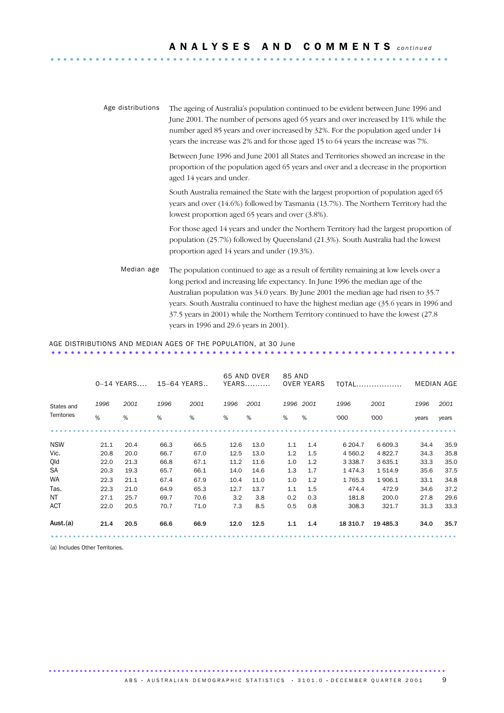| Age distributions | The ageing of Australia's population continued to be evident between June 1996 and<br>June 2001. The number of persons aged 65 years and over increased by 11% while the<br>number aged 85 years and over increased by 32%. For the population aged under 14<br>years the increase was 2% and for those aged 15 to 64 years the increase was 7%.                                                                                                                                             |
|-------------------|----------------------------------------------------------------------------------------------------------------------------------------------------------------------------------------------------------------------------------------------------------------------------------------------------------------------------------------------------------------------------------------------------------------------------------------------------------------------------------------------|
|                   | Between June 1996 and June 2001 all States and Territories showed an increase in the<br>proportion of the population aged 65 years and over and a decrease in the proportion<br>aged 14 years and under.                                                                                                                                                                                                                                                                                     |
|                   | South Australia remained the State with the largest proportion of population aged 65<br>years and over (14.6%) followed by Tasmania (13.7%). The Northern Territory had the<br>lowest proportion aged 65 years and over (3.8%).                                                                                                                                                                                                                                                              |
|                   | For those aged 14 years and under the Northern Territory had the largest proportion of<br>population (25.7%) followed by Queensland (21.3%). South Australia had the lowest<br>proportion aged 14 years and under (19.3%).                                                                                                                                                                                                                                                                   |
| Median age        | The population continued to age as a result of fertility remaining at low levels over a<br>long period and increasing life expectancy. In June 1996 the median age of the<br>Australian population was 34.0 years. By June 2001 the median age had risen to 35.7<br>years. South Australia continued to have the highest median age (35.6 years in 1996 and<br>37.5 years in 2001) while the Northern Territory continued to have the lowest (27.8<br>years in 1996 and 29.6 years in 2001). |

### AGE DISTRIBUTIONS AND MEDIAN AGES OF THE POPULATION, at 30 June ...............................................................

|             |      | $0-14$ YEARS | 15-64 YEARS |      |      | 65 AND OVER<br><b>YEARS</b> | 85 AND | <b>OVER YEARS</b> |             | <b>TOTAL</b> | <b>MEDIAN AGE</b> |       |
|-------------|------|--------------|-------------|------|------|-----------------------------|--------|-------------------|-------------|--------------|-------------------|-------|
| States and  | 1996 | 2001         | 1996        | 2001 | 1996 | 2001                        |        | 1996 2001         | 1996        | 2001         | 1996              | 2001  |
| Territories | %    | %            | %           | %    | %    | %                           | %      | %                 | '000        | '000         | years             | years |
|             |      |              |             |      |      |                             |        |                   |             |              |                   |       |
| <b>NSW</b>  | 21.1 | 20.4         | 66.3        | 66.5 | 12.6 | 13.0                        | 1.1    | 1.4               | 6 204.7     | 6 609.3      | 34.4              | 35.9  |
| Vic.        | 20.8 | 20.0         | 66.7        | 67.0 | 12.5 | 13.0                        | 1.2    | 1.5               | 4 5 6 0.2   | 4 8 22.7     | 34.3              | 35.8  |
| Qld         | 22.0 | 21.3         | 66.8        | 67.1 | 11.2 | 11.6                        | 1.0    | 1.2               | 3 3 3 8 . 7 | 3 635.1      | 33.3              | 35.0  |
| <b>SA</b>   | 20.3 | 19.3         | 65.7        | 66.1 | 14.0 | 14.6                        | 1.3    | 1.7               | 1474.3      | 1 5 1 4.9    | 35.6              | 37.5  |
| <b>WA</b>   | 22.3 | 21.1         | 67.4        | 67.9 | 10.4 | 11.0                        | 1.0    | 1.2               | 1765.3      | 1906.1       | 33.1              | 34.8  |
| Tas.        | 22.3 | 21.0         | 64.9        | 65.3 | 12.7 | 13.7                        | 1.1    | 1.5               | 474.4       | 472.9        | 34.6              | 37.2  |
| NT          | 27.1 | 25.7         | 69.7        | 70.6 | 3.2  | 3.8                         | 0.2    | 0.3               | 181.8       | 200.0        | 27.8              | 29.6  |
| <b>ACT</b>  | 22.0 | 20.5         | 70.7        | 71.0 | 7.3  | 8.5                         | 0.5    | 0.8               | 308.3       | 321.7        | 31.3              | 33.3  |
| Aust (a)    | 21.4 | 20.5         | 66.6        | 66.9 | 12.0 | 12.5                        | 1.1    | 1.4               | 18 310.7    | 19 4 85.3    | 34.0              | 35.7  |
|             |      |              |             |      |      |                             |        |                   |             |              |                   |       |

(a) Includes Other Territories.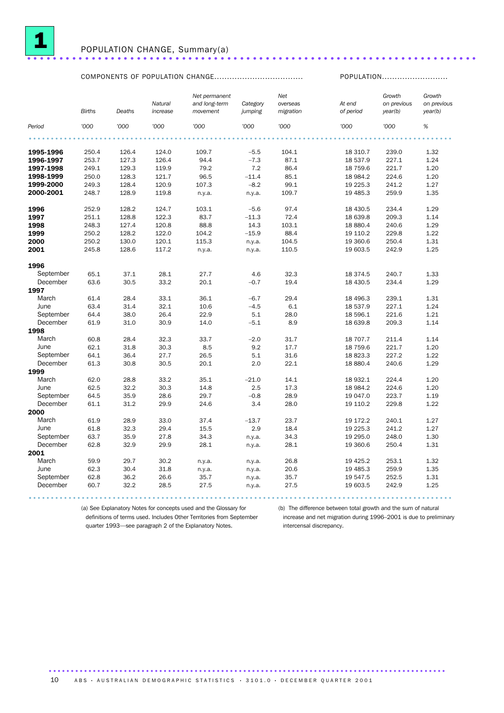

## POPULATION CHANGE, Summary(a) ......................................................................

## COMPONENTS OF POPULATION CHANGE................................... POPULATION..........................

|           | <b>Births</b> | Deaths | Natural<br>increase | Net permanent<br>and long-term<br>movement | Category<br>jumping | Net<br>overseas<br>migration | At end<br>of period | Growth<br>on previous<br>year(b) | Growth<br>on previous<br>year(b) |
|-----------|---------------|--------|---------------------|--------------------------------------------|---------------------|------------------------------|---------------------|----------------------------------|----------------------------------|
| Period    | '000          | '000   | '000                | '000                                       | '000                | '000                         | '000                | '000                             | $\%$                             |
|           |               |        |                     |                                            |                     |                              |                     |                                  |                                  |
| 1995-1996 | 250.4         | 126.4  | 124.0               | 109.7                                      | $-5.5$              | 104.1                        | 18 310.7            | 239.0                            | 1.32                             |
| 1996-1997 | 253.7         | 127.3  | 126.4               | 94.4                                       | $-7.3$              | 87.1                         | 18 537.9            | 227.1                            | 1.24                             |
| 1997-1998 | 249.1         | 129.3  | 119.9               | 79.2                                       | 7.2                 | 86.4                         | 18 759.6            | 221.7                            | 1.20                             |
| 1998-1999 | 250.0         | 128.3  | 121.7               | 96.5                                       | $-11.4$             | 85.1                         | 18 984.2            | 224.6                            | 1.20                             |
| 1999-2000 | 249.3         | 128.4  | 120.9               | 107.3                                      | $-8.2$              | 99.1                         | 19 225.3            | 241.2                            | 1.27                             |
| 2000-2001 | 248.7         | 128.9  | 119.8               | n.y.a.                                     | n.y.a.              | 109.7                        | 19 485.3            | 259.9                            | 1.35                             |
| 1996      | 252.9         | 128.2  | 124.7               | 103.1                                      | $-5.6$              | 97.4                         | 18 430.5            | 234.4                            | 1.29                             |
| 1997      | 251.1         | 128.8  | 122.3               | 83.7                                       | $-11.3$             | 72.4                         | 18 639.8            | 209.3                            | 1.14                             |
| 1998      | 248.3         | 127.4  | 120.8               | 88.8                                       | 14.3                | 103.1                        | 18 880.4            | 240.6                            | 1.29                             |
| 1999      | 250.2         | 128.2  | 122.0               | 104.2                                      | $-15.9$             | 88.4                         | 19 110.2            | 229.8                            | 1.22                             |
| 2000      | 250.2         | 130.0  | 120.1               | 115.3                                      | n.y.a.              | 104.5                        | 19 360.6            | 250.4                            | 1.31                             |
| 2001      | 245.8         | 128.6  | 117.2               | n.y.a.                                     | n.y.a.              | 110.5                        | 19 603.5            | 242.9                            | 1.25                             |
| 1996      |               |        |                     |                                            |                     |                              |                     |                                  |                                  |
| September | 65.1          | 37.1   | 28.1                | 27.7                                       | 4.6                 | 32.3                         | 18 374.5            | 240.7                            | 1.33                             |
| December  | 63.6          | 30.5   | 33.2                | 20.1                                       | $-0.7$              | 19.4                         | 18 430.5            | 234.4                            | 1.29                             |
| 1997      |               |        |                     |                                            |                     |                              |                     |                                  |                                  |
| March     | 61.4          | 28.4   | 33.1                | 36.1                                       | $-6.7$              | 29.4                         | 18 49 6.3           | 239.1                            | 1.31                             |
| June      | 63.4          | 31.4   | 32.1                | 10.6                                       | $-4.5$              | 6.1                          | 18 537.9            | 227.1                            | 1.24                             |
| September | 64.4          | 38.0   | 26.4                | 22.9                                       | 5.1                 | 28.0                         | 18 596.1            | 221.6                            | 1.21                             |
| December  | 61.9          | 31.0   | 30.9                | 14.0                                       | $-5.1$              | 8.9                          | 18 639.8            | 209.3                            | 1.14                             |
| 1998      |               |        |                     |                                            |                     |                              |                     |                                  |                                  |
| March     | 60.8          | 28.4   | 32.3                | 33.7                                       | $-2.0$              | 31.7                         | 18 707.7            | 211.4                            | 1.14                             |
| June      | 62.1          | 31.8   | 30.3                | 8.5                                        | 9.2                 | 17.7                         | 18 759.6            | 221.7                            | 1.20                             |
| September | 64.1          | 36.4   | 27.7                | 26.5                                       | 5.1                 | 31.6                         | 18 823.3            | 227.2                            | 1.22                             |
| December  | 61.3          | 30.8   | 30.5                | 20.1                                       | 2.0                 | 22.1                         | 18 880.4            | 240.6                            | 1.29                             |
| 1999      |               |        |                     |                                            |                     |                              |                     |                                  |                                  |
| March     | 62.0          | 28.8   | 33.2                | 35.1                                       | $-21.0$             | 14.1                         | 18 932.1            | 224.4                            | 1.20                             |
| June      | 62.5          | 32.2   | 30.3                | 14.8                                       | 2.5                 | 17.3                         | 18 984.2            | 224.6                            | 1.20                             |
| September | 64.5          | 35.9   | 28.6                | 29.7                                       | $-0.8$              | 28.9                         | 19 047.0            | 223.7                            | 1.19                             |
| December  | 61.1          | 31.2   | 29.9                | 24.6                                       | 3.4                 | 28.0                         | 19 110.2            | 229.8                            | 1.22                             |
| 2000      |               |        |                     |                                            |                     |                              |                     |                                  |                                  |
| March     | 61.9          | 28.9   | 33.0                | 37.4                                       | $-13.7$             | 23.7                         | 19 172.2            | 240.1                            | 1.27                             |
| June      | 61.8          | 32.3   | 29.4                | 15.5                                       | 2.9                 | 18.4                         | 19 225.3            | 241.2                            | 1.27                             |
| September | 63.7          | 35.9   | 27.8                | 34.3                                       | n.y.a.              | 34.3                         | 19 295.0            | 248.0                            | 1.30                             |
| December  | 62.8          | 32.9   | 29.9                | 28.1                                       | n.y.a.              | 28.1                         | 19 360.6            | 250.4                            | 1.31                             |
| 2001      |               |        |                     |                                            |                     |                              |                     |                                  |                                  |
| March     | 59.9          | 29.7   | 30.2                | n.y.a.                                     | n.y.a.              | 26.8                         | 19 4 25.2           | 253.1                            | 1.32                             |
| June      | 62.3          | 30.4   | 31.8                | n.y.a.                                     | n.y.a.              | 20.6                         | 19 485.3            | 259.9                            | 1.35                             |
| September | 62.8          | 36.2   | 26.6                | 35.7                                       | n.y.a.              | 35.7                         | 19 547.5            | 252.5                            | 1.31                             |
| December  | 60.7          | 32.2   | 28.5                | 27.5                                       | n.y.a.              | 27.5                         | 19 603.5            | 242.9                            | 1.25                             |

(a) See Explanatory Notes for concepts used and the Glossary for definitions of terms used. Includes Other Territories from September quarter 1993—see paragraph 2 of the Explanatory Notes.

................................................................................................ .

(b) The difference between total growth and the sum of natural increase and net migration during 1996–2001 is due to preliminary intercensal discrepancy.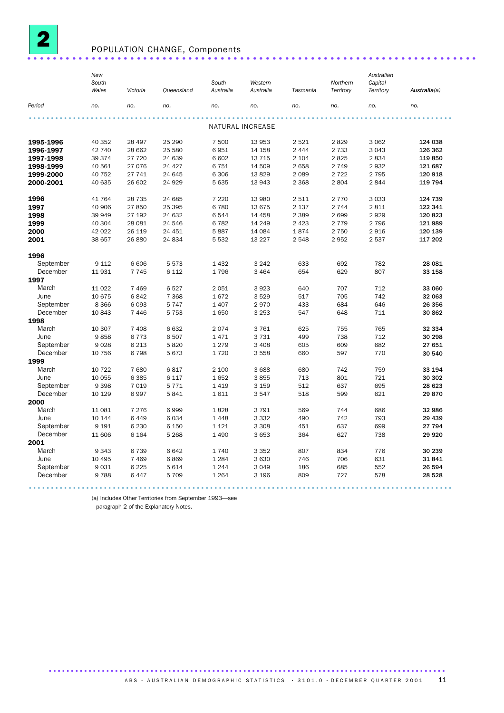

## POPULATION CHANGE, Components ......................................................................

|                   | New<br>South<br>Wales | Victoria           | Queensland      | South<br>Australia | Western<br>Australia | Tasmania | Northern<br>Territory | Australian<br>Capital<br>Territory | Australia(a) |
|-------------------|-----------------------|--------------------|-----------------|--------------------|----------------------|----------|-----------------------|------------------------------------|--------------|
| Period            | no.                   | no.                | no.             | no.                | no.                  | no.      | no.                   | no.                                | no.          |
|                   |                       |                    |                 |                    | NATURAL INCREASE     |          |                       |                                    |              |
|                   |                       |                    |                 |                    |                      |          |                       |                                    |              |
| 1995-1996         | 40 352                | 28 497             | 25 290          | 7 500              | 13 953               | 2 5 2 1  | 2829                  | 3 0 6 2                            | 124 038      |
| 1996-1997         | 42 740                | 28 662             | 25 580          | 6951               | 14 158               | 2 4 4 4  | 2 7 3 3               | 3 0 4 3                            | 126 362      |
| 1997-1998         | 39 374                | 27 720             | 24 639          | 6 602              | 13 7 15              | 2 1 0 4  | 2825                  | 2834                               | 119850       |
| 1998-1999         | 40 561                | 27 076             | 24 4 27         | 6751               | 14 509               | 2 6 5 8  | 2 7 4 9               | 2932                               | 121 687      |
| 1999-2000         | 40 752                | 27 741             | 24 645          | 6 3 0 6            | 13829                | 2 0 8 9  | 2 7 2 2               | 2 7 9 5                            | 120 918      |
| 2000-2001         | 40 635                | 26 602             | 24 9 29         | 5 6 3 5            | 13 943               | 2 3 6 8  | 2804                  | 2844                               | 119 794      |
| 1996              | 41 764                | 28 7 35            | 24 685          | 7 2 2 0            | 13 980               | 2 5 1 1  | 2 7 7 0               | 3 0 3 3                            | 124 739      |
| 1997              | 40 906                | 27850              | 25 395          | 6780               | 13675                | 2 1 3 7  | 2 7 4 4               | 2811                               | 122 341      |
| 1998              | 39 949                | 27 192             | 24 632          | 6544               | 14 4 58              | 2 3 8 9  | 2699                  | 2929                               | 120 823      |
| 1999              | 40 304                | 28 081             | 24 546          | 6782               | 14 249               | 2 4 2 3  | 2 7 7 9               | 2 7 9 6                            | 121 989      |
| 2000              | 42 0 22               | 26 119             | 24 451          | 5887               | 14 084               | 1874     | 2 7 5 0               | 2916                               | 120 139      |
| 2001              | 38 657                | 26 880             | 24 834          | 5 5 3 2            | 13 2 27              | 2548     | 2952                  | 2 5 3 7                            | 117 202      |
| 1996              |                       |                    |                 |                    |                      |          |                       |                                    |              |
| September         | 9 1 1 2               | 6 6 0 6            | 5573            | 1 4 3 2            | 3 2 4 2              | 633      | 692                   | 782                                | 28 081       |
| December          | 11931                 | 7 7 4 5            | 6 1 1 2         | 1796               | 3 4 6 4              | 654      | 629                   | 807                                | 33 158       |
| 1997              |                       |                    |                 |                    |                      |          |                       |                                    |              |
| March             | 11 0 22               | 7 4 6 9            | 6527            | 2 0 5 1            | 3923                 | 640      | 707                   | 712                                | 33 060       |
| June              | 10 675                | 6842               | 7 3 6 8         | 1672               | 3529                 | 517      | 705                   | 742                                | 32 063       |
| September         | 8 3 6 6               | 6093               | 5747            | 1 4 0 7            | 2970                 | 433      | 684                   | 646                                | 26 356       |
| December          | 10843                 | 7 4 4 6            | 5 7 5 3         | 1650               | 3 2 5 3              | 547      | 648                   | 711                                | 30 862       |
| 1998              |                       |                    |                 |                    |                      |          |                       |                                    |              |
| March             | 10 307                | 7 4 0 8            | 6632            | 2074               | 3761                 | 625      | 755                   | 765                                | 32 334       |
| June              | 9858                  | 6773               | 6507            | 1471               | 3731                 | 499      | 738                   | 712                                | 30 298       |
| September         | 9028                  | 6 2 1 3            | 5820            | 1 2 7 9            | 3 4 0 8              | 605      | 609                   | 682                                | 27 651       |
| December          | 10 756                | 6798               | 5673            | 1720               | 3 5 5 8              | 660      | 597                   | 770                                | 30 540       |
| 1999              |                       |                    |                 |                    |                      |          |                       |                                    |              |
| March             | 10 722                | 7680               | 6817            | 2 100              | 3688                 | 680      | 742                   | 759                                | 33 194       |
| June              | 10 055                | 6 3 8 5            | 6 1 1 7         | 1652               | 3855                 | 713      | 801                   | 721                                | 30 30 2      |
| September         | 9 3 9 8               | 7 0 1 9            | 5 7 7 1         | 1419               | 3 1 5 9              | 512      | 637                   | 695                                | 28 623       |
| December          | 10 129                | 6997               | 5841            | 1611               | 3547                 | 518      | 599                   | 621                                | 29870        |
| 2000              |                       |                    |                 |                    |                      |          |                       |                                    |              |
| March             | 11 081                | 7 2 7 6            | 6999            | 1828               | 3791                 | 569      | 744                   | 686                                | 32 986       |
| June              | 10 144                | 6449               | 6034            | 1448               | 3 3 3 2              | 490      | 742                   | 793                                | 29 439       |
| September         | 9 1 9 1               | 6 2 3 0            | 6 1 5 0         | 1 1 2 1            | 3 3 0 8              | 451      | 637                   | 699                                | 27 794       |
| December          | 11 606                | 6 1 6 4            | 5 2 6 8         | 1 4 9 0            | 3 653                | 364      | 627                   | 738                                | 29 9 20      |
| 2001<br>March     |                       |                    |                 |                    |                      |          |                       |                                    |              |
|                   | 9 3 4 3               | 6739               | 6642            | 1740               | 3 3 5 2              | 807      | 834                   | 776                                | 30 239       |
| June<br>September | 10 4 95               | 7 4 6 9            | 6869            | 1 2 8 4            | 3630                 | 746      | 706                   | 631                                | 31841        |
| December          | 9031                  | 6 2 2 5<br>6 4 4 7 | 5614<br>5 7 0 9 | 1 2 4 4<br>1 2 6 4 | 3 0 4 9              | 186      | 685<br>727            | 552                                | 26 594       |
|                   | 9788                  |                    |                 |                    | 3 1 9 6              | 809      |                       | 578                                | 28 5 28      |

(a) Includes Other Territories from September 1993—see

paragraph 2 of the Explanatory Notes.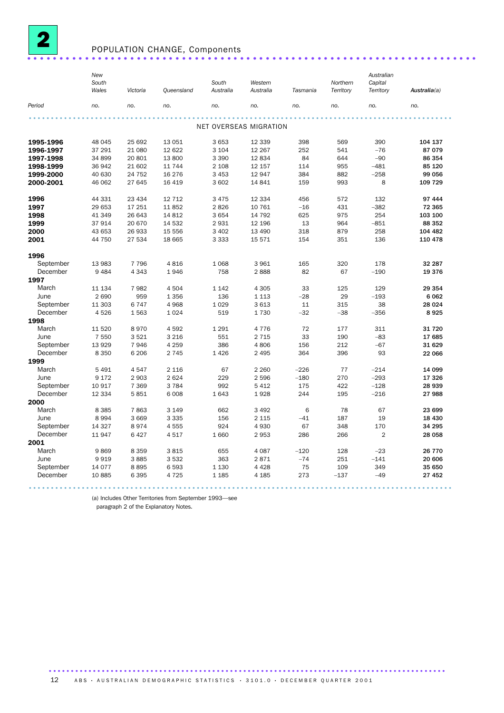

## POPULATION CHANGE, Components ......................................................................

|           | New<br>South<br>Wales | Victoria | Oueensland | South<br>Australia     | Western<br>Australia | Tasmania | Northern<br>Territory | Australian<br>Capital<br>Territory | Australia(a) |  |
|-----------|-----------------------|----------|------------|------------------------|----------------------|----------|-----------------------|------------------------------------|--------------|--|
| Period    | no.                   | no.      | no.        | no.                    | no.                  | no.      | no.                   | no.                                | no.          |  |
|           |                       |          |            |                        |                      |          |                       |                                    |              |  |
|           |                       |          |            | NET OVERSEAS MIGRATION |                      |          |                       |                                    |              |  |
| 1995-1996 | 48 045                | 25 692   | 13 0 51    | 3 6 5 3                | 12 3 3 9             | 398      | 569                   | 390                                | 104 137      |  |
| 1996-1997 | 37 291                | 21 080   | 12 622     | 3 1 0 4                | 12 2 67              | 252      | 541                   | $-76$                              | 87 079       |  |
| 1997-1998 | 34 899                | 20 801   | 13 800     | 3 3 9 0                | 12834                | 84       | 644                   | $-90$                              | 86 354       |  |
| 1998-1999 | 36 942                | 21 602   | 11 744     | 2 1 0 8                | 12 157               | 114      | 955                   | $-481$                             | 85 120       |  |
| 1999-2000 | 40 630                | 24 752   | 16 276     | 3 4 5 3                | 12 947               | 384      | 882                   | $-258$                             | 99 056       |  |
| 2000-2001 | 46 062                | 27 645   | 16 4 19    | 3 602                  | 14 841               | 159      | 993                   | 8                                  | 109 729      |  |
| 1996      | 44 331                | 23 4 34  | 12 7 12    | 3 4 7 5                | 12 3 34              | 456      | 572                   | 132                                | 97 444       |  |
| 1997      | 29 653                | 17 251   | 11852      | 2826                   | 10 761               | $-16$    | 431                   | $-382$                             | 72 365       |  |
| 1998      | 41 349                | 26 643   | 14 8 12    | 3 6 5 4                | 14 792               | 625      | 975                   | 254                                | 103 100      |  |
| 1999      | 37914                 | 20 670   | 14 532     | 2931                   | 12 196               | 13       | 964                   | $-851$                             | 88 352       |  |
| 2000      | 43 653                | 26 933   | 15 556     | 3 4 0 2                | 13 4 90              | 318      | 879                   | 258                                | 104 482      |  |
| 2001      | 44 750                | 27 534   | 18 665     | 3 3 3 3                | 15 5 7 1             | 154      | 351                   | 136                                | 110 478      |  |
| 1996      |                       |          |            |                        |                      |          |                       |                                    |              |  |
| September | 13 983                | 7 7 9 6  | 4816       | 1 0 6 8                | 3961                 | 165      | 320                   | 178                                | 32 287       |  |
| December  | 9 4 8 4               | 4 3 4 3  | 1946       | 758                    | 2888                 | 82       | 67                    | $-190$                             | 19 376       |  |
| 1997      |                       |          |            |                        |                      |          |                       |                                    |              |  |
| March     | 11 134                | 7982     | 4 5 0 4    | 1 1 4 2                | 4 3 0 5              | 33       | 125                   | 129                                | 29 354       |  |
| June      | 2 6 9 0               | 959      | 1 3 5 6    | 136                    | 1 1 1 3              | $-28$    | 29                    | $-193$                             | 6 0 6 2      |  |
| September | 11 303                | 6747     | 4968       | 1 0 2 9                | 3613                 | 11       | 315                   | 38                                 | 28 0 24      |  |
| December  | 4526                  | 1563     | 1 0 2 4    | 519                    | 1730                 | $-32$    | $-38$                 | $-356$                             | 8925         |  |
| 1998      |                       |          |            |                        |                      |          |                       |                                    |              |  |
| March     | 11 520                | 8970     | 4592       | 1 2 9 1                | 4 7 7 6              | 72       | 177                   | 311                                | 31 720       |  |
| June      | 7 5 5 0               | 3521     | 3 2 1 6    | 551                    | 2 7 1 5              | 33       | 190                   | $-83$                              | 17685        |  |
| September | 13 9 29               | 7946     | 4 2 5 9    | 386                    | 4806                 | 156      | 212                   | $-67$                              | 31 629       |  |
| December  | 8 3 5 0               | 6 2 0 6  | 2 7 4 5    | 1 4 2 6                | 2 4 9 5              | 364      | 396                   | 93                                 | 22 066       |  |
| 1999      |                       |          |            |                        |                      |          |                       |                                    |              |  |
| March     | 5 4 9 1               | 4547     | 2 1 1 6    | 67                     | 2 2 6 0              | $-226$   | 77                    | $-214$                             | 14 099       |  |
| June      | 9 1 7 2               | 2 9 0 3  | 2 6 2 4    | 229                    | 2 5 9 6              | $-180$   | 270                   | $-293$                             | 17 326       |  |
| September | 10 917                | 7 3 6 9  | 3 7 8 4    | 992                    | 5 4 1 2              | 175      | 422                   | $-128$                             | 28 939       |  |
| December  | 12 3 34               | 5851     | 6 0 0 8    | 1 643                  | 1928                 | 244      | 195                   | $-216$                             | 27988        |  |
| 2000      |                       |          |            |                        |                      |          |                       |                                    |              |  |
| March     | 8 3 8 5               | 7863     | 3 1 4 9    | 662                    | 3 4 9 2              | 6        | 78                    | 67                                 | 23 699       |  |
| June      | 8994                  | 3 6 6 9  | 3 3 3 5    | 156                    | 2 1 1 5              | $-41$    | 187                   | 19                                 | 18 4 30      |  |
| September | 14 3 27               | 8974     | 4555       | 924                    | 4930                 | 67       | 348                   | 170                                | 34 295       |  |
| December  | 11947                 | 6 4 2 7  | 4517       | 1 660                  | 2953                 | 286      | 266                   | $\overline{2}$                     | 28 058       |  |
| 2001      |                       |          |            |                        |                      |          |                       |                                    |              |  |
| March     | 9869                  | 8 3 5 9  | 3815       | 655                    | 4 0 8 7              | $-120$   | 128                   | $-23$                              | 26 770       |  |
| June      | 9919                  | 3885     | 3532       | 363                    | 2871                 | $-74$    | 251                   | $-141$                             | 20 606       |  |
| September | 14 0 77               | 8895     | 6593       | 1 1 3 0                | 4 4 2 8              | 75       | 109                   | 349                                | 35 650       |  |
| December  | 10885                 | 6 3 9 5  | 4 7 2 5    | 1 1 8 5                | 4 1 8 5              | 273      | $-137$                | $-49$                              | 27 452       |  |
|           |                       |          |            |                        |                      |          |                       |                                    |              |  |

(a) Includes Other Territories from September 1993—see

paragraph 2 of the Explanatory Notes.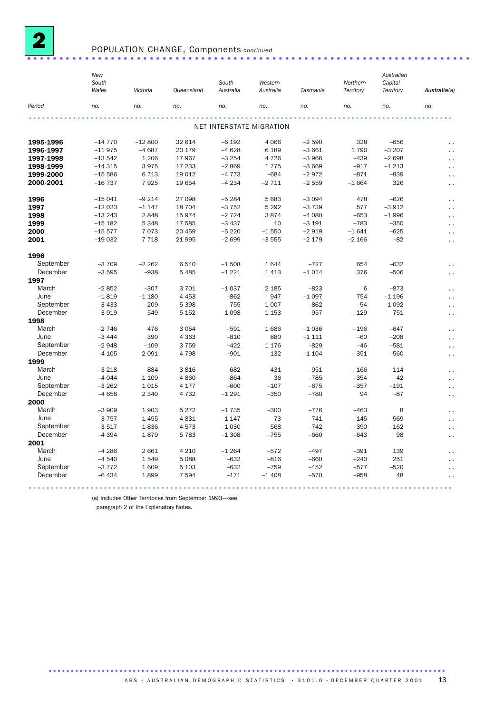

### POPULATION CHANGE, Components *continued* ..................................................................... .

|           | New<br>South<br>Wales | Victoria | <b>Queensland</b> | South<br>Australia | Western<br>Australia     | Tasmania | Northern<br>Territory | Australian<br>Capital<br>Territory | Australia(a)         |
|-----------|-----------------------|----------|-------------------|--------------------|--------------------------|----------|-----------------------|------------------------------------|----------------------|
|           |                       |          |                   |                    |                          |          |                       |                                    |                      |
| Period    | no.                   | no.      | no.               | no.                | no.                      | no.      | no.                   | no.                                | no.                  |
|           |                       |          |                   |                    |                          |          |                       |                                    |                      |
|           |                       |          |                   |                    | NET INTERSTATE MIGRATION |          |                       |                                    |                      |
| 1995-1996 | $-14770$              | $-12800$ | 32 614            | $-6192$            | 4 0 6 6                  | $-2590$  | 328                   | $-656$                             | $\ddotsc$            |
| 1996-1997 | $-11975$              | $-4687$  | 20 179            | $-4628$            | 6 1 8 9                  | $-3661$  | 1790                  | $-3207$                            | И,                   |
| 1997-1998 | $-13542$              | 1 2 0 6  | 17 967            | $-3254$            | 4 7 2 6                  | $-3966$  | $-439$                | $-2698$                            | И,                   |
| 1998-1999 | $-14315$              | 3975     | 17 233            | $-2869$            | 1775                     | $-3669$  | $-917$                | $-1213$                            | И,                   |
| 1999-2000 | $-15586$              | 6 7 1 3  | 19 0 12           | $-4773$            | $-684$                   | $-2972$  | $-871$                | $-839$                             | $\ddotsc$            |
| 2000-2001 | $-16737$              | 7925     | 19654             | $-4234$            | $-2711$                  | $-2559$  | $-1664$               | 326                                | . .                  |
| 1996      | $-15041$              | $-9214$  | 27 098            | $-5284$            | 5 6 8 3                  | $-3094$  | 478                   | $-626$                             | $\ddotsc$            |
| 1997      | $-12023$              | $-1147$  | 18 704            | $-3752$            | 5 2 9 2                  | $-3739$  | 577                   | $-3912$                            | И,                   |
| 1998      | $-13243$              | 2848     | 15974             | $-2724$            | 3874                     | $-4080$  | $-653$                | $-1996$                            | г.                   |
| 1999      | $-15$ 182             | 5 3 4 8  | 17 585            | $-3437$            | 10                       | $-3191$  | $-783$                | $-350$                             | $\ddot{\phantom{1}}$ |
| 2000      | $-15577$              | 7073     | 20 459            | $-5220$            | $-1550$                  | $-2919$  | $-1641$               | $-625$                             | $\sim$               |
| 2001      | $-19032$              | 7 7 1 8  | 21 995            | $-2699$            | $-3555$                  | $-2179$  | $-2166$               | $-82$                              | $\ddot{\phantom{0}}$ |
| 1996      |                       |          |                   |                    |                          |          |                       |                                    |                      |
| September | $-3709$               | $-2262$  | 6540              | $-1508$            | 1644                     | $-727$   | 654                   | $-632$                             | $\ddot{\phantom{1}}$ |
| December  | $-3595$               | $-938$   | 5 4 8 5           | $-1221$            | 1 4 1 3                  | $-1014$  | 376                   | $-506$                             | $\ddotsc$            |
| 1997      |                       |          |                   |                    |                          |          |                       |                                    |                      |
| March     | $-2852$               | $-307$   | 3701              | $-1037$            | 2 1 8 5                  | $-823$   | 6                     | $-873$                             | $\ddotsc$            |
| June      | $-1819$               | $-1180$  | 4 4 5 3           | $-862$             | 947                      | $-1097$  | 754                   | $-1196$                            | $\ddot{\phantom{1}}$ |
| September | $-3433$               | $-209$   | 5 3 9 8           | $-755$             | 1 0 0 7                  | $-862$   | $-54$                 | $-1092$                            | $\sim$ .             |
| December  | $-3919$               | 549      | 5 1 5 2           | $-1098$            | 1 1 5 3                  | $-957$   | $-129$                | $-751$                             | $\ddot{\phantom{1}}$ |
| 1998      |                       |          |                   |                    |                          |          |                       |                                    |                      |
| March     | $-2746$               | 476      | 3 0 5 4           | $-591$             | 1686                     | $-1036$  | $-196$                | $-647$                             | $\ddotsc$            |
| June      | $-3444$               | 390      | 4 3 6 3           | $-810$             | 880                      | $-1111$  | $-60$                 | $-208$                             | И,                   |
| September | $-2948$               | $-109$   | 3759              | $-422$             | 1 1 7 6                  | $-829$   | $-46$                 | $-581$                             | $\sim$ .             |
| December  | $-4105$               | 2 0 9 1  | 4798              | $-901$             | 132                      | $-1104$  | $-351$                | $-560$                             | $\ddotsc$            |
| 1999      |                       |          |                   |                    |                          |          |                       |                                    |                      |
| March     | $-3218$               | 884      | 3816              | $-682$             | 431                      | $-951$   | $-166$                | $-114$                             | И,                   |
| June      | $-4044$               | 1 1 0 9  | 4860              | $-864$             | 36                       | $-785$   | $-354$                | 42                                 | $\ddot{\phantom{0}}$ |
| September | $-3262$               | 1 0 1 5  | 4 1 7 7           | $-600$             | $-107$                   | $-675$   | $-357$                | $-191$                             | . .                  |
| December  | $-4658$               | 2 3 4 0  | 4 7 3 2           | $-1291$            | $-350$                   | $-780$   | 94                    | $-87$                              | $\sim$ .             |
| 2000      |                       |          |                   |                    |                          |          |                       |                                    |                      |
| March     | $-3909$               | 1903     | 5 2 7 2           | $-1735$            | $-300$                   | $-776$   | $-463$                | 8                                  | . .                  |
| June      | $-3757$               | 1 4 5 5  | 4831              | $-1147$            | 73                       | $-741$   | $-145$                | $-569$                             | И,                   |
| September | $-3517$               | 1836     | 4573              | $-1030$            | $-568$                   | $-742$   | $-390$                | $-162$                             |                      |
| December  | $-4394$               | 1879     | 5 7 8 3           | $-1308$            | $-755$                   | $-660$   | $-643$                | 98                                 | $\ddot{\phantom{1}}$ |
| 2001      |                       |          |                   |                    |                          |          |                       |                                    | .,                   |
| March     | $-4286$               | 2 6 6 1  | 4 2 1 0           | $-1264$            | $-572$                   | $-497$   | $-391$                | 139                                |                      |
| June      | $-4540$               | 1549     | 5088              | $-632$             | $-816$                   | -660     | $-240$                | 251                                | $\ddotsc$            |
| September |                       | 1609     |                   | $-632$             | $-759$                   | $-452$   |                       |                                    | $\ddotsc$            |
| December  | $-3772$               |          | 5 1 0 3           |                    |                          |          | $-577$                | $-520$                             | $\sim$               |
|           | $-6434$               | 1899     | 7 5 9 4           | $-171$             | $-1408$                  | $-570$   | $-958$                | 48                                 | $\sim$ .             |

(a) Includes Other Territories from September 1993—see

paragraph 2 of the Explanatory Notes.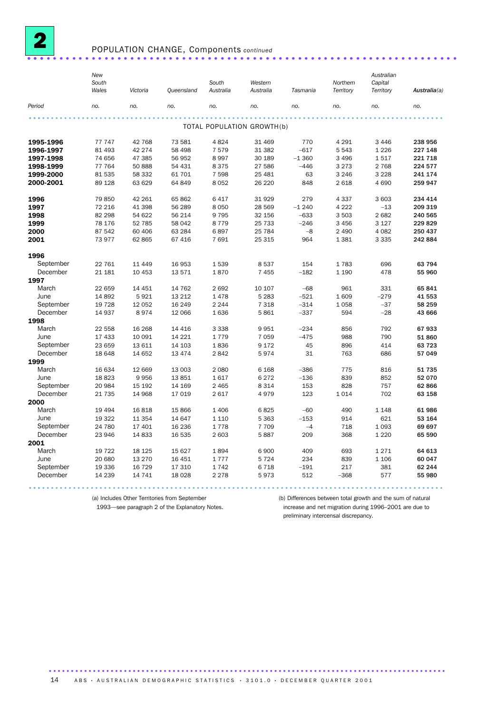

# POPULATION CHANGE, Components *continued* ................................................................... ...

|           | <b>New</b><br>South |                |                 | South     | Western                    |                  | Northern   | Australian<br>Capital |              |
|-----------|---------------------|----------------|-----------------|-----------|----------------------------|------------------|------------|-----------------------|--------------|
|           | Wales               | Victoria       | Queensland      | Australia | Australia                  | Tasmania         | Territory  | Territory             | Australia(a) |
| Period    | no.                 | no.            | no.             | no.       | no.                        | no.              | no.        | no.                   | no.          |
|           |                     |                |                 |           |                            |                  |            |                       |              |
|           |                     |                |                 |           | TOTAL POPULATION GROWTH(b) |                  |            |                       |              |
| 1995-1996 | 77 747              | 42 768         | 73 581          | 4 8 2 4   | 31 469                     | 770              | 4 2 9 1    | 3 4 4 6               | 238 956      |
| 1996-1997 | 81 493              | 42 274         | 58 498          | 7579      | 31 382                     | $-617$           | 5 5 4 3    | 1 2 2 6               | 227 148      |
| 1997-1998 | 74 656              | 47 385         | 56 952          | 8997      | 30 189                     | $-1360$          | 3 4 9 6    | 1517                  | 221 718      |
| 1998-1999 | 77 764              | 50 888         | 54 431          | 8 3 7 5   | 27 586                     | $-446$           | 3 2 7 3    | 2 7 6 8               | 224 577      |
| 1999-2000 | 81 535              | 58 332         | 61 701          | 7 5 9 8   | 25 4 8 1                   | 63               | 3 2 4 6    | 3 2 2 8               | 241 174      |
| 2000-2001 | 89 1 28             | 63 629         | 64 849          | 8 0 5 2   | 26 220                     | 848              | 2 6 18     | 4 6 9 0               | 259 947      |
| 1996      | 79 850              | 42 261         | 65 862          | 6 4 1 7   | 31929                      | 279              | 4 3 3 7    | 3 603                 | 234 414      |
| 1997      | 72 216              | 41 398         | 56 289          | 8 0 5 0   | 28 5 69                    | $-1240$          | 4 2 2 2    | $-13$                 | 209 319      |
| 1998      | 82 298              | 54 622         | 56 214          | 9795      | 32 156                     | $-633$           | 3 5 0 3    | 2682                  | 240 565      |
| 1999      | 78 176              | 52 785         | 58 042          | 8779      | 25 7 33                    | $-246$           | 3 4 5 6    | 3 1 2 7               | 229 829      |
| 2000      | 87 542              | 60 406         | 63 284          | 6897      | 25 7 84                    | $-8$             | 2 4 9 0    | 4 0 8 2               | 250 437      |
| 2001      | 73 977              | 62 865         | 67 416          | 7691      | 25 315                     | 964              | 1381       | 3 3 3 5               | 242 884      |
| 1996      |                     |                |                 |           |                            |                  |            |                       |              |
| September | 22 761              | 11 4 4 9       | 16 953          | 1539      | 8537                       | 154              | 1783       | 696                   | 63 794       |
| December  | 21 181              | 10 453         | 13 571          | 1870      | 7 4 5 5                    | $-182$           | 1 1 9 0    | 478                   | 55 960       |
| 1997      |                     |                |                 |           |                            |                  |            |                       |              |
| March     | 22 659              | 14 4 51        | 14 762          | 2692      | 10 107                     | $-68$            | 961        | 331                   | 65 841       |
| June      | 14 892              | 5921           | 13 212          | 1478      | 5 2 8 3                    | $-521$           | 1 609      | $-279$                | 41 553       |
| September | 19 7 28             | 12 052         | 16 249          | 2 2 4 4   | 7 3 1 8                    | $-314$           | 1 0 5 8    | $-37$                 | 58 259       |
| December  | 14 937              | 8974           | 12 066          | 1636      | 5861                       | $-337$           | 594        | $-28$                 | 43 666       |
| 1998      |                     |                |                 |           |                            |                  |            |                       |              |
| March     | 22 558              | 16 268         | 14 4 16         | 3 3 3 8   | 9951                       | $-234$           | 856        | 792                   | 67933        |
| June      | 17 433              | 10 091         | 14 221          | 1779      | 7 0 5 9                    | $-475$           | 988        | 790                   | 51860        |
| September | 23 659              | 13 611         | 14 103          | 1836      | 9 1 7 2                    | 45               | 896        | 414                   | 63 723       |
| December  | 18 648              | 14 652         | 13 4 7 4        | 2842      | 5974                       | 31               | 763        | 686                   | 57 049       |
| 1999      |                     |                |                 |           |                            |                  |            |                       |              |
| March     |                     |                |                 |           |                            |                  |            |                       | 51735        |
| June      | 16 634<br>18823     | 12 669<br>9956 | 13 003<br>13851 | 2 0 8 0   | 6 1 6 8<br>6 2 7 2         | $-386$<br>$-136$ | 775<br>839 | 816<br>852            | 52 070       |
| September |                     |                |                 | 1617      |                            |                  | 828        |                       |              |
|           | 20 984              | 15 192         | 14 169          | 2 4 6 5   | 8 3 1 4                    | 153              |            | 757                   | 62 866       |
| December  | 21 735              | 14 968         | 17 019          | 2 6 1 7   | 4979                       | 123              | 1014       | 702                   | 63 158       |
| 2000      |                     |                |                 |           |                            |                  |            |                       |              |
| March     | 19 4 94             | 16818          | 15 866          | 1 4 0 6   | 6825                       | $-60$            | 490        | 1 1 4 8               | 61986        |
| June      | 19 322              | 11 354         | 14 647          | 1 1 1 0   | 5 3 6 3                    | $-153$           | 914        | 621                   | 53 164       |
| September | 24 780              | 17 401         | 16 236          | 1778      | 7 7 0 9                    | $-4$             | 718        | 1 0 9 3               | 69 697       |
| December  | 23 946              | 14833          | 16 535          | 2 603     | 5887                       | 209              | 368        | 1 2 2 0               | 65 590       |
| 2001      |                     |                |                 |           |                            |                  |            |                       |              |
| March     | 19 722              | 18 1 25        | 15 627          | 1894      | 6900                       | 409              | 693        | 1 2 7 1               | 64 613       |
| June      | 20 680              | 13 270         | 16 451          | 1777      | 5724                       | 234              | 839        | 1 1 0 6               | 60 047       |
| September | 19 336              | 16 7 29        | 17 310          | 1742      | 6 7 1 8                    | $-191$           | 217        | 381                   | 62 244       |
| December  | 14 239              | 14 741         | 18 0 28         | 2 2 7 8   | 5973                       | 512              | $-368$     | 577                   | 55 980       |
|           |                     |                |                 |           |                            |                  |            |                       |              |

(a) Includes Other Territories from September

(b) Differences between total growth and the sum of natural

1993—see paragraph 2 of the Explanatory Notes.

increase and net migration during 1996–2001 are due to preliminary intercensal discrepancy.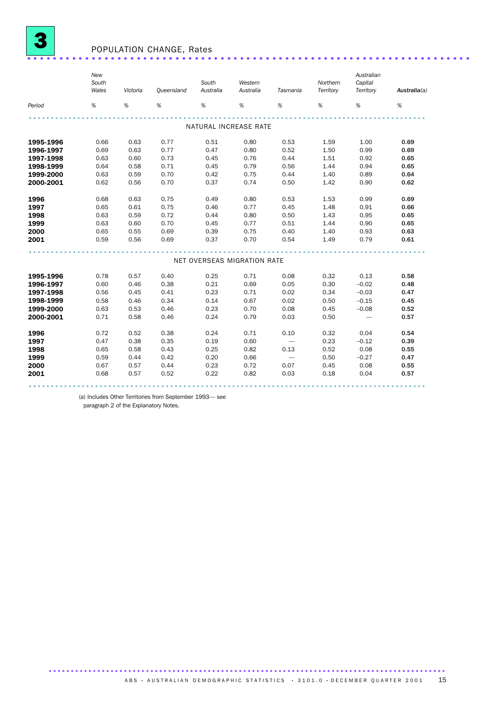

## POPULATION CHANGE, Rates .....................................................................

|           | New<br>South<br>Wales        | Victoria | Oueensland | South<br>Australia    | Western<br>Australia        | Tasmania                 | Northern<br>Territory | Australian<br>Capital<br>Territory | Australia(a) |
|-----------|------------------------------|----------|------------|-----------------------|-----------------------------|--------------------------|-----------------------|------------------------------------|--------------|
| Period    | $% \mathcal{A}_{\mathrm{H}}$ | $\%$     | $\%$       | %                     | %                           | %                        | %                     | %                                  | %            |
|           |                              |          |            | NATURAL INCREASE RATE |                             |                          |                       |                                    |              |
|           |                              |          |            |                       |                             |                          |                       |                                    |              |
| 1995-1996 | 0.66                         | 0.63     | 0.77       | 0.51                  | 0.80                        | 0.53                     | 1.59                  | 1.00                               | 0.69         |
| 1996-1997 | 0.69                         | 0.63     | 0.77       | 0.47                  | 0.80                        | 0.52                     | 1.50                  | 0.99                               | 0.69         |
| 1997-1998 | 0.63                         | 0.60     | 0.73       | 0.45                  | 0.76                        | 0.44                     | 1.51                  | 0.92                               | 0.65         |
| 1998-1999 | 0.64                         | 0.58     | 0.71       | 0.45                  | 0.79                        | 0.56                     | 1.44                  | 0.94                               | 0.65         |
| 1999-2000 | 0.63                         | 0.59     | 0.70       | 0.42                  | 0.75                        | 0.44                     | 1.40                  | 0.89                               | 0.64         |
| 2000-2001 | 0.62                         | 0.56     | 0.70       | 0.37                  | 0.74                        | 0.50                     | 1.42                  | 0.90                               | 0.62         |
| 1996      | 0.68                         | 0.63     | 0.75       | 0.49                  | 0.80                        | 0.53                     | 1.53                  | 0.99                               | 0.69         |
| 1997      | 0.65                         | 0.61     | 0.75       | 0.46                  | 0.77                        | 0.45                     | 1.48                  | 0.91                               | 0.66         |
| 1998      | 0.63                         | 0.59     | 0.72       | 0.44                  | 0.80                        | 0.50                     | 1.43                  | 0.95                               | 0.65         |
| 1999      | 0.63                         | 0.60     | 0.70       | 0.45                  | 0.77                        | 0.51                     | 1.44                  | 0.90                               | 0.65         |
| 2000      | 0.65                         | 0.55     | 0.69       | 0.39                  | 0.75                        | 0.40                     | 1.40                  | 0.93                               | 0.63         |
| 2001      | 0.59                         | 0.56     | 0.69       | 0.37                  | 0.70                        | 0.54                     | 1.49                  | 0.79                               | 0.61         |
|           |                              |          |            |                       |                             |                          |                       |                                    |              |
|           |                              |          |            |                       | NET OVERSEAS MIGRATION RATE |                          |                       |                                    |              |
| 1995-1996 | 0.78                         | 0.57     | 0.40       | 0.25                  | 0.71                        | 0.08                     | 0.32                  | 0.13                               | 0.58         |
| 1996-1997 | 0.60                         | 0.46     | 0.38       | 0.21                  | 0.69                        | 0.05                     | 0.30                  | $-0.02$                            | 0.48         |
| 1997-1998 | 0.56                         | 0.45     | 0.41       | 0.23                  | 0.71                        | 0.02                     | 0.34                  | $-0.03$                            | 0.47         |
| 1998-1999 | 0.58                         | 0.46     | 0.34       | 0.14                  | 0.67                        | 0.02                     | 0.50                  | $-0.15$                            | 0.45         |
| 1999-2000 | 0.63                         | 0.53     | 0.46       | 0.23                  | 0.70                        | 0.08                     | 0.45                  | $-0.08$                            | 0.52         |
| 2000-2001 | 0.71                         | 0.58     | 0.46       | 0.24                  | 0.79                        | 0.03                     | 0.50                  |                                    | 0.57         |
|           |                              |          |            |                       |                             |                          |                       |                                    |              |
| 1996      | 0.72                         | 0.52     | 0.38       | 0.24                  | 0.71                        | 0.10                     | 0.32                  | 0.04                               | 0.54         |
| 1997      | 0.47                         | 0.38     | 0.35       | 0.19                  | 0.60                        |                          | 0.23                  | $-0.12$                            | 0.39         |
| 1998      | 0.65                         | 0.58     | 0.43       | 0.25                  | 0.82                        | 0.13                     | 0.52                  | 0.08                               | 0.55         |
| 1999      | 0.59                         | 0.44     | 0.42       | 0.20                  | 0.66                        | $\overline{\phantom{m}}$ | 0.50                  | $-0.27$                            | 0.47         |
| 2000      | 0.67                         | 0.57     | 0.44       | 0.23                  | 0.72                        | 0.07                     | 0.45                  | 0.08                               | 0.55         |
| 2001      | 0.68                         | 0.57     | 0.52       | 0.22                  | 0.82                        | 0.03                     | 0.18                  | 0.04                               | 0.57         |
|           |                              |          |            |                       |                             |                          |                       |                                    |              |

(a) Includes Other Territories from September 1993— see

paragraph 2 of the Explanatory Notes.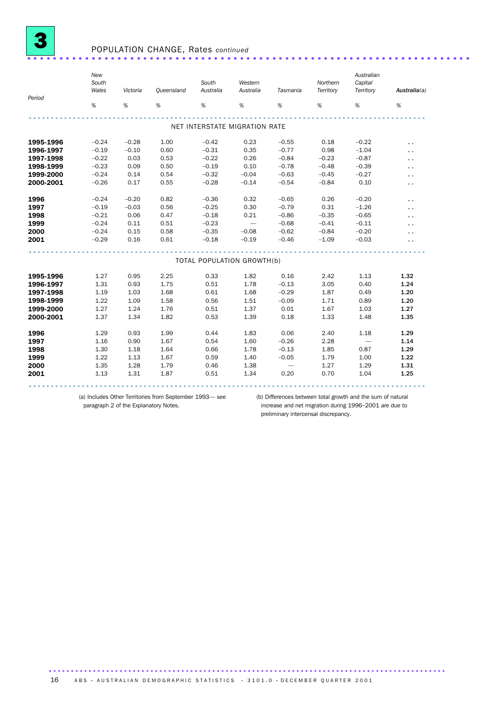

### POPULATION CHANGE, Rates *continued* .....................................................................

| Period    | New<br>South<br>Wales | Victoria | <b>Queensland</b> | South<br>Australia | Western<br>Australia          | Tasmania                 | Northern<br>Territory | Australian<br>Capital<br>Territory | Australia(a)         |
|-----------|-----------------------|----------|-------------------|--------------------|-------------------------------|--------------------------|-----------------------|------------------------------------|----------------------|
|           | $\%$                  | %        | %                 | %                  | %                             | %                        | %                     | %                                  | %                    |
|           |                       |          |                   |                    |                               |                          |                       |                                    |                      |
|           |                       |          |                   |                    | NET INTERSTATE MIGRATION RATE |                          |                       |                                    |                      |
| 1995-1996 | $-0.24$               | $-0.28$  | 1.00              | $-0.42$            | 0.23                          | $-0.55$                  | 0.18                  | $-0.22$                            | $\ddot{\phantom{1}}$ |
| 1996-1997 | $-0.19$               | $-0.10$  | 0.60              | $-0.31$            | 0.35                          | $-0.77$                  | 0.98                  | $-1.04$                            | . .                  |
| 1997-1998 | $-0.22$               | 0.03     | 0.53              | $-0.22$            | 0.26                          | $-0.84$                  | $-0.23$               | $-0.87$                            | $\ddot{\phantom{0}}$ |
| 1998-1999 | $-0.23$               | 0.09     | 0.50              | $-0.19$            | 0.10                          | $-0.78$                  | $-0.48$               | $-0.39$                            | . .                  |
| 1999-2000 | $-0.24$               | 0.14     | 0.54              | $-0.32$            | $-0.04$                       | $-0.63$                  | $-0.45$               | $-0.27$                            | . .                  |
| 2000-2001 | $-0.26$               | 0.17     | 0.55              | $-0.28$            | $-0.14$                       | $-0.54$                  | $-0.84$               | 0.10                               | $\ddot{\phantom{0}}$ |
| 1996      | $-0.24$               | $-0.20$  | 0.82              | $-0.36$            | 0.32                          | $-0.65$                  | 0.26                  | $-0.20$                            | . .                  |
| 1997      | $-0.19$               | $-0.03$  | 0.56              | $-0.25$            | 0.30                          | $-0.79$                  | 0.31                  | $-1.26$                            | . .                  |
| 1998      | $-0.21$               | 0.06     | 0.47              | $-0.18$            | 0.21                          | $-0.86$                  | $-0.35$               | $-0.65$                            | $\ddot{\phantom{1}}$ |
| 1999      | $-0.24$               | 0.11     | 0.51              | $-0.23$            |                               | $-0.68$                  | $-0.41$               | $-0.11$                            | . .                  |
| 2000      | $-0.24$               | 0.15     | 0.58              | $-0.35$            | $-0.08$                       | $-0.62$                  | $-0.84$               | $-0.20$                            | . .                  |
| 2001      | $-0.29$               | 0.16     | 0.61              | $-0.18$            | $-0.19$                       | $-0.46$                  | $-1.09$               | $-0.03$                            | . .                  |
|           |                       |          |                   |                    |                               |                          |                       |                                    |                      |
|           |                       |          |                   |                    | TOTAL POPULATION GROWTH(b)    |                          |                       |                                    |                      |
| 1995-1996 | 1.27                  | 0.95     | 2.25              | 0.33               | 1.82                          | 0.16                     | 2.42                  | 1.13                               | 1.32                 |
| 1996-1997 | 1.31                  | 0.93     | 1.75              | 0.51               | 1.78                          | $-0.13$                  | 3.05                  | 0.40                               | 1.24                 |
| 1997-1998 | 1.19                  | 1.03     | 1.68              | 0.61               | 1.68                          | $-0.29$                  | 1.87                  | 0.49                               | 1.20                 |
| 1998-1999 | 1.22                  | 1.09     | 1.58              | 0.56               | 1.51                          | $-0.09$                  | 1.71                  | 0.89                               | 1.20                 |
| 1999-2000 | 1.27                  | 1.24     | 1.76              | 0.51               | 1.37                          | 0.01                     | 1.67                  | 1.03                               | 1.27                 |
| 2000-2001 | 1.37                  | 1.34     | 1.82              | 0.53               | 1.39                          | 0.18                     | 1.33                  | 1.48                               | 1.35                 |
| 1996      | 1.29                  | 0.93     | 1.99              | 0.44               | 1.83                          | 0.06                     | 2.40                  | 1.18                               | 1.29                 |
| 1997      | 1.16                  | 0.90     | 1.67              | 0.54               | 1.60                          | $-0.26$                  | 2.28                  |                                    | 1.14                 |
| 1998      | 1.30                  | 1.18     | 1.64              | 0.66               | 1.78                          | $-0.13$                  | 1.85                  | 0.87                               | 1.29                 |
| 1999      | 1.22                  | 1.13     | 1.67              | 0.59               | 1.40                          | $-0.05$                  | 1.79                  | 1.00                               | 1.22                 |
| 2000      | 1.35                  | 1.28     | 1.79              | 0.46               | 1.38                          | $\overline{\phantom{0}}$ | 1.27                  | 1.29                               | 1.31                 |
| 2001      | 1.13                  | 1.31     | 1.87              | 0.51               | 1.34                          | 0.20                     | 0.70                  | 1.04                               | 1.25                 |
|           |                       |          |                   |                    |                               |                          |                       |                                    |                      |

(a) Includes Other Territories from September 1993— see paragraph 2 of the Explanatory Notes.

(b) Differences between total growth and the sum of natural increase and net migration during 1996–2001 are due to

preliminary intercensal discrepancy.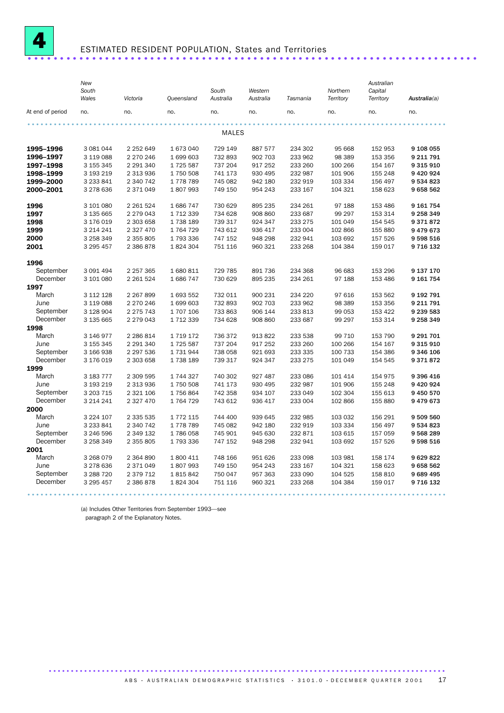

## ESTIMATED RESIDENT POPULATION, States and Territories ......................................................................

|                  | New<br>South<br>Wales  | Victoria               | Queensland            | South<br>Australia | Western<br>Australia | Tasmania           | Northern<br>Territory | Australian<br>Capital<br>Territory | Australia(a)  |
|------------------|------------------------|------------------------|-----------------------|--------------------|----------------------|--------------------|-----------------------|------------------------------------|---------------|
| At end of period | no.                    | no.                    | no.                   | no.                | no.                  | no.                | no.                   | no.                                | no.           |
|                  |                        |                        |                       | MALES              |                      |                    |                       |                                    |               |
| 1995-1996        | 3 081 044              | 2 2 5 2 6 4 9          | 1 673 040             | 729 149            | 887 577              | 234 302            | 95 668                | 152 953                            | 9 108 055     |
| 1996-1997        | 3 119 088              | 2 270 246              | 1 699 603             | 732 893            | 902 703              | 233 962            | 98 389                | 153 356                            | 9 211 791     |
| 1997-1998        | 3 155 345              | 2 291 340              | 1725 587              | 737 204            | 917 252              | 233 260            | 100 266               | 154 167                            | 9 3 1 5 9 1 0 |
| 1998-1999        | 3 193 219              | 2 313 936              | 1750 508              | 741 173            | 930 495              | 232 987            | 101 906               | 155 248                            | 9 420 924     |
| 1999-2000        | 3 233 841              | 2 340 742              | 1778789               | 745 082            | 942 180              | 232 919            | 103 334               | 156 497                            | 9 534 823     |
| 2000-2001        | 3 278 636              | 2 371 049              | 1807993               | 749 150            | 954 243              | 233 167            | 104 321               | 158 623                            | 9658562       |
| 1996             | 3 101 080              | 2 2 6 1 5 2 4          | 1686747               | 730 629            | 895 235              | 234 261            | 97 188                | 153 486                            | 9 161 754     |
| 1997             | 3 135 665              | 2 279 043              | 1 712 339             | 734 628            | 908 860              | 233 687            | 99 297                | 153 314                            | 9 258 349     |
| 1998             | 3 176 019              | 2 303 658              | 1738 189              | 739 317            | 924 347              | 233 275            | 101 049               | 154 545                            | 9371872       |
| 1999             | 3 214 241              | 2 327 470              | 1764729               | 743 612            | 936 417              | 233 004            | 102 866               | 155 880                            | 9 479 673     |
| 2000             | 3 258 349              | 2 355 805              | 1793336               | 747 152            | 948 298              | 232 941            | 103 692               | 157 526                            | 9 598 516     |
| 2001             | 3 295 457              | 2 386 878              | 1824304               | 751 116            | 960 321              | 233 268            | 104 384               | 159 017                            | 9 716 132     |
| 1996             |                        |                        |                       |                    |                      |                    |                       |                                    |               |
| September        | 3 091 494              | 2 2 5 7 3 6 5          | 1 680 811             | 729 785            | 891 736              | 234 368            | 96 683                | 153 296                            | 9 137 170     |
| December         | 3 101 080              | 2 2 6 1 5 2 4          | 1686747               | 730 629            | 895 235              | 234 261            | 97 188                | 153 486                            | 9 161 754     |
| 1997             |                        |                        |                       |                    |                      |                    |                       |                                    |               |
| March            | 3 112 128              | 2 2 6 7 8 9 9          | 1 693 552             | 732 011            | 900 231              | 234 220            | 97 616                | 153 562                            | 9 192 791     |
| June             | 3 119 088              | 2 270 246              | 1 699 603             | 732 893            | 902 703              | 233 962            | 98 389                | 153 356                            | 9 211 791     |
| September        | 3 128 904              | 2 2 7 5 7 4 3          | 1 707 106             | 733 863            | 906 144              | 233 813            | 99 053                | 153 422                            | 9 239 583     |
| December         | 3 135 665              | 2 279 043              | 1 712 339             | 734 628            | 908 860              | 233 687            | 99 297                | 153 314                            | 9 258 349     |
| 1998             |                        |                        |                       |                    |                      |                    |                       |                                    |               |
| March            | 3 146 977              | 2 286 814              | 1 719 172             | 736 372            | 913 822              | 233 538            | 99 710                | 153 790                            | 9 291 701     |
| June             | 3 155 345              | 2 291 340              | 1725 587              | 737 204            | 917 252              | 233 260            | 100 266               | 154 167                            | 9 3 1 5 9 1 0 |
| September        | 3 166 938              | 2 297 536              | 1 731 944             | 738 058            | 921 693              | 233 335            | 100 733               | 154 386                            | 9 346 106     |
| December         | 3 176 019              | 2 303 658              | 1738 189              | 739 317            | 924 347              | 233 275            | 101 049               | 154 545                            | 9371872       |
| 1999<br>March    |                        |                        |                       |                    |                      |                    |                       |                                    | 9 396 416     |
| June             | 3 183 777<br>3 193 219 | 2 309 595<br>2 313 936 | 1 744 327<br>1750 508 | 740 302<br>741 173 | 927 487<br>930 495   | 233 086<br>232 987 | 101 414<br>101 906    | 154 975<br>155 248                 | 9 420 924     |
| September        | 3 203 7 15             | 2 321 106              | 1756864               | 742 358            | 934 107              | 233 049            | 102 304               | 155 613                            | 9 450 570     |
| December         | 3 214 241              | 2 3 2 7 4 7 0          | 1764729               | 743 612            | 936 417              | 233 004            | 102 866               | 155 880                            | 9479673       |
| 2000             |                        |                        |                       |                    |                      |                    |                       |                                    |               |
| March            | 3 2 2 4 1 0 7          | 2 335 535              | 1 772 115             | 744 400            | 939 645              | 232 985            | 103 032               | 156 291                            | 9 509 560     |
| June             | 3 233 841              | 2 340 742              | 1778789               | 745 082            | 942 180              | 232 919            | 103 334               | 156 497                            | 9 534 823     |
| September        | 3 246 596              | 2 349 132              | 1786058               | 745 901            | 945 630              | 232 871            | 103 615               | 157 059                            | 9568289       |
| December         | 3 258 349              | 2 355 805              | 1793336               | 747 152            | 948 298              | 232 941            | 103 692               | 157 526                            | 9 598 516     |
| 2001             |                        |                        |                       |                    |                      |                    |                       |                                    |               |
| March            | 3 268 079              | 2 3 6 4 8 9 0          | 1 800 411             | 748 166            | 951 626              | 233 098            | 103 981               | 158 174                            | 9629822       |
| June             | 3 278 636              | 2 371 049              | 1807993               | 749 150            | 954 243              | 233 167            | 104 321               | 158 623                            | 9658562       |
| September        | 3 288 7 20             | 2 379 712              | 1815842               | 750 047            | 957 363              | 233 090            | 104 525               | 158 810                            | 9689495       |
| December         | 3 295 457              | 2 386 878              | 1824304               | 751 116            | 960 321              | 233 268            | 104 384               | 159 017                            | 9 716 132     |
|                  |                        |                        |                       |                    |                      |                    |                       |                                    |               |

(a) Includes Other Territories from September 1993—see

paragraph 2 of the Explanatory Notes.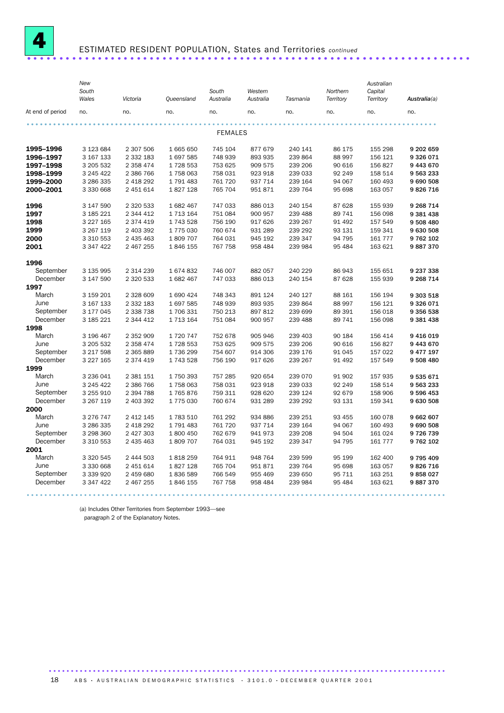

# ESTIMATED RESIDENT POPULATION, States and Territories *continued* ..................................................................... .

(a) Includes Other Territories from September 1993—see

paragraph 2 of the Explanatory Notes.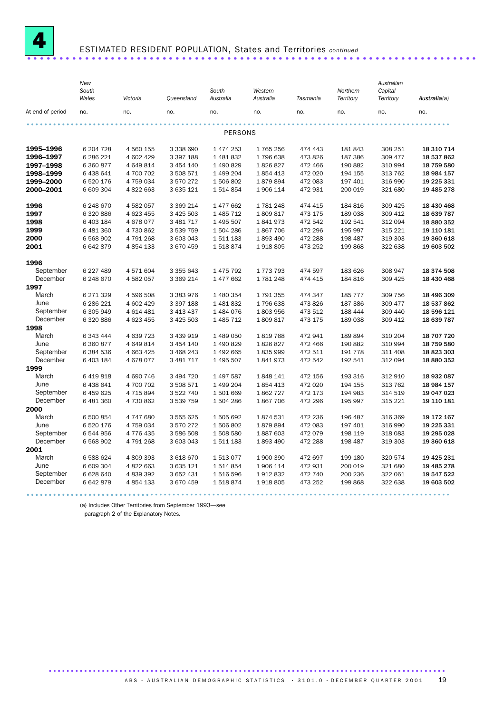

# ESTIMATED RESIDENT POPULATION, States and Territories *continued* ......................................................................

|                  | New<br>South<br>Wales | Victoria      | Queensland    | South<br>Australia | Western<br>Australia | Tasmania | Northern<br>Territory | Australian<br>Capital<br>Territory | Australia(a) |
|------------------|-----------------------|---------------|---------------|--------------------|----------------------|----------|-----------------------|------------------------------------|--------------|
| At end of period | no.                   | no.           | no.           | no.                | no.                  | no.      | no.                   | no.                                | no.          |
|                  |                       |               |               |                    |                      |          |                       |                                    |              |
|                  |                       |               |               | PERSONS            |                      |          |                       |                                    |              |
| 1995-1996        | 6 204 7 28            | 4 560 155     | 3 338 690     | 1 474 253          | 1765256              | 474 443  | 181 843               | 308 251                            | 18 310 714   |
| 1996-1997        | 6 286 221             | 4 602 429     | 3 397 188     | 1 481 832          | 1796638              | 473 826  | 187 386               | 309 477                            | 18 537 862   |
| 1997-1998        | 6 360 877             | 4 649 814     | 3 454 140     | 1 490 829          | 1826827              | 472 466  | 190 882               | 310 994                            | 18 759 580   |
| 1998-1999        | 6438641               | 4 700 702     | 3 508 571     | 1 499 204          | 1854413              | 472 020  | 194 155               | 313 762                            | 18 984 157   |
| 1999-2000        | 6 520 176             | 4 759 034     | 3 570 272     | 1506802            | 1879894              | 472 083  | 197 401               | 316 990                            | 19 225 331   |
| 2000-2001        | 6 609 304             | 4 822 663     | 3 635 121     | 1514854            | 1 906 114            | 472 931  | 200 019               | 321 680                            | 19 485 278   |
| 1996             | 6 248 670             | 4 582 057     | 3 3 6 2 1 4   | 1 477 662          | 1781248              | 474 415  | 184 816               | 309 425                            | 18 430 468   |
| 1997             | 6 320 886             | 4 623 455     | 3 4 2 5 5 0 3 | 1 485 712          | 1809817              | 473 175  | 189 038               | 309 412                            | 18 639 787   |
| 1998             | 6 403 184             | 4678077       | 3 481 717     | 1 495 507          | 1841973              | 472 542  | 192 541               | 312 094                            | 18 880 352   |
| 1999             | 6 481 360             | 4730862       | 3 539 759     | 1504286            | 1867706              | 472 296  | 195 997               | 315 221                            | 19 110 181   |
| 2000             | 6 568 902             | 4791268       | 3 603 043     | 1511183            | 1893490              | 472 288  | 198 487               | 319 303                            | 19 360 618   |
| 2001             | 6642879               | 4 8 5 4 1 3 3 | 3 670 459     | 1518874            | 1918805              | 473 252  | 199 868               | 322 638                            | 19 603 502   |
| 1996             |                       |               |               |                    |                      |          |                       |                                    |              |
| September        | 6 227 489             | 4571604       | 3 355 643     | 1 475 792          | 1 773 793            | 474 597  | 183 626               | 308 947                            | 18 374 508   |
| December         | 6 248 670             | 4 582 057     | 3 369 214     | 1 477 662          | 1781248              | 474 415  | 184 816               | 309 425                            | 18 430 468   |
| 1997             |                       |               |               |                    |                      |          |                       |                                    |              |
| March            | 6 271 329             | 4 596 508     | 3 383 976     | 1 480 354          | 1791355              | 474 347  | 185 777               | 309 756                            | 18 496 309   |
| June             | 6 286 221             | 4 602 429     | 3 397 188     | 1 481 832          | 1796 638             | 473 826  | 187 386               | 309 477                            | 18 537 862   |
| September        | 6 305 949             | 4 614 481     | 3 413 437     | 1 484 076          | 1803956              | 473 512  | 188 444               | 309 440                            | 18 596 121   |
| December         | 6 320 886             | 4 623 455     | 3 4 2 5 5 0 3 | 1 485 712          | 1809817              | 473 175  | 189 038               | 309 412                            | 18 639 787   |
| 1998             |                       |               |               |                    |                      |          |                       |                                    |              |
| March            | 6 343 444             | 4 639 723     | 3 439 919     | 1 489 050          | 1819768              | 472 941  | 189 894               | 310 204                            | 18 707 720   |
| June             | 6 360 877             | 4 649 814     | 3 454 140     | 1 490 829          | 1826827              | 472 466  | 190 882               | 310 994                            | 18 759 580   |
| September        | 6 384 536             | 4 663 425     | 3 468 243     | 1 492 665          | 1835999              | 472 511  | 191 778               | 311 408                            | 18 823 303   |
| December         | 6 403 184             | 4678077       | 3 481 717     | 1 495 507          | 1841973              | 472 542  | 192 541               | 312 094                            | 18 880 352   |
| 1999             |                       |               |               |                    |                      |          |                       |                                    |              |
| March            | 6 419 818             | 4 690 746     | 3 494 720     | 1 497 587          | 1848 141             | 472 156  | 193 316               | 312 910                            | 18 932 087   |
| June             | 6 438 641             | 4700702       | 3 508 571     | 1 499 204          | 1854413              | 472 020  | 194 155               | 313 762                            | 18 984 157   |
| September        | 6 459 625             | 4 715 894     | 3 522 740     | 1501669            | 1862727              | 472 173  | 194 983               | 314 519                            | 19 047 023   |
| December         | 6 481 360             | 4730862       | 3 539 759     | 1 504 286          | 1867706              | 472 296  | 195 997               | 315 221                            | 19 110 181   |
| 2000             |                       |               |               |                    |                      |          |                       |                                    |              |
| March            | 6 500 854             | 4747680       | 3 555 625     | 1 505 692          | 1874531              | 472 236  | 196 487               | 316 369                            | 19 172 167   |
| June             | 6 520 176             | 4 759 034     | 3 570 272     | 1506802            | 1879894              | 472 083  | 197 401               | 316 990                            | 19 225 331   |
| September        | 6544956               | 4776435       | 3 586 508     | 1 508 580          | 1887603              | 472 079  | 198 119               | 318 083                            | 19 295 028   |
| December         | 6 568 902             | 4791268       | 3 603 043     | 1 511 183          | 1893490              | 472 288  | 198 487               | 319 303                            | 19 360 618   |
| 2001<br>March    | 6 588 624             | 4 809 393     | 3 618 670     | 1513077            | 1 900 390            | 472 697  | 199 180               | 320 574                            | 19 425 231   |
| June             | 6 609 304             | 4 822 663     | 3 635 121     | 1514854            | 1 906 114            | 472 931  | 200 019               | 321 680                            | 19 485 278   |
| September        | 6 628 640             | 4 839 392     | 3 652 431     | 1 516 596          | 1912832              | 472 740  | 200 236               | 322 061                            | 19 547 522   |
| December         | 6642879               | 4 8 5 4 1 3 3 | 3 670 459     | 1518874            | 1918805              | 473 252  | 199 868               | 322 638                            | 19 603 502   |
|                  |                       |               |               |                    |                      |          |                       |                                    |              |

(a) Includes Other Territories from September 1993—see

paragraph 2 of the Explanatory Notes.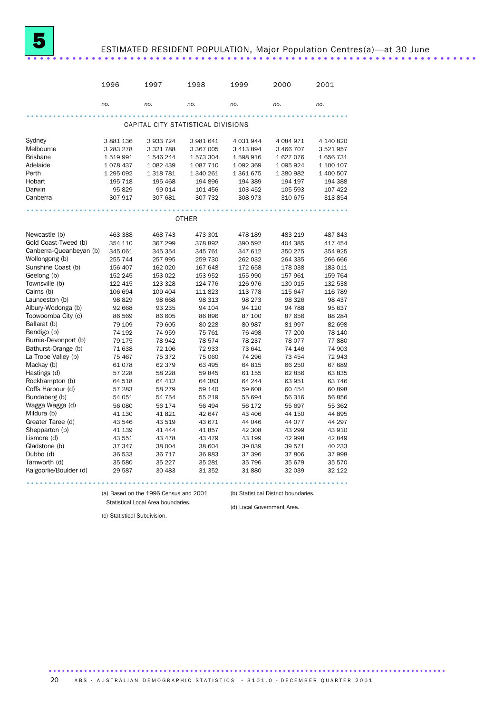## ESTIMATED RESIDENT POPULATION, Major Population Centres(a)-at 30 June

|                         | 1996      | 1997          | 1998                               | 1999      | 2000          | 2001      |
|-------------------------|-----------|---------------|------------------------------------|-----------|---------------|-----------|
|                         | no.       | no.           | no.                                | no.       | no.           | no.       |
|                         |           |               |                                    |           |               |           |
|                         |           |               | CAPITAL CITY STATISTICAL DIVISIONS |           |               |           |
| Sydney                  | 3 881 136 | 3 933 724     | 3 981 641                          | 4 031 944 | 4 0 8 4 9 7 1 | 4 140 820 |
| Melbourne               | 3 283 278 | 3 3 2 1 7 8 8 | 3 367 005                          | 3 413 894 | 3 466 707     | 3521957   |
| <b>Brisbane</b>         | 1519991   | 1546244       | 1 573 304                          | 1 598 916 | 1627076       | 1656731   |
| Adelaide                | 1078437   | 1 0 8 2 4 3 9 | 1 087 710                          | 1 092 369 | 1 0 9 5 9 2 4 | 1 100 107 |
| Perth                   | 1 295 092 | 1 3 1 8 7 8 1 | 1 340 261                          | 1 361 675 | 1 380 982     | 1 400 507 |
| Hobart                  | 195 718   | 195 468       | 194 896                            | 194 389   | 194 197       | 194 388   |
| Darwin                  | 95829     | 99 014        | 101 456                            | 103 452   | 105 593       | 107 422   |
| Canberra                | 307 917   | 307 681       | 307 732                            | 308 973   | 310 675       | 313854    |
|                         |           |               |                                    |           |               |           |
|                         |           |               | <b>OTHER</b>                       |           |               |           |
| Newcastle (b)           | 463 388   | 468 743       | 473 301                            | 478 189   | 483 219       | 487 843   |
| Gold Coast-Tweed (b)    | 354 110   | 367 299       | 378 892                            | 390 592   | 404 385       | 417 454   |
| Canberra-Queanbeyan (b) | 345 061   | 345 354       | 345 761                            | 347 612   | 350 275       | 354 925   |
| Wollongong (b)          | 255 744   | 257 995       | 259 730                            | 262 032   | 264 335       | 266 666   |
| Sunshine Coast (b)      | 156 407   | 162 020       | 167 648                            | 172 658   | 178 038       | 183 011   |
| Geelong (b)             | 152 245   | 153 022       | 153 952                            | 155 990   | 157 961       | 159 764   |
| Townsville (b)          | 122 415   | 123 328       | 124 776                            | 126 976   | 130 015       | 132 538   |
| Cairns (b)              | 106 694   | 109 404       | 111 823                            | 113 778   | 115 647       | 116 789   |
| Launceston (b)          | 98 829    | 98 668        | 98 313                             | 98 273    | 98 326        | 98 437    |
| Albury-Wodonga (b)      | 92 668    | 93 235        | 94 104                             | 94 120    | 94 788        | 95 637    |
| Toowoomba City (c)      | 86 569    | 86 605        | 86 896                             | 87 100    | 87 656        | 88 284    |
| Ballarat (b)            | 79 109    | 79 605        | 80 228                             | 80 987    | 81 997        | 82 698    |
| Bendigo (b)             | 74 192    | 74 959        | 75 761                             | 76 498    | 77 200        | 78 140    |
| Burnie-Devonport (b)    | 79 175    | 78 942        | 78 574                             | 78 237    | 78 077        | 77880     |
| Bathurst-Orange (b)     | 71 638    | 72 106        | 72933                              | 73 641    | 74 146        | 74 903    |
| La Trobe Valley (b)     | 75 467    | 75 372        | 75 060                             | 74 296    | 73 454        | 72943     |
| Mackay (b)              | 61078     | 62 379        | 63 495                             | 64 815    | 66 250        | 67 689    |
| Hastings (d)            | 57 228    | 58 228        | 59845                              | 61 155    | 62 856        | 63835     |
| Rockhampton (b)         | 64 518    | 64 412        | 64 383                             | 64 244    | 63 951        | 63 746    |
| Coffs Harbour (d)       | 57 283    | 58 279        | 59 140                             | 59 608    | 60 454        | 60898     |
| Bundaberg (b)           | 54 051    | 54 754        | 55 219                             | 55 694    | 56 316        | 56 856    |
| Wagga Wagga (d)         | 56 080    | 56 174        | 56 494                             | 56 172    | 55 697        | 55 362    |
| Mildura (b)             | 41 130    | 41821         | 42 647                             | 43 40 6   | 44 150        | 44 895    |
| Greater Taree (d)       | 43 546    | 43 519        | 43 671                             | 44 046    | 44 077        | 44 297    |
| Shepparton (b)          | 41 139    | 41 444        | 41857                              | 42 308    | 43 299        | 43 910    |
| Lismore (d)             | 43 551    | 43 478        | 43 479                             | 43 199    | 42 998        | 42 849    |
| Gladstone (b)           | 37 347    | 38 004        | 38 604                             | 39 039    | 39 571        | 40 233    |
| Dubbo (d)               | 36 533    | 36 717        | 36 983                             | 37 396    | 37 806        | 37 998    |
| Tamworth (d)            | 35 580    | 35 227        | 35 281                             | 35 796    | 35 679        | 35 570    |
| Kalgoorlie/Boulder (d)  | 29 5 87   | 30 483        | 31 352                             | 31 880    | 32 039        | 32 122    |
|                         |           |               |                                    |           |               |           |

(a) Based on the 1996 Census and 2001 Statistical Local Area boundaries.

(b) Statistical District boundaries.

(d) Local Government Area.

(c) Statistical Subdivision.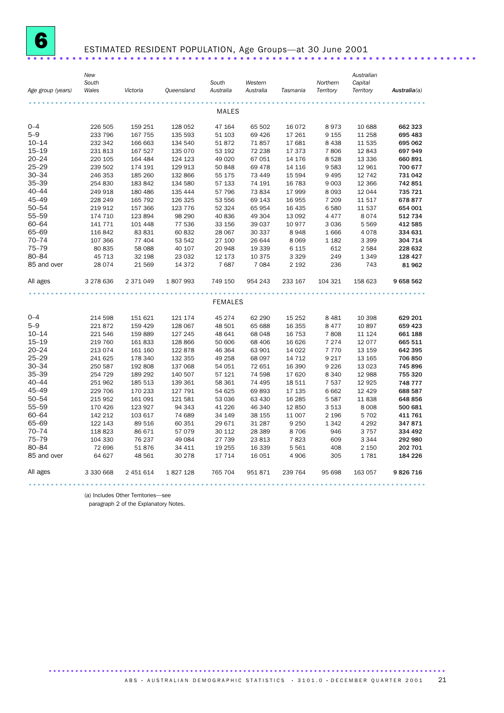

## ESTIMATED RESIDENT POPULATION, Age Groups—at 30 June 2001 ......................................................................

(a) Includes Other Territories—see

paragraph 2 of the Explanatory Notes.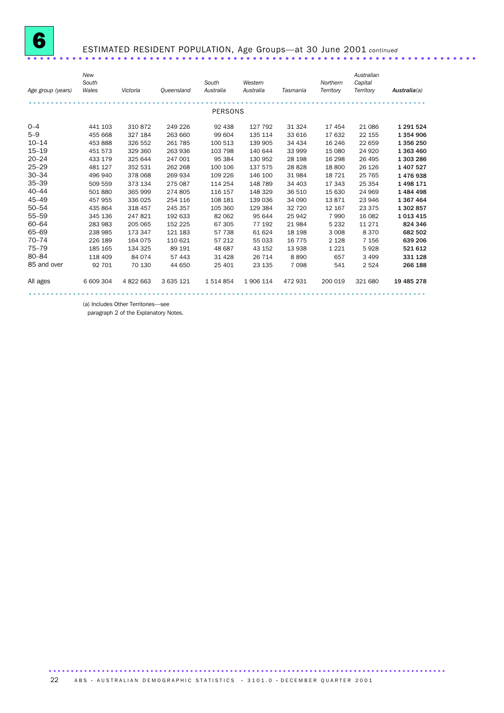

# ESTIMATED RESIDENT POPULATION, Age Groups—at 30 June 2001 *continued* ......................................................................

| Age group (years) | New<br>South<br>Wales | Victoria  | Queensland | South<br>Australia | Western<br>Australia | Tasmania | Northern<br>Territory | Australian<br>Capital<br>Territory | Australia(a) |
|-------------------|-----------------------|-----------|------------|--------------------|----------------------|----------|-----------------------|------------------------------------|--------------|
|                   |                       |           |            | <b>PERSONS</b>     |                      |          |                       |                                    |              |
|                   |                       |           |            |                    |                      |          |                       |                                    |              |
| $0 - 4$           | 441 103               | 310872    | 249 226    | 92 438             | 127 792              | 31 324   | 17454                 | 21 086                             | 1 291 524    |
| $5 - 9$           | 455 668               | 327 184   | 263 660    | 99 604             | 135 114              | 33 616   | 17632                 | 22 155                             | 1 354 906    |
| $10 - 14$         | 453 888               | 326 552   | 261 785    | 100 513            | 139 905              | 34 4 34  | 16 24 6               | 22 659                             | 1 356 250    |
| $15 - 19$         | 451 573               | 329 360   | 263 936    | 103 798            | 140 644              | 33 999   | 15 080                | 24 9 20                            | 1 363 460    |
| $20 - 24$         | 433 179               | 325 644   | 247 001    | 95 384             | 130 952              | 28 198   | 16 298                | 26 495                             | 1 303 286    |
| $25 - 29$         | 481 127               | 352 531   | 262 268    | 100 106            | 137 575              | 28 8 28  | 18 800                | 26 1 26                            | 1 407 527    |
| $30 - 34$         | 496 940               | 378 068   | 269 934    | 109 226            | 146 100              | 31 984   | 18 7 21               | 25 7 65                            | 1476938      |
| $35 - 39$         | 509 559               | 373 134   | 275 087    | 114 254            | 148 789              | 34 403   | 17 343                | 25 3 54                            | 1498171      |
| $40 - 44$         | 501 880               | 365 999   | 274 805    | 116 157            | 148 329              | 36 510   | 15 630                | 24 969                             | 1484498      |
| $45 - 49$         | 457 955               | 336 025   | 254 116    | 108 181            | 139 036              | 34 090   | 13871                 | 23 946                             | 1 367 464    |
| $50 - 54$         | 435 864               | 318 457   | 245 357    | 105 360            | 129 384              | 32 720   | 12 167                | 23 375                             | 1 302 857    |
| $55 - 59$         | 345 136               | 247821    | 192 633    | 82 062             | 95 644               | 25 942   | 7990                  | 16 082                             | 1 013 415    |
| $60 - 64$         | 283 983               | 205 065   | 152 225    | 67 305             | 77 192               | 21 984   | 5 2 3 2               | 11 271                             | 824 346      |
| 65-69             | 238 985               | 173 347   | 121 183    | 57 738             | 61 624               | 18 198   | 3 0 0 8               | 8370                               | 682 502      |
| $70 - 74$         | 226 189               | 164 075   | 110 621    | 57 212             | 55 033               | 16 775   | 2 1 2 8               | 7 1 5 6                            | 639 206      |
| $75 - 79$         | 185 165               | 134 325   | 89 191     | 48 687             | 43 152               | 13 938   | 1 2 2 1               | 5928                               | 521 612      |
| 80-84             | 118 409               | 84 0 74   | 57 443     | 31 4 28            | 26 714               | 8890     | 657                   | 3 4 9 9                            | 331 128      |
| 85 and over       | 92 701                | 70 130    | 44 650     | 25 401             | 23 135               | 7 0 9 8  | 541                   | 2 5 2 4                            | 266 188      |
| All ages          | 6 609 304             | 4 822 663 | 3 635 121  | 1 514 854          | 1906 114             | 472931   | 200 019               | 321 680                            | 19 485 278   |
|                   |                       |           |            |                    |                      |          |                       |                                    |              |

(a) Includes Other Territories—see

paragraph 2 of the Explanatory Notes.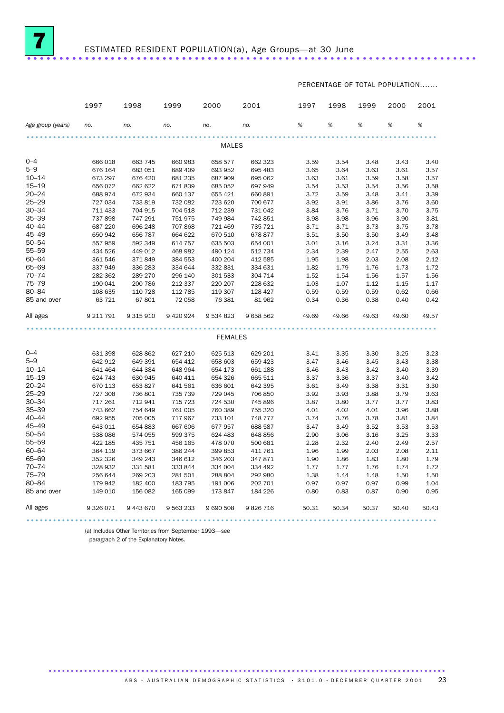

PERCENTAGE OF TOTAL POPULATION.......

|                   | 1997      | 1998      | 1999        | 2000           | 2001      | 1997  | 1998  | 1999  | 2000  | 2001  |
|-------------------|-----------|-----------|-------------|----------------|-----------|-------|-------|-------|-------|-------|
| Age group (years) | no.       | no.       | no.         | no.            | no.       | %     | %     | %     | %     | %     |
|                   |           |           |             |                |           |       |       |       |       |       |
|                   |           |           |             | <b>MALES</b>   |           |       |       |       |       |       |
| $0 - 4$           | 666 018   | 663 745   | 660 983     | 658 577        | 662 323   | 3.59  | 3.54  | 3.48  | 3.43  | 3.40  |
| $5 - 9$           | 676 164   | 683 051   | 689 409     | 693 952        | 695 483   | 3.65  | 3.64  | 3.63  | 3.61  | 3.57  |
| $10 - 14$         | 673 297   | 676 420   | 681 235     | 687 909        | 695 062   | 3.63  | 3.61  | 3.59  | 3.58  | 3.57  |
| $15 - 19$         | 656 072   | 662 622   | 671839      | 685 052        | 697 949   | 3.54  | 3.53  | 3.54  | 3.56  | 3.58  |
| $20 - 24$         | 688 974   | 672 934   | 660 137     | 655 421        | 660 891   | 3.72  | 3.59  | 3.48  | 3.41  | 3.39  |
| $25 - 29$         | 727 034   | 733 819   | 732 082     | 723 620        | 700 677   | 3.92  | 3.91  | 3.86  | 3.76  | 3.60  |
| $30 - 34$         | 711 433   | 704 915   | 704 518     | 712 239        | 731 042   | 3.84  | 3.76  | 3.71  | 3.70  | 3.75  |
| $35 - 39$         | 737898    | 747 291   | 751 975     | 749 984        | 742 851   | 3.98  | 3.98  | 3.96  | 3.90  | 3.81  |
| $40 - 44$         | 687 220   | 696 248   | 707 868     | 721 469        | 735 721   | 3.71  | 3.71  | 3.73  | 3.75  | 3.78  |
| $45 - 49$         | 650 942   | 656 787   | 664 622     | 670 510        | 678 877   | 3.51  | 3.50  | 3.50  | 3.49  | 3.48  |
| $50 - 54$         | 557 959   | 592 349   | 614 757     | 635 503        | 654 001   | 3.01  | 3.16  | 3.24  | 3.31  | 3.36  |
| $55 - 59$         | 434 526   | 449 012   | 468 982     | 490 124        | 512 734   | 2.34  | 2.39  | 2.47  | 2.55  | 2.63  |
| $60 - 64$         | 361 546   | 371849    | 384 553     | 400 204        | 412 585   | 1.95  | 1.98  | 2.03  | 2.08  | 2.12  |
| 65-69             | 337949    | 336 283   | 334 644     | 332 831        | 334 631   | 1.82  | 1.79  | 1.76  | 1.73  | 1.72  |
| $70 - 74$         | 282 362   | 289 270   | 296 140     | 301 533        | 304 714   | 1.52  | 1.54  | 1.56  | 1.57  | 1.56  |
| $75 - 79$         | 190 041   | 200 786   | 212 337     | 220 207        | 228 632   | 1.03  | 1.07  | 1.12  | 1.15  | 1.17  |
| $80 - 84$         | 108 635   | 110 728   | 112 785     | 119 307        | 128 427   | 0.59  | 0.59  | 0.59  | 0.62  | 0.66  |
| 85 and over       | 63 721    | 67 801    | 72 058      | 76 381         | 81 962    | 0.34  | 0.36  | 0.38  | 0.40  | 0.42  |
| All ages          | 9 211 791 | 9 315 910 | 9 4 20 9 24 | 9 534 823      | 9 658 562 | 49.69 | 49.66 | 49.63 | 49.60 | 49.57 |
|                   |           |           |             |                |           |       |       |       |       |       |
|                   |           |           |             | <b>FEMALES</b> |           |       |       |       |       |       |
| $0 - 4$           | 631 398   | 628 862   | 627 210     | 625 513        | 629 201   | 3.41  | 3.35  | 3.30  | 3.25  | 3.23  |
| $5 - 9$           | 642 912   | 649 391   | 654 412     | 658 603        | 659 423   | 3.47  | 3.46  | 3.45  | 3.43  | 3.38  |
| $10 - 14$         | 641 464   | 644 384   | 648 964     | 654 173        | 661 188   | 3.46  | 3.43  | 3.42  | 3.40  | 3.39  |
| $15 - 19$         | 624 743   | 630 945   | 640 411     | 654 326        | 665 511   | 3.37  | 3.36  | 3.37  | 3.40  | 3.42  |
| $20 - 24$         | 670 113   | 653 827   | 641 561     | 636 601        | 642 395   | 3.61  | 3.49  | 3.38  | 3.31  | 3.30  |
| $25 - 29$         | 727 308   | 736 801   | 735 739     | 729 045        | 706 850   | 3.92  | 3.93  | 3.88  | 3.79  | 3.63  |
| $30 - 34$         | 717 261   | 712 941   | 715 723     | 724 530        | 745 896   | 3.87  | 3.80  | 3.77  | 3.77  | 3.83  |
| $35 - 39$         | 743 662   | 754 649   | 761 005     | 760 389        | 755 320   | 4.01  | 4.02  | 4.01  | 3.96  | 3.88  |
| $40 - 44$         | 692 955   | 705 005   | 717 967     | 733 101        | 748 777   | 3.74  | 3.76  | 3.78  | 3.81  | 3.84  |
| $45 - 49$         | 643 011   | 654 883   | 667 606     | 677 957        | 688 587   | 3.47  | 3.49  | 3.52  | 3.53  | 3.53  |
| $50 - 54$         | 538 086   | 574 055   | 599 375     | 624 483        | 648 856   | 2.90  | 3.06  | 3.16  | 3.25  | 3.33  |
| $55 - 59$         | 422 185   | 435 751   | 456 165     | 478 070        | 500 681   | 2.28  | 2.32  | 2.40  | 2.49  | 2.57  |
| $60 - 64$         | 364 119   | 373 667   | 386 244     | 399 853        | 411 761   | 1.96  | 1.99  | 2.03  | 2.08  | 2.11  |
| 65-69             | 352 326   | 349 243   | 346 612     | 346 203        | 347 871   | 1.90  | 1.86  | 1.83  | 1.80  | 1.79  |
| $70 - 74$         | 328 932   | 331 581   | 333 844     | 334 004        | 334 492   | 1.77  | 1.77  | 1.76  | 1.74  | 1.72  |
| $75 - 79$         | 256 644   | 269 203   | 281 501     | 288 804        | 292 980   | 1.38  | 1.44  | 1.48  | 1.50  | 1.50  |
| $80 - 84$         | 179 942   | 182 400   | 183 795     | 191 006        | 202 701   | 0.97  | 0.97  | 0.97  | 0.99  | 1.04  |
| 85 and over       | 149 010   | 156 082   | 165 099     | 173 847        | 184 226   | 0.80  | 0.83  | 0.87  | 0.90  | 0.95  |
| All ages          | 9 326 071 | 9 443 670 | 9 563 233   | 9 690 508      | 9826716   | 50.31 | 50.34 | 50.37 | 50.40 | 50.43 |
|                   |           |           |             |                |           |       |       |       |       |       |

(a) Includes Other Territories from September 1993—see

paragraph 2 of the Explanatory Notes.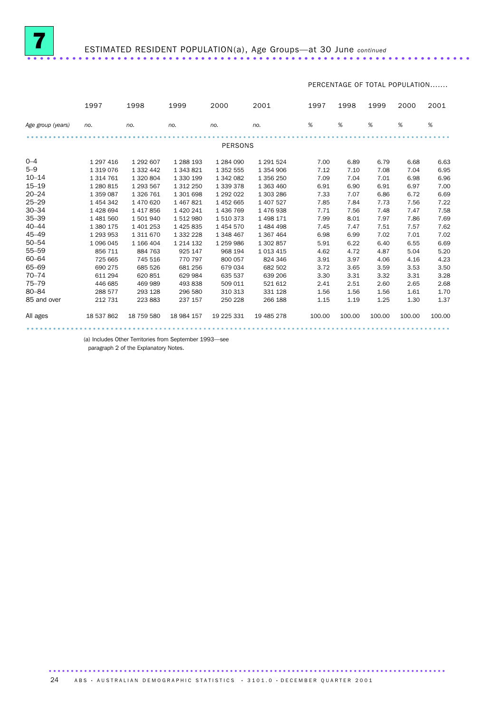

PERCENTAGE OF TOTAL POPULATION.......

|                   | 1997          | 1998          | 1999          | 2000           | 2001          | 1997   | 1998   | 1999   | 2000   | 2001   |
|-------------------|---------------|---------------|---------------|----------------|---------------|--------|--------|--------|--------|--------|
| Age group (years) | no.           | no.           | no.           | no.            | no.           | %      | %      | %      | %      | %      |
|                   |               |               |               | <b>PERSONS</b> |               |        |        |        |        |        |
|                   |               |               |               |                |               |        |        |        |        |        |
| $0 - 4$           | 1 297 416     | 1 292 607     | 1 288 193     | 1 284 090      | 1 291 524     | 7.00   | 6.89   | 6.79   | 6.68   | 6.63   |
| $5 - 9$           | 1 3 1 9 0 7 6 | 1 3 3 2 4 4 2 | 1 343 821     | 1 352 555      | 1 3 5 4 9 0 6 | 7.12   | 7.10   | 7.08   | 7.04   | 6.95   |
| $10 - 14$         | 1 3 1 4 7 6 1 | 1 320 804     | 1 330 199     | 1 342 082      | 1 356 250     | 7.09   | 7.04   | 7.01   | 6.98   | 6.96   |
| $15 - 19$         | 1 280 815     | 1 293 567     | 1 312 250     | 1 3 3 9 3 7 8  | 1 363 460     | 6.91   | 6.90   | 6.91   | 6.97   | 7.00   |
| $20 - 24$         | 1 359 087     | 1 326 761     | 1 301 698     | 1 292 022      | 1 303 286     | 7.33   | 7.07   | 6.86   | 6.72   | 6.69   |
| $25 - 29$         | 1 454 342     | 1 470 620     | 1 467 821     | 1452665        | 1 407 527     | 7.85   | 7.84   | 7.73   | 7.56   | 7.22   |
| $30 - 34$         | 1428694       | 1417856       | 1 420 241     | 1436769        | 1476938       | 7.71   | 7.56   | 7.48   | 7.47   | 7.58   |
| $35 - 39$         | 1481560       | 1501940       | 1512980       | 1510373        | 1498171       | 7.99   | 8.01   | 7.97   | 7.86   | 7.69   |
| $40 - 44$         | 1 380 175     | 1 401 253     | 1425835       | 1454570        | 1484498       | 7.45   | 7.47   | 7.51   | 7.57   | 7.62   |
| $45 - 49$         | 1 293 953     | 1 311 670     | 1 332 228     | 1 348 467      | 1 367 464     | 6.98   | 6.99   | 7.02   | 7.01   | 7.02   |
| $50 - 54$         | 1096045       | 1 166 404     | 1 2 1 4 1 3 2 | 1 259 986      | 1 302 857     | 5.91   | 6.22   | 6.40   | 6.55   | 6.69   |
| $55 - 59$         | 856 711       | 884 763       | 925 147       | 968 194        | 1 0 1 3 4 1 5 | 4.62   | 4.72   | 4.87   | 5.04   | 5.20   |
| $60 - 64$         | 725 665       | 745 516       | 770 797       | 800 057        | 824 346       | 3.91   | 3.97   | 4.06   | 4.16   | 4.23   |
| 65-69             | 690 275       | 685 526       | 681 256       | 679 034        | 682 502       | 3.72   | 3.65   | 3.59   | 3.53   | 3.50   |
| $70 - 74$         | 611 294       | 620 851       | 629 984       | 635 537        | 639 206       | 3.30   | 3.31   | 3.32   | 3.31   | 3.28   |
| $75 - 79$         | 446 685       | 469 989       | 493 838       | 509 011        | 521 612       | 2.41   | 2.51   | 2.60   | 2.65   | 2.68   |
| $80 - 84$         | 288 577       | 293 128       | 296 580       | 310 313        | 331 128       | 1.56   | 1.56   | 1.56   | 1.61   | 1.70   |
| 85 and over       | 212 731       | 223 883       | 237 157       | 250 228        | 266 188       | 1.15   | 1.19   | 1.25   | 1.30   | 1.37   |
| All ages          | 18 537 862    | 18 759 580    | 18 984 157    | 19 225 331     | 19 485 278    | 100.00 | 100.00 | 100.00 | 100.00 | 100.00 |
|                   |               |               |               |                |               |        |        |        |        |        |

(a) Includes Other Territories from September 1993—see

paragraph 2 of the Explanatory Notes.

.......................................................................................... 24 ABS · AUSTRALIAN DEMOGRAPHIC STATISTICS · 3101.0 · DECEMBER QUARTER 2001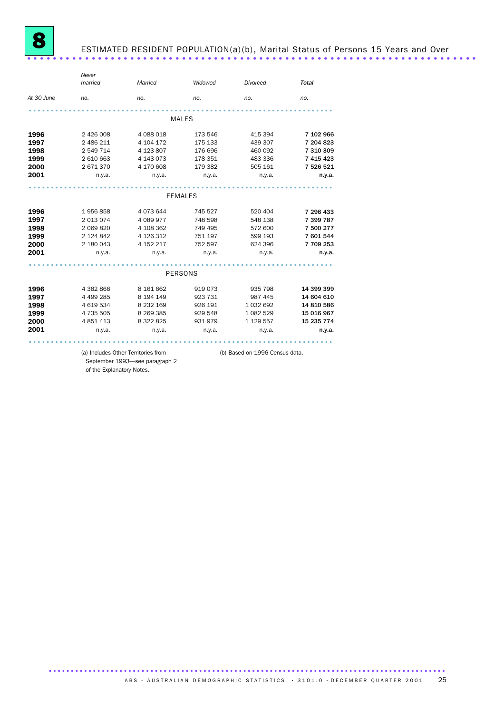

## ESTIMATED RESIDENT POPULATION(a)(b), Marital Status of Persons 15 Years and Over ......................................................................

|            | Never     |           |                |               |              |
|------------|-----------|-----------|----------------|---------------|--------------|
|            | married   | Married   | Widowed        | Divorced      | <b>Total</b> |
| At 30 June | no.       | no.       | no.            | no.           | no.          |
|            |           |           |                |               |              |
|            |           |           | <b>MALES</b>   |               |              |
| 1996       | 2 426 008 | 4 088 018 | 173 546        | 415 394       | 7 102 966    |
| 1997       | 2 486 211 | 4 104 172 | 175 133        | 439 307       | 7 204 823    |
| 1998       | 2 549 714 | 4 123 807 | 176 696        | 460 092       | 7 310 309    |
| 1999       | 2 610 663 | 4 143 073 | 178 351        | 483 336       | 7 415 423    |
| 2000       | 2671370   | 4 170 608 | 179 382        | 505 161       | 7 526 521    |
| 2001       | n.y.a.    | n.y.a.    | n.y.a.         | n.y.a.        | n.y.a.       |
|            |           |           | <b>FEMALES</b> |               |              |
|            |           |           |                |               |              |
| 1996       | 1956858   | 4 073 644 | 745 527        | 520 404       | 7 296 433    |
| 1997       | 2 013 074 | 4 089 977 | 748 598        | 548 138       | 7 399 787    |
| 1998       | 2 069 820 | 4 108 362 | 749 495        | 572 600       | 7 500 277    |
| 1999       | 2 124 842 | 4 126 312 | 751 197        | 599 193       | 7 601 544    |
| 2000       | 2 180 043 | 4 152 217 | 752 597        | 624 396       | 7709253      |
| 2001       | n.y.a.    | n.y.a.    | n.y.a.         | n.y.a.        | n.y.a.       |
|            |           |           |                |               |              |
|            |           |           | <b>PERSONS</b> |               |              |
| 1996       | 4 382 866 | 8 161 662 | 919 073        | 935 798       | 14 399 399   |
| 1997       | 4 499 285 | 8 194 149 | 923 731        | 987 445       | 14 604 610   |
| 1998       | 4 619 534 | 8 232 169 | 926 191        | 1 0 3 2 6 9 2 | 14 810 586   |
| 1999       | 4 735 505 | 8 269 385 | 929 548        | 1 082 529     | 15 016 967   |
| 2000       | 4 851 413 | 8 322 825 | 931 979        | 1 129 557     | 15 235 774   |
| 2001       | n.y.a.    | n.y.a.    | n.y.a.         | n.y.a.        | n.y.a.       |
|            |           |           |                |               |              |

September 1993—see paragraph 2 of the Explanatory Notes.

(a) Includes Other Territories from (b) Based on 1996 Census data.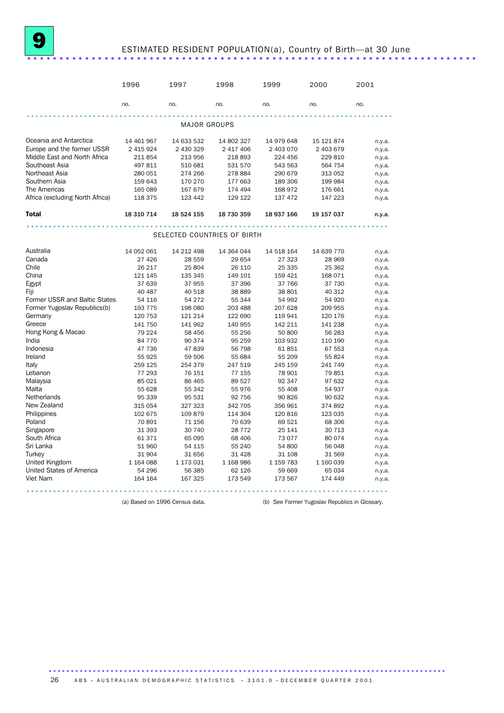## ESTIMATED RESIDENT POPULATION(a), Country of Birth—at 30 June ......................................................................

|                                 | 1996       | 1997                        | 1998       | 1999       | 2000       | 2001   |
|---------------------------------|------------|-----------------------------|------------|------------|------------|--------|
|                                 | no.        | no.                         | no.        | no.        | no.        | no.    |
|                                 |            |                             |            |            |            |        |
|                                 |            | <b>MAJOR GROUPS</b>         |            |            |            |        |
| Oceania and Antarctica          | 14 461 967 | 14 633 532                  | 14 802 327 | 14 979 648 | 15 121 874 | n.y.a. |
| Europe and the former USSR      | 2 415 924  | 2 430 329                   | 2 417 406  | 2 403 070  | 2 403 679  | n.y.a. |
| Middle East and North Africa    | 211 854    | 213 956                     | 218 893    | 224 456    | 229 810    | n.y.a. |
| Southeast Asia                  | 497 811    | 510 681                     | 531 570    | 543 563    | 564 754    | n.y.a. |
| Northeast Asia                  | 280 051    | 274 266                     | 278 884    | 290 679    | 313 052    | n.y.a. |
| Southern Asia                   | 159 643    | 170 270                     | 177 663    | 189 306    | 199 984    | n.y.a. |
| The Americas                    | 165 089    | 167 679                     | 174 494    | 168 972    | 176 661    | n.y.a. |
| Africa (excluding North Africa) | 118 375    | 123 442                     | 129 122    | 137 472    | 147 223    | n.y.a. |
| <b>Total</b>                    | 18 310 714 | 18 524 155                  | 18 730 359 | 18 937 166 | 19 157 037 | n.y.a. |
|                                 |            |                             |            |            |            |        |
|                                 |            | SELECTED COUNTRIES OF BIRTH |            |            |            |        |
|                                 |            |                             |            |            |            |        |
| Australia                       | 14 052 061 | 14 212 498                  | 14 364 044 | 14 518 164 | 14 639 770 | n.y.a. |
| Canada                          | 27 4 26    | 28 559                      | 29 654     | 27 323     | 28 969     | n.y.a. |
| Chile                           | 26 217     | 25 804                      | 26 110     | 25 335     | 25 362     | n.y.a. |
| China                           | 121 145    | 135 345                     | 149 101    | 159 421    | 168 071    | n.y.a. |
| Egypt                           | 37 639     | 37 955                      | 37 396     | 37 766     | 37 730     | n.y.a. |
| Fiji                            | 40 487     | 40 518                      | 38 889     | 38 801     | 40 312     | n.y.a. |
| Former USSR and Baltic States   | 54 116     | 54 272                      | 55 344     | 54 992     | 54 920     | n.y.a. |
| Former Yugoslav Republics(b)    | 193 775    | 198 080                     | 203 488    | 207 628    | 209 955    | n.y.a. |
| Germany                         | 120 753    | 121 214                     | 122 690    | 119 941    | 120 176    | n.y.a. |
| Greece                          | 141 750    | 141 962                     | 140 955    | 142 211    | 141 238    | n.y.a. |
| Hong Kong & Macao               | 79 224     | 58 456                      | 55 256     | 50 800     | 56 283     | n.y.a. |
| India                           | 84 770     | 90 374                      | 95 259     | 103 932    | 110 190    | n.y.a. |
| Indonesia                       | 47 736     | 47839                       | 56 798     | 61851      | 67 553     | n.y.a. |
| Ireland                         | 55 925     | 59 506                      | 55 684     | 55 209     | 55 824     | n.y.a. |
| Italy                           | 259 125    | 254 379                     | 247 519    | 245 159    | 241 749    | n.y.a. |
| Lebanon                         | 77 293     | 76 151                      | 77 155     | 78 901     | 79851      | n.y.a. |
| Malaysia                        | 85 021     | 86 465                      | 89 527     | 92 347     | 97 632     | n.y.a. |
| Malta                           | 55 628     | 55 342                      | 55976      | 55 408     | 54 937     | n.y.a. |
| <b>Netherlands</b>              | 95 339     | 95 531                      | 92 756     | 90 826     | 90 632     | n.y.a. |
| New Zealand                     | 315 054    | 327 323                     | 342 705    | 356 961    | 374892     | n.y.a. |
| Philippines                     | 102 675    | 109 879                     | 114 304    | 120 816    | 123 035    | n.y.a. |
| Poland                          | 70 891     | 71 156                      | 70 639     | 69 521     | 68 30 6    | n.y.a. |
| Singapore                       | 31 393     | 30 740                      | 28 7 7 2   | 25 141     | 30 713     | n.y.a. |
| South Africa                    | 61 371     | 65 095                      | 68 406     | 73 077     | 80 0 74    | n.y.a. |
| Sri Lanka                       | 51 960     | 54 115                      | 55 240     | 54 800     | 56 048     | n.y.a. |
| Turkey                          | 31 904     | 31 656                      | 31 4 28    | 31 108     | 31 569     | n.y.a. |
| United Kingdom                  | 1 164 088  | 1 173 031                   | 1 168 986  | 1 159 783  | 1 160 039  | n.y.a. |
| United States of America        | 54 296     | 56 385                      | 62 126     | 59 669     | 65 034     | n.y.a. |
| Viet Nam                        | 164 164    | 167 325                     | 173 549    | 173 567    | 174 449    | n.y.a. |
|                                 |            |                             |            |            |            |        |

(a) Based on 1996 Census data. (b) See Former Yugoslav Republics in Glossary.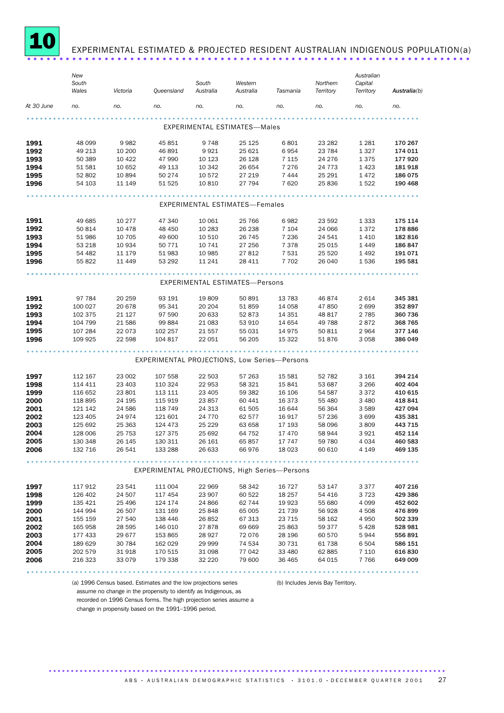

## EXPERIMENTAL ESTIMATED & PROJECTED RESIDENT AUSTRALIAN INDIGENOUS POPULATION(a)

|            | New     |          |                                               |           |                                       |          |           | Australian |              |
|------------|---------|----------|-----------------------------------------------|-----------|---------------------------------------|----------|-----------|------------|--------------|
|            | South   |          |                                               | South     | Western                               |          | Northern  | Capital    |              |
|            | Wales   | Victoria | Queensland                                    | Australia | Australia                             | Tasmania | Territory | Territory  | Australia(b) |
| At 30 June | no.     | no.      | no.                                           | no.       | no.                                   | no.      | no.       | no.        | no.          |
|            |         |          |                                               |           | <b>EXPERIMENTAL ESTIMATES-Males</b>   |          |           |            |              |
|            |         |          |                                               |           |                                       |          |           |            |              |
| 1991       | 48 099  | 9982     | 45 851                                        | 9748      | 25 1 25                               | 6801     | 23 28 2   | 1 2 8 1    | 170 267      |
| 1992       | 49 213  | 10 200   | 46 891                                        | 9921      | 25 621                                | 6954     | 23 784    | 1 3 2 7    | 174 011      |
| 1993       | 50 389  | 10 4 22  | 47 990                                        | 10 123    | 26 128                                | 7 1 1 5  | 24 276    | 1375       | 177920       |
| 1994       | 51 581  | 10 652   | 49 113                                        | 10 342    | 26 654                                | 7 2 7 6  | 24 7 7 3  | 1423       | 181 918      |
| 1995       | 52 802  | 10894    | 50 274                                        | 10 572    | 27 219                                | 7444     | 25 291    | 1472       | 186 075      |
| 1996       | 54 103  | 11 149   | 51 525                                        | 10 810    | 27 794                                | 7620     | 25 836    | 1522       | 190 468      |
|            |         |          |                                               |           | <b>EXPERIMENTAL ESTIMATES-Females</b> |          |           |            |              |
|            |         |          |                                               |           |                                       |          |           |            |              |
| 1991       | 49 685  | 10 277   | 47 340                                        | 10 061    | 25 766                                | 6982     | 23 592    | 1 3 3 3    | 175 114      |
| 1992       | 50 814  | 10 4 78  | 48 450                                        | 10 283    | 26 238                                | 7 1 0 4  | 24 066    | 1372       | 178 886      |
| 1993       | 51 986  | 10 705   | 49 600                                        | 10 510    | 26 745                                | 7 2 3 6  | 24 541    | 1410       | 182 816      |
| 1994       | 53 218  | 10 934   | 50 7 7 1                                      | 10 741    | 27 256                                | 7 3 7 8  | 25 015    | 1449       | 186 847      |
| 1995       | 54 482  | 11 179   | 51 983                                        | 10 985    | 27 812                                | 7 5 3 1  | 25 5 20   | 1492       | 191 071      |
| 1996       | 55 822  | 11 449   | 53 292                                        | 11 241    | 28 411                                | 7 7 0 2  | 26 040    | 1536       | 195 581      |
|            |         |          |                                               |           |                                       |          |           |            |              |
|            |         |          |                                               |           | EXPERIMENTAL ESTIMATES-Persons        |          |           |            |              |
| 1991       | 97 784  | 20 259   | 93 191                                        | 19809     | 50 891                                | 13 783   | 46874     | 2614       | 345 381      |
| 1992       | 100 027 | 20 678   | 95 341                                        | 20 20 4   | 51 859                                | 14 0 58  | 47850     | 2699       | 352 897      |
| 1993       | 102 375 | 21 1 27  | 97 590                                        | 20 633    | 52 873                                | 14 3 5 1 | 48 817    | 2 7 8 5    | 360 736      |
| 1994       | 104 799 | 21 586   | 99 884                                        | 21 083    | 53 910                                | 14 654   | 49 788    | 2872       | 368 765      |
| 1995       | 107 284 | 22 073   | 102 257                                       | 21 557    | 55 031                                | 14 975   | 50 811    | 2964       | 377 146      |
| 1996       | 109 925 | 22 598   | 104 817                                       | 22 051    | 56 205                                | 15 322   | 51 876    | 3 0 5 8    | 386 049      |
|            |         |          |                                               |           |                                       |          |           |            |              |
|            |         |          | EXPERIMENTAL PROJECTIONS, Low Series-Persons  |           |                                       |          |           |            |              |
| 1997       | 112 167 | 23 002   | 107 558                                       | 22 503    | 57 263                                | 15 581   | 52 782    | 3 1 6 1    | 394 214      |
| 1998       | 114 411 | 23 403   | 110 324                                       | 22 953    | 58 321                                | 15 841   | 53 687    | 3 2 6 6    | 402 404      |
| 1999       | 116 652 | 23 801   | 113 111                                       | 23 4 05   | 59 382                                | 16 106   | 54 587    | 3 3 7 2    | 410 615      |
| 2000       | 118 895 | 24 195   | 115 919                                       | 23857     | 60 441                                | 16 373   | 55 480    | 3 4 8 0    | 418 841      |
| 2001       | 121 142 | 24 586   | 118 749                                       | 24 313    | 61 505                                | 16 644   | 56 364    | 3 5 8 9    | 427 094      |
| 2002       | 123 405 | 24974    | 121 601                                       | 24 7 7 0  | 62 577                                | 16917    | 57 236    | 3699       | 435 381      |
| 2003       | 125 692 | 25 363   | 124 473                                       | 25 2 29   | 63 658                                | 17 193   | 58 096    | 3809       | 443 715      |
| 2004       | 128 006 | 25 7 53  | 127 375                                       | 25 692    | 64 752                                | 17 470   | 58 944    | 3 9 2 1    | 452 114      |
| 2005       | 130 348 | 26 145   | 130 311                                       | 26 161    | 65857                                 | 17 747   | 59 780    | 4 0 3 4    | 460 583      |
| 2006       | 132 716 | 26 541   | 133 288                                       | 26 633    | 66976                                 | 18 0 23  | 60 610    | 4 1 4 9    | 469 135      |
|            |         |          |                                               |           |                                       |          |           |            |              |
|            |         |          | EXPERIMENTAL PROJECTIONS, High Series-Persons |           |                                       |          |           |            |              |
| 1997       | 117 912 | 23 541   | 111 004                                       | 22 969    | 58 342                                | 16 727   | 53 147    | 3 3 7 7    | 407 216      |
| 1998       | 126 402 | 24 507   | 117 454                                       | 23 907    | 60 522                                | 18 257   | 54 416    | 3 7 2 3    | 429 386      |
| 1999       | 135 421 | 25 4 96  | 124 174                                       | 24 866    | 62 744                                | 19 923   | 55 680    | 4 0 9 9    | 452 602      |
| 2000       | 144 994 | 26 507   | 131 169                                       | 25 848    | 65 005                                | 21 739   | 56 928    | 4 5 0 8    | 476899       |
| 2001       | 155 159 | 27 540   | 138 446                                       | 26852     | 67 313                                | 23 715   | 58 162    | 4 9 5 0    | 502 339      |
| 2002       | 165 958 | 28 5 95  | 146 010                                       | 27878     | 69 669                                | 25 863   | 59 377    | 5 4 2 8    | 528 981      |
| 2003       | 177 433 | 29 677   | 153 865                                       | 28 9 27   | 72076                                 | 28 196   | 60 570    | 5944       | 556 891      |
| 2004       | 189 629 | 30 784   | 162 029                                       | 29 999    | 74 534                                | 30 731   | 61 738    | 6 5 0 4    | 586 151      |
| 2005       | 202 579 | 31918    | 170 515                                       | 31 098    | 77 042                                | 33 480   | 62 885    | 7 1 1 0    | 616 830      |
| 2006       | 216 323 | 33 0 79  | 179 338                                       | 32 2 2 0  | 79 600                                | 36 465   | 64 015    | 7766       | 649 009      |
|            |         |          |                                               |           |                                       |          |           |            |              |
|            |         |          |                                               |           |                                       |          |           |            |              |

(a) 1996 Census based. Estimates and the low projections series

(b) Includes Jervis Bay Territory.

assume no change in the propensity to identify as Indigenous, as recorded on 1996 Census forms. The high projection series assume a change in propensity based on the 1991–1996 period.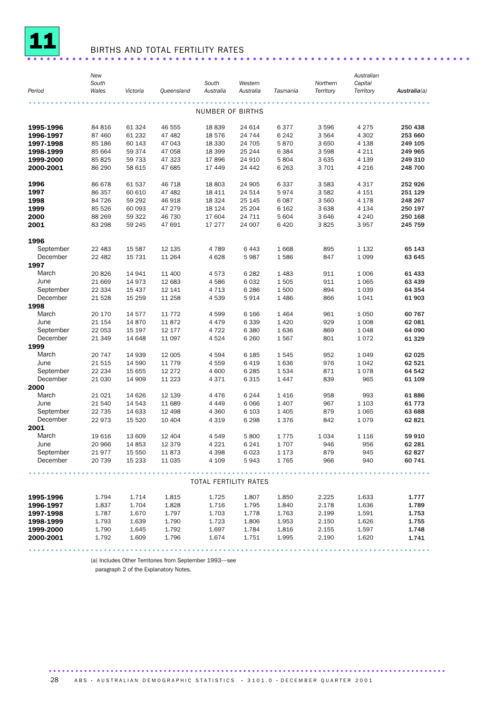

## BIRTHS AND TOTAL FERTILITY RATES ..................................................................... .

|                       | New     |                      |            |                       |           |          |           | Australian |              |
|-----------------------|---------|----------------------|------------|-----------------------|-----------|----------|-----------|------------|--------------|
|                       | South   |                      |            | South                 | Western   |          | Northern  | Capital    |              |
| Period                | Wales   | Victoria             | Queensland | Australia             | Australia | Tasmania | Territory | Territory  | Australia(a) |
|                       |         |                      |            |                       |           |          |           |            |              |
|                       |         |                      |            | NUMBER OF BIRTHS      |           |          |           |            |              |
|                       |         |                      |            |                       |           |          |           |            |              |
| 1995-1996             | 84 816  | 61 324               | 46 555     | 18839                 | 24 614    | 6377     | 3596      | 4 2 7 5    | 250 438      |
| 1996-1997             | 87 460  | 61 232               | 47 482     | 18 576                | 24 744    | 6 2 4 2  | 3 5 6 4   | 4 3 0 2    | 253 660      |
| 1997-1998             | 85 186  | 60 143               | 47 043     | 18 3 30               | 24 705    | 5870     | 3 6 5 0   | 4 1 3 8    | 249 105      |
| 1998-1999             | 85 664  | 59 374               | 47 058     | 18 399                | 25 244    | 6 3 8 4  | 3598      | 4 2 1 1    | 249 965      |
| 1999-2000             | 85 825  | 59 733               | 47 323     | 17896                 | 24 910    | 5804     | 3635      | 4 1 3 9    | 249 310      |
| 2000-2001             | 86 290  | 58 615               | 47 685     | 17 449                | 24 442    | 6 2 6 3  | 3701      | 4 2 1 6    | 248 700      |
| 1996                  | 86 678  | 61 537               | 46 718     | 18 803                | 24 905    | 6337     | 3 5 8 3   | 4 3 1 7    | 252 926      |
| 1997                  | 86 357  | 60 610               | 47 482     | 18 411                | 24 514    | 5974     | 3582      | 4 1 5 1    | 251 129      |
| 1998                  | 84 726  | 59 29 2              | 46918      | 18 3 24               | 25 145    | 6 0 87   | 3 5 6 0   | 4 1 7 8    | 248 267      |
| 1999                  | 85 526  | 60 093               | 47 279     | 18 1 24               | 25 204    | 6 1 6 2  | 3638      | 4 1 3 4    | 250 197      |
| 2000                  | 88 269  | 59 322               | 46 730     | 17 604                | 24 711    | 5 604    | 3646      | 4 2 4 0    | 250 168      |
| 2001                  | 83 298  | 59 245               | 47 691     | 17 277                | 24 007    | 6420     | 3825      | 3957       | 245 759      |
|                       |         |                      |            |                       |           |          |           |            |              |
| 1996                  |         |                      |            |                       |           |          |           |            |              |
| September             | 22 483  | 15 5 87              | 12 135     | 4 7 8 9               | 6 4 4 3   | 1668     | 895       | 1 1 3 2    | 65 143       |
| December              | 22 4 82 | 15 7 31              | 11 264     | 4628                  | 5987      | 1586     | 847       | 1 0 9 9    | 63 645       |
| 1997                  |         |                      |            |                       |           |          |           |            |              |
| March                 | 20826   | 14 941               | 11 400     | 4573                  | 6 2 8 2   | 1 4 8 3  | 911       | 1 0 0 6    | 61 433       |
| June                  | 21 669  | 14973                | 12 683     | 4586                  | 6 0 3 2   | 1505     | 911       | 1 0 6 5    | 63 439       |
| September             | 22 3 34 | 15 4 37              | 12 141     | 4 7 1 3               | 6 2 8 6   | 1500     | 894       | 1 0 3 9    | 64 354       |
| December              | 21 5 28 | 15 25 9              | 11 258     | 4539                  | 5914      | 1 4 8 6  | 866       | 1041       | 61 903       |
| 1998<br>March         |         |                      |            |                       |           |          |           |            |              |
|                       | 20 170  | 14577                | 11 7 7 2   | 4599                  | 6 1 6 6   | 1 4 6 4  | 961       | 1050       | 60 767       |
| June                  | 21 154  | 14 870               | 11872      | 4479                  | 6 3 3 9   | 1 4 2 0  | 929       | 1 0 0 8    | 62 081       |
| September<br>December | 22 053  | 15 197               | 12 177     | 4 7 2 2               | 6 3 8 0   | 1636     | 869       | 1048       | 64 090       |
| 1999                  | 21 349  | 14 648               | 11 097     | 4524                  | 6 2 6 0   | 1567     | 801       | 1072       | 61 329       |
| March                 | 20 747  | 14 939               | 12 005     | 4594                  | 6 1 8 5   | 1545     | 952       | 1049       | 62 025       |
| June                  | 21515   | 14 590               | 11 7 7 9   | 4559                  | 6419      | 1636     | 976       | 1042       | 62 521       |
| September             | 22 2 34 | 15 655               | 12 2 7 2   | 4 600                 | 6 2 8 5   | 1534     | 871       | 1078       | 64 542       |
| December              | 21 0 30 | 14 909               | 11 2 23    | 4371                  | 6 3 1 5   | 1 4 4 7  | 839       | 965        | 61 109       |
| 2000                  |         |                      |            |                       |           |          |           |            |              |
| March                 | 21 0 21 | 14 6 26              | 12 139     | 4476                  | 6 2 4 4   | 1416     | 958       | 993        | 61886        |
| June                  | 21 540  | 14 543               | 11 689     | 4 4 4 9               | 6 0 66    | 1 4 0 7  | 967       | 1 1 0 3    | 61 7 7 3     |
| September             | 22 7 35 | 14 633               | 12 4 98    | 4 3 6 0               | 6 1 0 3   | 1 4 0 5  | 879       | 1 0 6 5    | 63 688       |
| December              | 22973   | 15 5 20              | 10 404     | 4 3 1 9               | 6 2 9 8   | 1376     | 842       | 1079       | 62 821       |
| 2001                  |         |                      |            |                       |           |          |           |            |              |
| March                 | 19616   | 13 609               | 12 4 04    | 4549                  | 5800      | 1775     | 1 0 3 4   | 1 1 1 6    | 59 910       |
| June                  | 20 966  | 14 8 53              | 12 379     | 4 2 2 1               | 6 2 4 1   | 1707     | 946       | 956        | 62 281       |
| September             |         | 21 977 15 550 11 873 |            | 4 3 9 8               | 6 0 23    | 1 1 7 3  | 879       | 945        | 62 827       |
| December              | 20 739  | 15 233               | 11 035     | 4 1 0 9               | 5943      | 1765     | 966       | 940        | 60 741       |
|                       |         |                      |            |                       |           |          |           |            |              |
|                       |         |                      |            | TOTAL FERTILITY RATES |           |          |           |            |              |
|                       |         |                      |            |                       |           |          |           |            |              |
| 1995-1996             | 1.794   | 1.714                | 1.815      | 1.725                 | 1.807     | 1.850    | 2.225     | 1.633      | 1.777        |
| 1996-1997             | 1.837   | 1.704                | 1.828      | 1.716                 | 1.795     | 1.840    | 2.178     | 1.636      | 1.789        |
| 1997-1998             | 1.787   | 1.670                | 1.797      | 1.703                 | 1.778     | 1.763    | 2.199     | 1.591      | 1.753        |
| 1998-1999             | 1.793   | 1.639                | 1.790      | 1.723                 | 1.806     | 1.953    | 2.150     | 1.626      | 1.755        |
| 1999-2000             | 1.790   | 1.645                | 1.792      | 1.697                 | 1.784     | 1.816    | 2.155     | 1.597      | 1.748        |
| 2000-2001             | 1.792   | 1.609                | 1.796      | 1.674                 | 1.751     | 1.995    | 2.190     | 1.620      | 1.741        |
|                       |         |                      |            |                       |           |          |           |            |              |

(a) Includes Other Territories from September 1993—see

paragraph 2 of the Explanatory Notes.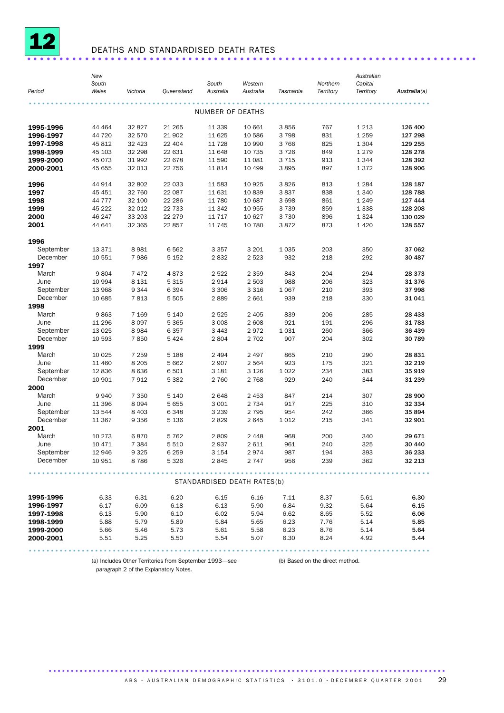

## DEATHS AND STANDARDISED DEATH RATES ......................................................................

| Period                 | New<br>South<br>Wales | Victoria     | Queensland   | South<br>Australia          | Western<br>Australia | Tasmania     | Northern<br>Territory | Australian<br>Capital<br>Territory | Australia(a) |
|------------------------|-----------------------|--------------|--------------|-----------------------------|----------------------|--------------|-----------------------|------------------------------------|--------------|
|                        |                       |              |              |                             |                      |              |                       |                                    |              |
|                        |                       |              |              | NUMBER OF DEATHS            |                      |              |                       |                                    |              |
| 1995-1996              | 44 464                | 32 827       | 21 265       | 11 339                      | 10 661               | 3856         | 767                   | 1 2 1 3                            | 126 400      |
| 1996-1997              | 44 720                | 32 570       | 21 902       | 11 625                      | 10 586               | 3798         | 831                   | 1 2 5 9                            | 127 298      |
| 1997-1998              | 45 812                | 32 4 23      | 22 404       | 11 728                      | 10 990               | 3766         | 825                   | 1 3 0 4                            | 129 255      |
| 1998-1999              | 45 103                | 32 298       | 22 631       | 11 648                      | 10 7 35              | 3726         | 849                   | 1 2 7 9                            | 128 278      |
| 1999-2000              | 45 073                | 31 992       | 22 678       | 11 590                      | 11 081               | 3 7 1 5      | 913                   | 1 3 4 4                            | 128 392      |
| 2000-2001              | 45 655                | 32 013       | 22 756       | 11814                       | 10 499               | 3895         | 897                   | 1372                               | 128 906      |
| 1996                   | 44 914                | 32 802       | 22 033       | 11 583                      | 10 9 25              | 3826         | 813                   | 1 2 8 4                            | 128 187      |
| 1997                   | 45 451                | 32 760       | 22 087       | 11 631                      | 10 839               | 3837         | 838                   | 1 3 4 0                            | 128 788      |
| 1998                   | 44 777                | 32 100       | 22 28 6      | 11 780                      | 10 687               | 3 6 9 8      | 861                   | 1 2 4 9                            | 127 444      |
| 1999                   | 45 222                | 32 012       | 22 7 3 3     | 11 342                      | 10 955               | 3 7 3 9      | 859                   | 1 3 3 8                            | 128 208      |
| 2000                   | 46 247                | 33 203       | 22 2 7 9     | 11 7 17                     | 10 627               | 3 7 3 0      | 896                   | 1 3 2 4                            | 130 029      |
| 2001                   | 44 641                | 32 365       | 22857        | 11 745                      | 10 780               | 3872         | 873                   | 1 4 2 0                            | 128 557      |
| 1996                   |                       |              |              |                             |                      |              |                       |                                    |              |
| September              | 13 371                | 8981         | 6562         | 3 3 5 7                     | 3 2 0 1              | 1 0 3 5      | 203                   | 350                                | 37 062       |
| December<br>1997       | 10 551                | 7986         | 5 1 5 2      | 2832                        | 2 5 2 3              | 932          | 218                   | 292                                | 30 487       |
| March                  | 9804                  | 7472         | 4873         | 2 5 2 2                     | 2 3 5 9              | 843          | 204                   | 294                                | 28 373       |
| June                   | 10 994                | 8 1 3 1      | 5315         | 2914                        | 2 5 0 3              | 988          | 206                   | 323                                | 31376        |
| September              | 13 968                | 9344         | 6 3 9 4      | 3 3 0 6                     | 3 3 1 6              | 1 0 6 7      | 210                   | 393                                | 37 998       |
| December               | 10 685                | 7813         | 5 5 0 5      | 2889                        | 2 6 6 1              | 939          | 218                   | 330                                | 31 041       |
| 1998                   |                       |              |              |                             |                      |              |                       |                                    |              |
| March                  | 9863                  | 7 1 6 9      | 5 1 4 0      | 2 5 2 5                     | 2 4 0 5              | 839          | 206                   | 285                                | 28 433       |
| June                   | 11 296                | 8097         | 5 3 6 5      | 3 0 0 8                     | 2 608                | 921          | 191                   | 296                                | 31 783       |
| September              | 13 0 25               | 8984         | 6357         | 3 4 4 3                     | 2972                 | 1031         | 260                   | 366                                | 36 439       |
| December               | 10 593                | 7850         | 5 4 2 4      | 2804                        | 2 7 0 2              | 907          | 204                   | 302                                | 30 789       |
| 1999                   |                       |              |              |                             |                      |              |                       |                                    |              |
| March                  | 10 0 25               | 7 2 5 9      | 5 1 8 8      | 2 4 9 4                     | 2 4 9 7              | 865          | 210                   | 290                                | 28 831       |
| June                   | 11 460                | 8 2 0 5      | 5 6 6 2      | 2 9 0 7                     | 2 5 6 4              | 923          | 175                   | 321                                | 32 219       |
| September              | 12 8 36               | 8636         | 6501         | 3 1 8 1                     | 3 1 2 6              | 1022         | 234                   | 383                                | 35919        |
| December               | 10 901                | 7912         | 5 3 8 2      | 2 7 6 0                     | 2 7 6 8              | 929          | 240                   | 344                                | 31 239       |
| 2000                   |                       |              |              |                             |                      |              |                       |                                    |              |
| March                  | 9940                  | 7 3 5 0      | 5 1 4 0      | 2648                        | 2 4 5 3              | 847          | 214                   | 307                                | 28 900       |
| June                   | 11 396                | 8094         | 5655         | 3 0 0 1                     | 2 7 3 4              | 917          | 225                   | 310                                | 32 334       |
| September              | 13 544                | 8 4 0 3      | 6348         | 3 2 3 9                     | 2 7 9 5              | 954          | 242                   | 366                                | 35894        |
| December               | 11 367                | 9 3 5 6      | 5 1 3 6      | 2829                        | 2645                 | 1012         | 215                   | 341                                | 32 901       |
| 2001                   |                       |              |              |                             |                      |              |                       |                                    |              |
| March                  | 10 273                | 6870         | 5762         | 2809                        | 2 4 4 8              | 968          | 200                   | 340                                | 29 671       |
| June                   | 10 471                | 7 3 8 4      | 5510         | 2937                        | 2611                 | 961          | 240                   | 325                                | 30 440       |
| September              | 12 946                | 9 3 2 5      | 6 2 5 9      | 3 154                       | 2 974                | 987          | 194                   | 393                                | 36 233       |
| December               | 10 951                | 8786         | 5 3 2 6      | 2845                        | 2 747                | 956          | 239                   | 362                                | 32 213       |
|                        |                       |              |              | STANDARDISED DEATH RATES(b) |                      |              |                       |                                    |              |
|                        |                       |              |              |                             |                      |              |                       |                                    |              |
| 1995-1996              | 6.33                  | 6.31         | 6.20         | 6.15                        | 6.16                 | 7.11         | 8.37                  | 5.61                               | 6.30         |
| 1996-1997              | 6.17                  | 6.09         | 6.18         | 6.13                        | 5.90                 | 6.84         | 9.32                  | 5.64                               | 6.15         |
| 1997-1998              | 6.13                  | 5.90         | 6.10         | 6.02<br>5.84                | 5.94                 | 6.62<br>6.23 | 8.65<br>7.76          | 5.52                               | 6.06         |
| 1998-1999<br>1999-2000 | 5.88<br>5.66          | 5.79<br>5.46 | 5.89<br>5.73 | 5.61                        | 5.65<br>5.58         | 6.23         | 8.76                  | 5.14<br>5.14                       | 5.85<br>5.64 |
| 2000-2001              | 5.51                  | 5.25         | 5.50         | 5.54                        | 5.07                 | 6.30         | 8.24                  | 4.92                               | 5.44         |
|                        |                       |              |              |                             |                      |              |                       |                                    |              |

(a) Includes Other Territories from September 1993—see (b) Based on the direct method. paragraph 2 of the Explanatory Notes.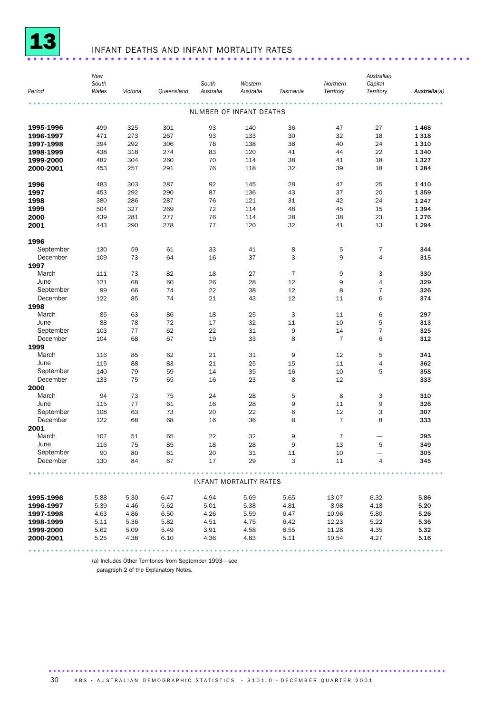

## INFANT DEATHS AND INFANT MORTALITY RATES ..................................................................... .

| Period                | New<br>South<br>Wales | Victoria | Queensland | South<br>Australia | Western<br>Australia    | Tasmania       | Northern<br>Territory | Australian<br>Capital<br>Territory | Australia(a) |
|-----------------------|-----------------------|----------|------------|--------------------|-------------------------|----------------|-----------------------|------------------------------------|--------------|
|                       |                       |          |            |                    | NUMBER OF INFANT DEATHS |                |                       |                                    |              |
| 1995-1996             | 499                   | 325      | 301        | 93                 | 140                     | 36             | 47                    | 27                                 | 1468         |
| 1996-1997             | 471                   | 273      | 267        | 93                 | 133                     | 30             | 32                    | 18                                 | 1 3 1 8      |
| 1997-1998             | 394                   | 292      | 306        | 78                 | 138                     | 38             | 40                    | 24                                 | 1 3 1 0      |
| 1998-1999             | 438                   | 318      | 274        | 83                 | 120                     | 41             | 44                    | 22                                 | 1 3 4 0      |
| 1999-2000             | 482                   | 304      | 260        | 70                 | 114                     | 38             | 41                    | 18                                 | 1327         |
| 2000-2001             | 453                   | 257      | 291        | 76                 | 118                     | 32             | 39                    | 18                                 | 1 2 8 4      |
| 1996                  | 483                   | 303      | 287        | 92                 | 145                     | 28             | 47                    | 25                                 | 1410         |
| 1997                  | 453                   | 292      | 290        | 87                 | 136                     | 43             | 37                    | 20                                 | 1 3 5 9      |
| 1998                  | 380                   | 286      | 287        | 76                 | 121                     | 31             | 42                    | 24                                 | 1 2 4 7      |
| 1999                  | 504                   | 327      | 269        | 72                 | 114                     | 48             | 45                    | 15                                 | 1 3 9 4      |
| 2000                  | 439                   | 281      | 277        | 76                 | 114                     | 28             | 38                    | 23                                 | 1 2 7 6      |
| 2001                  | 443                   | 290      | 278        | 77                 | 120                     | 32             | 41                    | 13                                 | 1 2 9 4      |
| 1996                  |                       |          |            |                    |                         |                |                       |                                    |              |
| September             | 130                   | 59       | 61         | 33                 | 41                      | 8              | 5                     | 7                                  | 344          |
| December              | 109                   | 73       | 64         | 16                 | 37                      | 3              | 9                     | $\overline{4}$                     | 315          |
| 1997                  |                       |          |            |                    |                         |                |                       |                                    |              |
| March<br>June         | 111<br>121            | 73       | 82<br>60   | 18<br>26           | 27                      | $\overline{7}$ | 9<br>9                | 3<br>$\overline{4}$                | 330          |
| September             | 99                    | 68<br>66 | 74         | 22                 | 28<br>38                | 12<br>12       | 8                     | $\overline{7}$                     | 329<br>326   |
| December              | 122                   | 85       | 74         | 21                 | 43                      | 12             | 11                    | 6                                  | 374          |
| 1998                  |                       |          |            |                    |                         |                |                       |                                    |              |
| March                 | 85                    | 63       | 86         | 18                 | 25                      | 3              | 11                    | 6                                  | 297          |
| June                  | 88                    | 78       | 72         | 17                 | 32                      | 11             | 10                    | 5                                  | 313          |
| September             | 103                   | 77       | 62         | 22                 | 31                      | 9              | 14                    | $\overline{7}$                     | 325          |
| December              | 104                   | 68       | 67         | 19                 | 33                      | 8              | $\overline{7}$        | 6                                  | 312          |
| 1999                  |                       |          |            |                    |                         |                |                       |                                    |              |
| March                 | 116                   | 85       | 62         | 21                 | 31                      | 9              | 12                    | 5                                  | 341          |
| June                  | 115                   | 88       | 83         | 21                 | 25                      | 15             | 11                    | $\overline{4}$                     | 362          |
| September             | 140                   | 79       | 59         | 14                 | 35                      | 16             | 10                    | 5                                  | 358          |
| December              | 133                   | 75       | 65         | 16                 | 23                      | 8              | 12                    |                                    | 333          |
| 2000                  |                       |          |            |                    |                         |                |                       |                                    |              |
| March                 | 94                    | 73       | 75         | 24                 | 28                      | 5              | 8                     | 3                                  | 310          |
| June                  | 115                   | 77       | 61         | 16                 | 28                      | 9              | 11                    | 9                                  | 326          |
| September<br>December | 108<br>122            | 63<br>68 | 73<br>68   | 20<br>16           | 22<br>36                | 6<br>8         | 12<br>$\overline{7}$  | 3<br>8                             | 307<br>333   |
| 2001                  |                       |          |            |                    |                         |                |                       |                                    |              |
| March                 | 107                   | 51       | 65         | 22                 | 32                      | 9              | $\overline{7}$        |                                    | 295          |
| June                  | 116                   | 75       | 85         | 18                 | 28                      | 9              | 13                    | 5                                  | 349          |
| September             | 90                    | 80       | 61         | 20                 | 31                      | 11             | 10                    |                                    | 305          |
| December              | 130                   | 84       | 67         | 17                 | 29                      | 3              | 11                    | 4                                  | 345          |
|                       |                       |          |            |                    |                         |                |                       |                                    |              |
|                       |                       |          |            |                    | INFANT MORTALITY RATES  |                |                       |                                    |              |
| 1995-1996             | 5.88                  | 5.30     | 6.47       | 4.94               | 5.69                    | 5.65           | 13.07                 | 6.32                               | 5.86         |
| 1996-1997             | 5.39                  | 4.46     | 5.62       | 5.01               | 5.38                    | 4.81           | 8.98                  | 4.18                               | 5.20         |
| 1997-1998             | 4.63                  | 4.86     | 6.50       | 4.26               | 5.59                    | 6.47           | 10.96                 | 5.80                               | 5.26         |
| 1998-1999             | 5.11                  | 5.36     | 5.82       | 4.51               | 4.75                    | 6.42           | 12.23                 | 5.22                               | 5.36         |
| 1999-2000             | 5.62                  | 5.09     | 5.49       | 3.91               | 4.58                    | 6.55           | 11.28                 | 4.35                               | 5.32         |
| 2000-2001             | 5.25                  | 4.38     | 6.10       | 4.36               | 4.83                    | 5.11           | 10.54                 | 4.27                               | 5.16         |
|                       |                       |          |            |                    |                         |                |                       |                                    |              |

(a) Includes Other Territories from September 1993—see

paragraph 2 of the Explanatory Notes.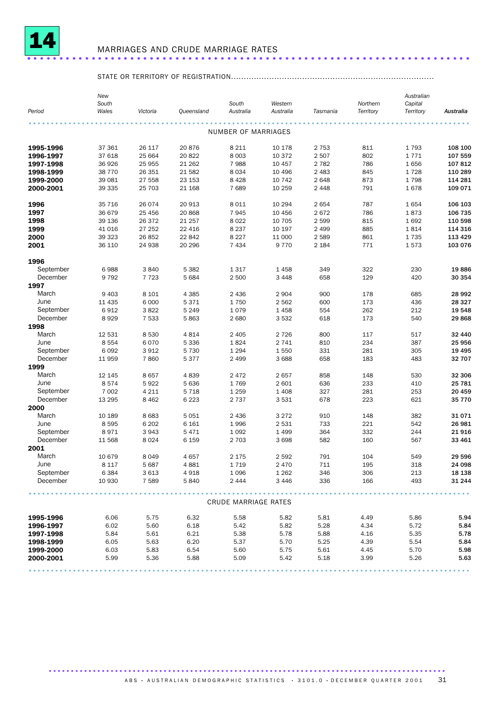

## MARRIAGES AND CRUDE MARRIAGE RATES ..................................................................... .

## STATE OR TERRITORY OF REGISTRATION................................................................................

|                  | New<br>South |          |            | South                | Western   |          | Northern  | Australian<br>Capital |           |
|------------------|--------------|----------|------------|----------------------|-----------|----------|-----------|-----------------------|-----------|
| Period           | Wales        | Victoria | Queensland | Australia            | Australia | Tasmania | Territory | Territory             | Australia |
|                  |              |          |            | NUMBER OF MARRIAGES  |           |          |           |                       |           |
| 1995-1996        | 37 361       | 26 117   | 20876      | 8 2 1 1              | 10 178    | 2 7 5 3  | 811       | 1793                  | 108 100   |
| 1996-1997        | 37 618       | 25 664   | 20822      | 8 0 0 3              | 10 372    | 2 5 0 7  | 802       | 1771                  | 107 559   |
| 1997-1998        | 36926        | 25 955   | 21 2 6 2   | 7988                 | 10 457    | 2 7 8 2  | 786       | 1656                  | 107812    |
| 1998-1999        | 38 7 7 0     | 26 351   | 21 5 82    | 8 0 3 4              | 10 4 9 6  | 2 4 8 3  | 845       | 1728                  | 110 289   |
| 1999-2000        | 39 081       | 27 558   | 23 153     | 8 4 2 8              | 10 742    | 2 6 4 8  | 873       | 1798                  | 114 281   |
| 2000-2001        | 39 335       | 25 703   | 21 168     | 7689                 | 10 259    | 2 4 4 8  | 791       | 1678                  | 109 071   |
| 1996             | 35 7 16      | 26 074   | 20 913     | 8 0 1 1              | 10 294    | 2 6 5 4  | 787       | 1654                  | 106 103   |
| 1997             | 36 679       | 25 4 56  | 20868      | 7945                 | 10 45 6   | 2672     | 786       | 1873                  | 106 735   |
| 1998             | 39 136       | 26 372   | 21 257     | 8 0 2 2              | 10 705    | 2 5 9 9  | 815       | 1692                  | 110 598   |
| 1999             | 41 016       | 27 252   | 22 4 16    | 8 2 3 7              | 10 197    | 2 4 9 9  | 885       | 1814                  | 114 316   |
| 2000             | 39 323       | 26 852   | 22 842     | 8 2 2 7              | 11 000    | 2 5 8 9  | 861       | 1735                  | 113 429   |
| 2001             | 36 110       | 24 938   | 20 29 6    | 7 4 3 4              | 9770      | 2 1 8 4  | 771       | 1573                  | 103 076   |
| 1996             |              |          |            |                      |           |          |           |                       |           |
| September        | 6988         | 3840     | 5 3 8 2    | 1 3 1 7              | 1458      | 349      | 322       | 230                   | 19886     |
| December<br>1997 | 9792         | 7723     | 5 6 8 4    | 2 500                | 3 4 4 8   | 658      | 129       | 420                   | 30 354    |
| March            | 9 4 0 3      | 8 1 0 1  | 4 3 8 5    | 2 4 3 6              | 2904      | 900      | 178       | 685                   | 28 992    |
| June             | 11 4 35      | 6 0 0 0  | 5 3 7 1    | 1750                 | 2 5 6 2   | 600      | 173       | 436                   | 28 3 27   |
| September        | 6912         | 3822     | 5 2 4 9    | 1079                 | 1458      | 554      | 262       | 212                   | 19 548    |
| December         | 8929         | 7 5 3 3  | 5863       | 2 6 8 0              | 3532      | 618      | 173       | 540                   | 29868     |
| 1998             |              |          |            |                      |           |          |           |                       |           |
| March            | 12 531       | 8 5 3 0  | 4814       | 2 4 0 5              | 2726      | 800      | 117       | 517                   | 32 440    |
| June             | 8554         | 6070     | 5 3 3 6    | 1824                 | 2 7 4 1   | 810      | 234       | 387                   | 25 956    |
| September        | 6092         | 3912     | 5 7 3 0    | 1 2 9 4              | 1550      | 331      | 281       | 305                   | 19 4 95   |
| December         | 11 959       | 7860     | 5 3 7 7    | 2 4 9 9              | 3688      | 658      | 183       | 483                   | 32 707    |
| 1999             |              |          |            |                      |           |          |           |                       |           |
| March            | 12 145       |          | 4839       | 2472                 |           | 858      | 148       | 530                   | 32 306    |
| June             |              | 8657     |            |                      | 2657      |          |           |                       |           |
|                  | 8574         | 5922     | 5 6 3 6    | 1769                 | 2 601     | 636      | 233       | 410                   | 25 781    |
| September        | 7 0 0 2      | 4 2 1 1  | 5 7 1 8    | 1 2 5 9              | 1408      | 327      | 281       | 253                   | 20 459    |
| December         | 13 2 9 5     | 8 4 6 2  | 6 2 2 3    | 2 7 3 7              | 3531      | 678      | 223       | 621                   | 35 7 7 0  |
| 2000             |              |          |            |                      |           |          |           |                       |           |
| March            | 10 189       | 8683     | 5 0 5 1    | 2 4 3 6              | 3 2 7 2   | 910      | 148       | 382                   | 31 0 7 1  |
| June             | 8595         | 6 20 2   | 6 1 6 1    | 1996                 | 2531      | 733      | 221       | 542                   | 26 981    |
| September        | 8971         | 3943     | 5 4 7 1    | 1 0 9 2              | 1499      | 364      | 332       | 244                   | 21916     |
| December         | 11 568       | 8 0 2 4  | 6 1 5 9    | 2 7 0 3              | 3698      | 582      | 160       | 567                   | 33 461    |
| 2001             |              |          |            |                      |           |          |           |                       |           |
| March            | 10 679       | 8 0 4 9  | 4657       | 2 1 7 5              | 2 592     | 791      | 104       | 549                   | 29 596    |
| June             | 8 117        | 5 687    | 4881       | 1 7 1 9              | 2470      | 711      | 195       | 318                   | 24 098    |
| September        | 6384         | 3 6 1 3  | 4918       | 1 0 9 6              | 1 2 6 2   | 346      | 306       | 213                   | 18 138    |
| December         | 10 930       | 7 5 8 9  | 5840       | 2444                 | 3446      | 336      | 166       | 493                   | 31 244    |
|                  |              |          |            | CRUDE MARRIAGE RATES |           |          |           |                       |           |
|                  | 6.06         |          |            | 5.58                 | 5.82      |          | 4.49      |                       | 5.94      |
| 1995-1996        |              | 5.75     | 6.32       |                      |           | 5.81     |           | 5.86                  |           |
| 1996-1997        | 6.02         | 5.60     | 6.18       | 5.42                 | 5.82      | 5.28     | 4.34      | 5.72                  | 5.84      |
| 1997-1998        | 5.84         | 5.61     | 6.21       | 5.38                 | 5.78      | 5.88     | 4.16      | 5.35                  | 5.78      |
| 1998-1999        | 6.05         | 5.63     | 6.20       | 5.37                 | 5.70      | 5.25     | 4.39      | 5.54                  | 5.84      |
| 1999-2000        | 6.03         | 5.83     | 6.54       | 5.60                 | 5.75      | 5.61     | 4.45      | 5.70                  | 5.98      |
| 2000-2001        | 5.99         | 5.36     | 5.88       | 5.09                 | 5.42      | 5.18     | 3.99      | 5.26                  | 5.63      |
|                  |              |          |            |                      |           |          |           |                       |           |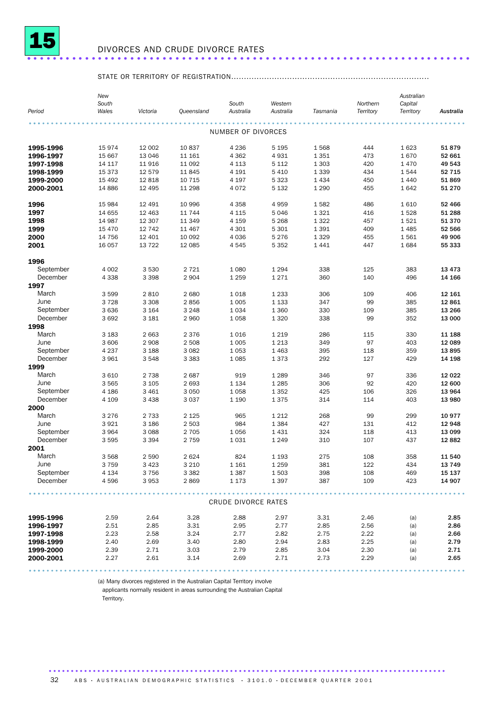

## DIVORCES AND CRUDE DIVORCE RATES ..................................................................... .

## STATE OR TERRITORY OF REGISTRATION..............................................................................

|                       | New<br>South    |                    |                    | South               | Western            |            | Northern  | Australian<br>Capital |                  |
|-----------------------|-----------------|--------------------|--------------------|---------------------|--------------------|------------|-----------|-----------------------|------------------|
| Period                | Wales           | Victoria           | Queensland         | Australia           | Australia          | Tasmania   | Territory | Territory             | Australia        |
|                       |                 |                    |                    | NUMBER OF DIVORCES  |                    |            |           |                       |                  |
| 1995-1996             | 15974           | 12 002             | 10837              | 4 2 3 6             | 5 1 9 5            | 1568       | 444       | 1 6 2 3               | 51879            |
| 1996-1997             | 15 667          | 13 046             | 11 161             | 4 3 6 2             | 4931               | 1 3 5 1    | 473       | 1670                  | 52 661           |
| 1997-1998             | 14 117          | 11916              | 11 092             | 4 1 1 3             | 5 1 1 2            | 1 3 0 3    | 420       | 1 4 7 0               | 49 543           |
| 1998-1999             | 15 3 7 3        | 12 579             | 11845              | 4 1 9 1             | 5 4 1 0            | 1 3 3 9    | 434       | 1544                  | 52 715           |
| 1999-2000             | 15 4 92         | 12818              | 10 7 15            | 4 197               | 5 3 2 3            | 1 4 3 4    | 450       | 1 4 4 0               | 51869            |
| 2000-2001             | 14 8 86         | 12 4 95            | 11 298             | 4 0 7 2             | 5 1 3 2            | 1 2 9 0    | 455       | 1642                  | 51 270           |
| 1996                  | 15 984          | 12 4 9 1           | 10 996             | 4 3 5 8             | 4959               | 1582       | 486       | 1610                  | 52 466           |
| 1997                  | 14 655          | 12 4 63            | 11 744             | 4 1 1 5             | 5046               | 1 3 2 1    | 416       | 1528                  | 51 288           |
| 1998                  | 14 987          | 12 307             | 11 349             | 4 1 5 9             | 5 2 6 8            | 1 3 2 2    | 457       | 1521                  | 51 370           |
| 1999                  | 15 4 70         | 12 742             | 11 467             | 4 3 0 1             | 5 3 0 1            | 1 3 9 1    | 409       | 1 4 8 5               | 52 566           |
| 2000                  | 14 756          | 12 4 01            | 10 092             | 4 0 3 6             | 5 2 7 6            | 1 3 2 9    | 455       | 1561                  | 49 906           |
| 2001                  | 16 057          | 13722              | 12 085             | 4545                | 5 3 5 2            | 1 4 4 1    | 447       | 1684                  | 55 333           |
| 1996                  |                 |                    |                    |                     |                    |            |           |                       |                  |
| September             | 4 0 0 2         | 3530               | 2 7 2 1            | 1 0 8 0             | 1 2 9 4            | 338        | 125       | 383                   | 13 4 7 3         |
| December              | 4 3 3 8         | 3 3 9 8            | 2 9 0 4            | 1 2 5 9             | 1 2 7 1            | 360        | 140       | 496                   | 14 166           |
| 1997                  |                 |                    |                    |                     |                    |            |           |                       |                  |
| March                 | 3599            | 2810               | 2680               | 1018                | 1 2 3 3            | 306        | 109       | 406                   | 12 161           |
| June                  | 3728            | 3 3 0 8            | 2856               | 1 0 0 5             | 1 1 3 3            | 347        | 99        | 385                   | 12 861           |
| September<br>December | 3 6 3 6<br>3692 | 3 1 6 4<br>3 1 8 1 | 3 2 4 8<br>2960    | 1 0 3 4             | 1 3 6 0            | 330<br>338 | 109<br>99 | 385<br>352            | 13 266<br>13 000 |
| 1998                  |                 |                    |                    | 1 0 5 8             | 1 3 2 0            |            |           |                       |                  |
| March                 | 3 1 8 3         | 2 6 6 3            | 2376               | 1 0 1 6             | 1 2 1 9            | 286        | 115       | 330                   | 11 188           |
| June                  | 3 60 6          | 2 9 0 8            | 2 5 0 8            | 1 0 0 5             | 1 2 1 3            | 349        | 97        | 403                   | 12 089           |
| September             | 4 2 3 7         | 3 1 8 8            | 3 0 8 2            | 1 0 5 3             | 1 4 6 3            | 395        | 118       | 359                   | 13895            |
| December              | 3961            | 3548               | 3 3 8 3            | 1 0 8 5             | 1373               | 292        | 127       | 429                   | 14 198           |
| 1999                  |                 |                    |                    |                     |                    |            |           |                       |                  |
| March                 | 3610            | 2 7 3 8            | 2687               | 919                 | 1 2 8 9            | 346        | 97        | 336                   | 12 0 22          |
| June                  | 3565            | 3 1 0 5            | 2693               | 1 1 3 4             | 1 2 8 5            | 306        | 92        | 420                   | 12 600           |
| September             | 4 1 8 6         | 3 4 6 1            | 3 0 5 0            | 1 0 5 8             | 1352               | 425        | 106       | 326                   | 13 964           |
| December              | 4 1 0 9         | 3 4 3 8            | 3 0 3 7            | 1 1 9 0             | 1375               | 314        | 114       | 403                   | 13 980           |
| 2000<br>March         |                 |                    |                    |                     |                    |            |           |                       |                  |
| June                  | 3 2 7 6<br>3921 | 2 7 3 3<br>3 1 8 6 | 2 1 2 5<br>2 5 0 3 | 965<br>984          | 1 2 1 2<br>1 3 8 4 | 268<br>427 | 99<br>131 | 299<br>412            | 10 977<br>12 948 |
| September             | 3964            | 3088               | 2 7 0 5            | 1 0 5 6             | 1431               | 324        | 118       | 413                   | 13 099           |
| December              | 3595            | 3 3 9 4            | 2 7 5 9            | 1031                | 1 2 4 9            | 310        | 107       | 437                   | 12882            |
| 2001                  |                 |                    |                    |                     |                    |            |           |                       |                  |
| March                 | 3568            | 2590               | 2624               | 824                 | 1 1 9 3            | 275        | 108       | 358                   | 11 540           |
| June                  | 3 7 5 9         | 3423               | 3 2 1 0            | 1 1 6 1             | 1 2 5 9            | 381        | 122       | 434                   | 13 749           |
| September             | 4 1 3 4         | 3756               | 3 3 8 2            | 1 3 8 7             | 1503               | 398        | 108       | 469                   | 15 137           |
| December              | 4596            | 3953               | 2869               | 1 1 7 3             | 1 3 9 7            | 387        | 109       | 423                   | 14 907           |
|                       |                 |                    |                    |                     |                    |            |           |                       |                  |
|                       |                 |                    |                    | CRUDE DIVORCE RATES |                    |            |           |                       |                  |
| 1995-1996             | 2.59            | 2.64               | 3.28               | 2.88                | 2.97               | 3.31       | 2.46      | (a)                   | 2.85             |
| 1996-1997             | 2.51            | 2.85               | 3.31               | 2.95                | 2.77               | 2.85       | 2.56      | (a)                   | 2.86             |
| 1997-1998             | 2.23            | 2.58               | 3.24               | 2.77                | 2.82               | 2.75       | 2.22      | (a)                   | 2.66             |
| 1998-1999             | 2.40            | 2.69               | 3.40               | 2.80                | 2.94               | 2.83       | 2.25      | (a)                   | 2.79             |
| 1999-2000             | 2.39            | 2.71               | 3.03               | 2.79                | 2.85               | 3.04       | 2.30      | (a)                   | 2.71             |
| 2000-2001             | 2.27            | 2.61               | 3.14               | 2.69                | 2.71               | 2.73       | 2.29      | (a)                   | 2.65             |
|                       |                 |                    |                    |                     |                    |            |           |                       |                  |

(a) Many divorces registered in the Australian Capital Territory involve

applicants normally resident in areas surrounding the Australian Capital

Territory.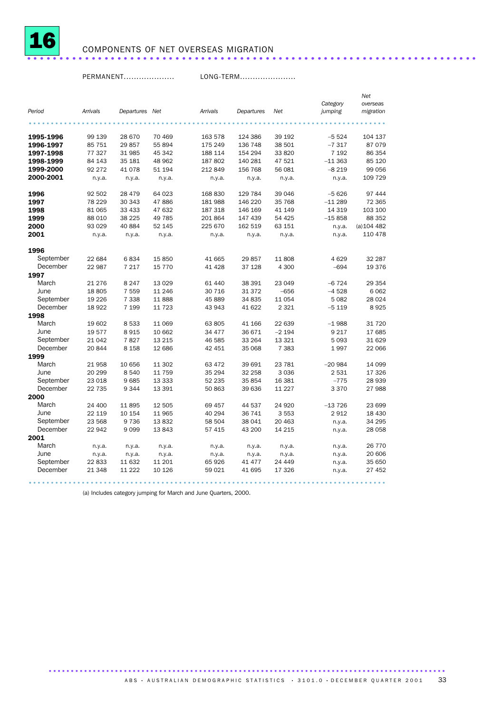

## COMPONENTS OF NET OVERSEAS MIGRATION ......................................................................

PERMANENT.................... LONG-TERM......................

|           |          |                |          |          |            |         |                     | Net                   |
|-----------|----------|----------------|----------|----------|------------|---------|---------------------|-----------------------|
| Period    | Arrivals | Departures Net |          | Arrivals | Departures | Net     | Category<br>jumping | overseas<br>migration |
|           |          |                |          |          |            |         |                     |                       |
| 1995-1996 | 99 139   | 28 670         | 70 469   | 163 578  | 124 386    | 39 192  | $-5524$             | 104 137               |
| 1996-1997 | 85 751   | 29857          | 55 894   | 175 249  | 136 748    | 38 501  | $-7317$             | 87079                 |
| 1997-1998 | 77 327   | 31 985         | 45 342   | 188 114  | 154 294    | 33 820  | 7 1 9 2             | 86 354                |
| 1998-1999 | 84 143   | 35 181         | 48 962   | 187 802  | 140 281    | 47 521  | $-11363$            | 85 120                |
| 1999-2000 | 92 272   | 41 0 78        | 51 194   | 212 849  | 156 768    | 56 081  | $-8219$             | 99 056                |
| 2000-2001 | n.y.a.   | n.y.a.         | n.y.a.   | n.y.a.   | n.y.a.     | n.y.a.  | n.y.a.              | 109 729               |
| 1996      | 92 502   | 28 4 7 9       | 64 023   | 168 830  | 129 784    | 39 046  | $-5626$             | 97 444                |
| 1997      | 78 229   | 30 343         | 47886    | 181 988  | 146 220    | 35 768  | $-11289$            | 72 365                |
| 1998      | 81 065   | 33 433         | 47 632   | 187 318  | 146 169    | 41 149  | 14 3 19             | 103 100               |
| 1999      | 88 010   | 38 2 25        | 49 785   | 201 864  | 147 439    | 54 4 25 | $-15858$            | 88 352                |
| 2000      | 93 0 29  | 40 884         | 52 145   | 225 670  | 162 519    | 63 151  | n.y.a.              | $(a)$ 104 482         |
| 2001      | n.y.a.   | n.y.a.         | n.y.a.   | n.y.a.   | n.y.a.     | n.y.a.  | n.y.a.              | 110 478               |
| 1996      |          |                |          |          |            |         |                     |                       |
| September | 22 684   | 6834           | 15 850   | 41 665   | 29 857     | 11 808  | 4629                | 32 287                |
| December  | 22 987   | 7 2 1 7        | 15 7 7 0 | 41 4 28  | 37 128     | 4 300   | $-694$              | 19 376                |
| 1997      |          |                |          |          |            |         |                     |                       |
| March     | 21 276   | 8 2 4 7        | 13 0 29  | 61 440   | 38 391     | 23 049  | $-6724$             | 29 354                |
| June      | 18 805   | 7 5 5 9        | 11 246   | 30 716   | 31 372     | $-656$  | $-4528$             | 6062                  |
| September | 19 2 26  | 7 3 3 8        | 11888    | 45 889   | 34 835     | 11 054  | 5 0 8 2             | 28 0 24               |
| December  | 18 9 22  | 7 199          | 11 723   | 43 943   | 41 622     | 2 3 2 1 | $-5119$             | 8925                  |
| 1998      |          |                |          |          |            |         |                     |                       |
| March     | 19 602   | 8533           | 11 069   | 63 805   | 41 166     | 22 639  | $-1988$             | 31 7 20               |
| June      | 19577    | 8915           | 10 662   | 34 477   | 36 671     | $-2194$ | 9 2 1 7             | 17 685                |
| September | 21 042   | 7827           | 13 215   | 46 585   | 33 264     | 13 321  | 5 0 9 3             | 31 629                |
| December  | 20 844   | 8 1 5 8        | 12 686   | 42 451   | 35 068     | 7 3 8 3 | 1997                | 22 066                |
| 1999      |          |                |          |          |            |         |                     |                       |
| March     | 21958    | 10 656         | 11 302   | 63 472   | 39 691     | 23 781  | $-20984$            | 14 099                |
| June      | 20 299   | 8540           | 11 759   | 35 294   | 32 258     | 3 0 3 6 | 2531                | 17 326                |
| September | 23 018   | 9685           | 13 333   | 52 235   | 35 854     | 16 381  | $-775$              | 28 939                |
| December  | 22 735   | 9344           | 13 391   | 50 863   | 39 636     | 11 227  | 3 3 7 0             | 27 988                |
| 2000      |          |                |          |          |            |         |                     |                       |
| March     | 24 400   | 11895          | 12 505   | 69 457   | 44 537     | 24 9 20 | $-13726$            | 23 699                |
| June      | 22 119   | 10 154         | 11 965   | 40 294   | 36 741     | 3 5 5 3 | 2912                | 18 4 30               |
| September | 23 568   | 9736           | 13832    | 58 504   | 38 041     | 20 463  | n.y.a.              | 34 295                |
| December  | 22 942   | 9099           | 13843    | 57 415   | 43 200     | 14 215  | n.y.a.              | 28 058                |
| 2001      |          |                |          |          |            |         |                     |                       |
| March     | n.y.a.   | n.y.a.         | n.y.a.   | n.y.a.   | n.y.a.     | n.y.a.  | n.y.a.              | 26 770                |
| June      | n.y.a.   | n.y.a.         | n.y.a.   | n.y.a.   | n.y.a.     | n.y.a.  | n.y.a.              | 20 606                |
| September | 22833    | 11 632         | 11 201   | 65926    | 41 477     | 24 449  | n.y.a.              | 35 650                |
| December  | 21 348   | 11 2 22        | 10 126   | 59 0 21  | 41 695     | 17 326  | n.y.a.              | 27 452                |
|           |          |                |          |          |            |         |                     |                       |

(a) Includes category jumping for March and June Quarters, 2000.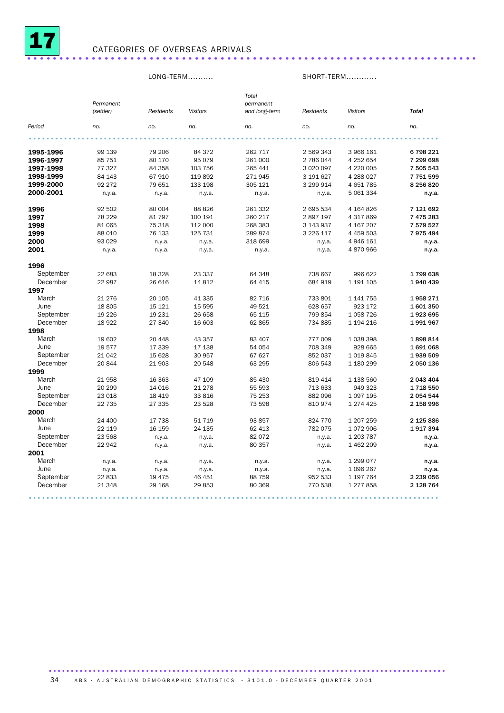

## CATEGORIES OF OVERSEAS ARRIVALS ......................................................................

LONG-TERM.......... SHORT-TERM............

| Period<br>no.<br>no.<br>no.<br>no.<br>no.<br>no.<br>no.<br>6 798 221<br>1995-1996<br>99 139<br>79 206<br>84 372<br>262 717<br>2 569 343<br>3 966 161<br>95 0 79<br>7 299 698<br>1996-1997<br>85 751<br>80 170<br>261 000<br>2 786 044<br>4 252 654<br>77 327<br>4 220 005<br>1997-1998<br>84 358<br>103 756<br>265 441<br>3 0 20 0 97<br>7 505 543<br>1998-1999<br>84 143<br>67910<br>119 892<br>271945<br>3 191 627<br>4 288 027<br>7751599<br>1999-2000<br>92 272<br>79 651<br>133 198<br>3 299 914<br>4 651 785<br>8 256 820<br>305 121<br>2000-2001<br>5 061 334<br>n.y.a.<br>n.y.a.<br>n.y.a.<br>n.y.a.<br>n.y.a.<br>n.y.a.<br>92 502<br>80 004<br>88 826<br>261 332<br>2 695 534<br>4 164 826<br>7 121 692<br>1996<br>1997<br>78 229<br>81797<br>260 217<br>7 475 283<br>100 191<br>2897197<br>4 317 869<br>1998<br>81 065<br>75 318<br>112 000<br>268 383<br>3 143 937<br>4 167 207<br>7 579 527<br>1999<br>88 010<br>76 133<br>125 731<br>3 2 2 6 1 1 7<br>4 459 503<br>7975494<br>289 874<br>2000<br>93 0 29<br>318 699<br>4 946 161<br>n.y.a.<br>n.y.a.<br>n.y.a.<br>n.y.a.<br>4 870 966<br>2001<br>n.y.a.<br>n.y.a.<br>n.y.a.<br>n.y.a.<br>n.y.a.<br>n.y.a.<br>1996<br>September<br>22 683<br>18 3 28<br>23 337<br>64 348<br>738 667<br>996 622<br>1799638<br>December<br>22 987<br>14812<br>684 919<br>26 616<br>64 415<br>1 191 105<br>1940 439<br>1997<br>March<br>21 276<br>20 105<br>41 335<br>82 716<br>733 801<br>1 141 755<br>1958271<br>June<br>18805<br>15 5 95<br>49 521<br>628 657<br>923 172<br>15 121<br>1601350<br>September<br>19 2 26<br>19 231<br>26 658<br>65 115<br>799 854<br>1 0 58 7 26<br>1923 695<br>December<br>18922<br>27 340<br>16 603<br>1 194 216<br>1991967<br>62 865<br>734 885<br>1998<br>March<br>19 602<br>20 448<br>43 357<br>83 407<br>777 009<br>1 038 398<br>1898814<br>June<br>19577<br>17 339<br>17 138<br>54 054<br>928 665<br>708 349<br>1691068<br>September<br>21 042<br>15 628<br>30 957<br>67 627<br>852 037<br>1 0 1 9 8 4 5<br>1939 509<br>December<br>20844<br>21 903<br>20 548<br>63 295<br>806 543<br>1 180 299<br>2 050 136<br>1999<br>March<br>21958<br>16 3 63<br>47 109<br>85 430<br>819 414<br>1 138 560<br>2 043 404<br>June<br>20 299<br>14 0 16<br>21 278<br>55 593<br>713 633<br>949 323<br>1718550<br>September<br>23 018<br>18 4 19<br>33 816<br>75 253<br>882 096<br>1 097 195<br>2 054 544<br>December<br>22 735<br>27 335<br>23 5 28<br>73 598<br>810 974<br>1 274 425<br>2 158 996<br>2000<br>March<br>24 400<br>17 738<br>51 719<br>93 857<br>824 770<br>1 207 259<br>2 125 886<br>June<br>22 119<br>16 159<br>24 135<br>62 413<br>782 075<br>1072906<br>1917394<br>September<br>23 568<br>82 072<br>1 203 787<br>n.y.a.<br>n.y.a.<br>n.y.a.<br>n.y.a.<br>December<br>22 942<br>80 357<br>1 462 209<br>n.y.a.<br>n.y.a.<br>n.y.a.<br>n.y.a.<br>2001<br>March<br>1 299 077<br>n.y.a.<br>n.y.a.<br>n.y.a.<br>n.y.a.<br>n.y.a.<br>n.y.a.<br>June<br>1 0 9 6 2 6 7<br>n.y.a.<br>n.y.a.<br>n.y.a.<br>n.y.a.<br>n.y.a.<br>n.y.a.<br>September<br>22833<br>19 4 75<br>46 451<br>88 759<br>952 533<br>1 197 764<br>2 239 056<br>December<br>2 128 764<br>21 348<br>29 168<br>29853<br>80 369<br>770 538<br>1 277 858 | Permanent<br>(settler) | <b>Residents</b> | <b>Visitors</b> | Total<br>permanent<br>and long-term | Residents | <b>Visitors</b> | <b>Total</b> |
|----------------------------------------------------------------------------------------------------------------------------------------------------------------------------------------------------------------------------------------------------------------------------------------------------------------------------------------------------------------------------------------------------------------------------------------------------------------------------------------------------------------------------------------------------------------------------------------------------------------------------------------------------------------------------------------------------------------------------------------------------------------------------------------------------------------------------------------------------------------------------------------------------------------------------------------------------------------------------------------------------------------------------------------------------------------------------------------------------------------------------------------------------------------------------------------------------------------------------------------------------------------------------------------------------------------------------------------------------------------------------------------------------------------------------------------------------------------------------------------------------------------------------------------------------------------------------------------------------------------------------------------------------------------------------------------------------------------------------------------------------------------------------------------------------------------------------------------------------------------------------------------------------------------------------------------------------------------------------------------------------------------------------------------------------------------------------------------------------------------------------------------------------------------------------------------------------------------------------------------------------------------------------------------------------------------------------------------------------------------------------------------------------------------------------------------------------------------------------------------------------------------------------------------------------------------------------------------------------------------------------------------------------------------------------------------------------------------------------------------------------------------------------------------------------------------------------------------------------------------------------------------------------------------------------------------------------------------------------------------------------------------------------------------------------------------------------------------------------------------------------------------------------------------------------------------------|------------------------|------------------|-----------------|-------------------------------------|-----------|-----------------|--------------|
|                                                                                                                                                                                                                                                                                                                                                                                                                                                                                                                                                                                                                                                                                                                                                                                                                                                                                                                                                                                                                                                                                                                                                                                                                                                                                                                                                                                                                                                                                                                                                                                                                                                                                                                                                                                                                                                                                                                                                                                                                                                                                                                                                                                                                                                                                                                                                                                                                                                                                                                                                                                                                                                                                                                                                                                                                                                                                                                                                                                                                                                                                                                                                                                              |                        |                  |                 |                                     |           |                 |              |
|                                                                                                                                                                                                                                                                                                                                                                                                                                                                                                                                                                                                                                                                                                                                                                                                                                                                                                                                                                                                                                                                                                                                                                                                                                                                                                                                                                                                                                                                                                                                                                                                                                                                                                                                                                                                                                                                                                                                                                                                                                                                                                                                                                                                                                                                                                                                                                                                                                                                                                                                                                                                                                                                                                                                                                                                                                                                                                                                                                                                                                                                                                                                                                                              |                        |                  |                 |                                     |           |                 |              |
|                                                                                                                                                                                                                                                                                                                                                                                                                                                                                                                                                                                                                                                                                                                                                                                                                                                                                                                                                                                                                                                                                                                                                                                                                                                                                                                                                                                                                                                                                                                                                                                                                                                                                                                                                                                                                                                                                                                                                                                                                                                                                                                                                                                                                                                                                                                                                                                                                                                                                                                                                                                                                                                                                                                                                                                                                                                                                                                                                                                                                                                                                                                                                                                              |                        |                  |                 |                                     |           |                 |              |
|                                                                                                                                                                                                                                                                                                                                                                                                                                                                                                                                                                                                                                                                                                                                                                                                                                                                                                                                                                                                                                                                                                                                                                                                                                                                                                                                                                                                                                                                                                                                                                                                                                                                                                                                                                                                                                                                                                                                                                                                                                                                                                                                                                                                                                                                                                                                                                                                                                                                                                                                                                                                                                                                                                                                                                                                                                                                                                                                                                                                                                                                                                                                                                                              |                        |                  |                 |                                     |           |                 |              |
|                                                                                                                                                                                                                                                                                                                                                                                                                                                                                                                                                                                                                                                                                                                                                                                                                                                                                                                                                                                                                                                                                                                                                                                                                                                                                                                                                                                                                                                                                                                                                                                                                                                                                                                                                                                                                                                                                                                                                                                                                                                                                                                                                                                                                                                                                                                                                                                                                                                                                                                                                                                                                                                                                                                                                                                                                                                                                                                                                                                                                                                                                                                                                                                              |                        |                  |                 |                                     |           |                 |              |
|                                                                                                                                                                                                                                                                                                                                                                                                                                                                                                                                                                                                                                                                                                                                                                                                                                                                                                                                                                                                                                                                                                                                                                                                                                                                                                                                                                                                                                                                                                                                                                                                                                                                                                                                                                                                                                                                                                                                                                                                                                                                                                                                                                                                                                                                                                                                                                                                                                                                                                                                                                                                                                                                                                                                                                                                                                                                                                                                                                                                                                                                                                                                                                                              |                        |                  |                 |                                     |           |                 |              |
|                                                                                                                                                                                                                                                                                                                                                                                                                                                                                                                                                                                                                                                                                                                                                                                                                                                                                                                                                                                                                                                                                                                                                                                                                                                                                                                                                                                                                                                                                                                                                                                                                                                                                                                                                                                                                                                                                                                                                                                                                                                                                                                                                                                                                                                                                                                                                                                                                                                                                                                                                                                                                                                                                                                                                                                                                                                                                                                                                                                                                                                                                                                                                                                              |                        |                  |                 |                                     |           |                 |              |
|                                                                                                                                                                                                                                                                                                                                                                                                                                                                                                                                                                                                                                                                                                                                                                                                                                                                                                                                                                                                                                                                                                                                                                                                                                                                                                                                                                                                                                                                                                                                                                                                                                                                                                                                                                                                                                                                                                                                                                                                                                                                                                                                                                                                                                                                                                                                                                                                                                                                                                                                                                                                                                                                                                                                                                                                                                                                                                                                                                                                                                                                                                                                                                                              |                        |                  |                 |                                     |           |                 |              |
|                                                                                                                                                                                                                                                                                                                                                                                                                                                                                                                                                                                                                                                                                                                                                                                                                                                                                                                                                                                                                                                                                                                                                                                                                                                                                                                                                                                                                                                                                                                                                                                                                                                                                                                                                                                                                                                                                                                                                                                                                                                                                                                                                                                                                                                                                                                                                                                                                                                                                                                                                                                                                                                                                                                                                                                                                                                                                                                                                                                                                                                                                                                                                                                              |                        |                  |                 |                                     |           |                 |              |
|                                                                                                                                                                                                                                                                                                                                                                                                                                                                                                                                                                                                                                                                                                                                                                                                                                                                                                                                                                                                                                                                                                                                                                                                                                                                                                                                                                                                                                                                                                                                                                                                                                                                                                                                                                                                                                                                                                                                                                                                                                                                                                                                                                                                                                                                                                                                                                                                                                                                                                                                                                                                                                                                                                                                                                                                                                                                                                                                                                                                                                                                                                                                                                                              |                        |                  |                 |                                     |           |                 |              |
|                                                                                                                                                                                                                                                                                                                                                                                                                                                                                                                                                                                                                                                                                                                                                                                                                                                                                                                                                                                                                                                                                                                                                                                                                                                                                                                                                                                                                                                                                                                                                                                                                                                                                                                                                                                                                                                                                                                                                                                                                                                                                                                                                                                                                                                                                                                                                                                                                                                                                                                                                                                                                                                                                                                                                                                                                                                                                                                                                                                                                                                                                                                                                                                              |                        |                  |                 |                                     |           |                 |              |
|                                                                                                                                                                                                                                                                                                                                                                                                                                                                                                                                                                                                                                                                                                                                                                                                                                                                                                                                                                                                                                                                                                                                                                                                                                                                                                                                                                                                                                                                                                                                                                                                                                                                                                                                                                                                                                                                                                                                                                                                                                                                                                                                                                                                                                                                                                                                                                                                                                                                                                                                                                                                                                                                                                                                                                                                                                                                                                                                                                                                                                                                                                                                                                                              |                        |                  |                 |                                     |           |                 |              |
|                                                                                                                                                                                                                                                                                                                                                                                                                                                                                                                                                                                                                                                                                                                                                                                                                                                                                                                                                                                                                                                                                                                                                                                                                                                                                                                                                                                                                                                                                                                                                                                                                                                                                                                                                                                                                                                                                                                                                                                                                                                                                                                                                                                                                                                                                                                                                                                                                                                                                                                                                                                                                                                                                                                                                                                                                                                                                                                                                                                                                                                                                                                                                                                              |                        |                  |                 |                                     |           |                 |              |
|                                                                                                                                                                                                                                                                                                                                                                                                                                                                                                                                                                                                                                                                                                                                                                                                                                                                                                                                                                                                                                                                                                                                                                                                                                                                                                                                                                                                                                                                                                                                                                                                                                                                                                                                                                                                                                                                                                                                                                                                                                                                                                                                                                                                                                                                                                                                                                                                                                                                                                                                                                                                                                                                                                                                                                                                                                                                                                                                                                                                                                                                                                                                                                                              |                        |                  |                 |                                     |           |                 |              |
|                                                                                                                                                                                                                                                                                                                                                                                                                                                                                                                                                                                                                                                                                                                                                                                                                                                                                                                                                                                                                                                                                                                                                                                                                                                                                                                                                                                                                                                                                                                                                                                                                                                                                                                                                                                                                                                                                                                                                                                                                                                                                                                                                                                                                                                                                                                                                                                                                                                                                                                                                                                                                                                                                                                                                                                                                                                                                                                                                                                                                                                                                                                                                                                              |                        |                  |                 |                                     |           |                 |              |
|                                                                                                                                                                                                                                                                                                                                                                                                                                                                                                                                                                                                                                                                                                                                                                                                                                                                                                                                                                                                                                                                                                                                                                                                                                                                                                                                                                                                                                                                                                                                                                                                                                                                                                                                                                                                                                                                                                                                                                                                                                                                                                                                                                                                                                                                                                                                                                                                                                                                                                                                                                                                                                                                                                                                                                                                                                                                                                                                                                                                                                                                                                                                                                                              |                        |                  |                 |                                     |           |                 |              |
|                                                                                                                                                                                                                                                                                                                                                                                                                                                                                                                                                                                                                                                                                                                                                                                                                                                                                                                                                                                                                                                                                                                                                                                                                                                                                                                                                                                                                                                                                                                                                                                                                                                                                                                                                                                                                                                                                                                                                                                                                                                                                                                                                                                                                                                                                                                                                                                                                                                                                                                                                                                                                                                                                                                                                                                                                                                                                                                                                                                                                                                                                                                                                                                              |                        |                  |                 |                                     |           |                 |              |
|                                                                                                                                                                                                                                                                                                                                                                                                                                                                                                                                                                                                                                                                                                                                                                                                                                                                                                                                                                                                                                                                                                                                                                                                                                                                                                                                                                                                                                                                                                                                                                                                                                                                                                                                                                                                                                                                                                                                                                                                                                                                                                                                                                                                                                                                                                                                                                                                                                                                                                                                                                                                                                                                                                                                                                                                                                                                                                                                                                                                                                                                                                                                                                                              |                        |                  |                 |                                     |           |                 |              |
|                                                                                                                                                                                                                                                                                                                                                                                                                                                                                                                                                                                                                                                                                                                                                                                                                                                                                                                                                                                                                                                                                                                                                                                                                                                                                                                                                                                                                                                                                                                                                                                                                                                                                                                                                                                                                                                                                                                                                                                                                                                                                                                                                                                                                                                                                                                                                                                                                                                                                                                                                                                                                                                                                                                                                                                                                                                                                                                                                                                                                                                                                                                                                                                              |                        |                  |                 |                                     |           |                 |              |
|                                                                                                                                                                                                                                                                                                                                                                                                                                                                                                                                                                                                                                                                                                                                                                                                                                                                                                                                                                                                                                                                                                                                                                                                                                                                                                                                                                                                                                                                                                                                                                                                                                                                                                                                                                                                                                                                                                                                                                                                                                                                                                                                                                                                                                                                                                                                                                                                                                                                                                                                                                                                                                                                                                                                                                                                                                                                                                                                                                                                                                                                                                                                                                                              |                        |                  |                 |                                     |           |                 |              |
|                                                                                                                                                                                                                                                                                                                                                                                                                                                                                                                                                                                                                                                                                                                                                                                                                                                                                                                                                                                                                                                                                                                                                                                                                                                                                                                                                                                                                                                                                                                                                                                                                                                                                                                                                                                                                                                                                                                                                                                                                                                                                                                                                                                                                                                                                                                                                                                                                                                                                                                                                                                                                                                                                                                                                                                                                                                                                                                                                                                                                                                                                                                                                                                              |                        |                  |                 |                                     |           |                 |              |
|                                                                                                                                                                                                                                                                                                                                                                                                                                                                                                                                                                                                                                                                                                                                                                                                                                                                                                                                                                                                                                                                                                                                                                                                                                                                                                                                                                                                                                                                                                                                                                                                                                                                                                                                                                                                                                                                                                                                                                                                                                                                                                                                                                                                                                                                                                                                                                                                                                                                                                                                                                                                                                                                                                                                                                                                                                                                                                                                                                                                                                                                                                                                                                                              |                        |                  |                 |                                     |           |                 |              |
|                                                                                                                                                                                                                                                                                                                                                                                                                                                                                                                                                                                                                                                                                                                                                                                                                                                                                                                                                                                                                                                                                                                                                                                                                                                                                                                                                                                                                                                                                                                                                                                                                                                                                                                                                                                                                                                                                                                                                                                                                                                                                                                                                                                                                                                                                                                                                                                                                                                                                                                                                                                                                                                                                                                                                                                                                                                                                                                                                                                                                                                                                                                                                                                              |                        |                  |                 |                                     |           |                 |              |
|                                                                                                                                                                                                                                                                                                                                                                                                                                                                                                                                                                                                                                                                                                                                                                                                                                                                                                                                                                                                                                                                                                                                                                                                                                                                                                                                                                                                                                                                                                                                                                                                                                                                                                                                                                                                                                                                                                                                                                                                                                                                                                                                                                                                                                                                                                                                                                                                                                                                                                                                                                                                                                                                                                                                                                                                                                                                                                                                                                                                                                                                                                                                                                                              |                        |                  |                 |                                     |           |                 |              |
|                                                                                                                                                                                                                                                                                                                                                                                                                                                                                                                                                                                                                                                                                                                                                                                                                                                                                                                                                                                                                                                                                                                                                                                                                                                                                                                                                                                                                                                                                                                                                                                                                                                                                                                                                                                                                                                                                                                                                                                                                                                                                                                                                                                                                                                                                                                                                                                                                                                                                                                                                                                                                                                                                                                                                                                                                                                                                                                                                                                                                                                                                                                                                                                              |                        |                  |                 |                                     |           |                 |              |
|                                                                                                                                                                                                                                                                                                                                                                                                                                                                                                                                                                                                                                                                                                                                                                                                                                                                                                                                                                                                                                                                                                                                                                                                                                                                                                                                                                                                                                                                                                                                                                                                                                                                                                                                                                                                                                                                                                                                                                                                                                                                                                                                                                                                                                                                                                                                                                                                                                                                                                                                                                                                                                                                                                                                                                                                                                                                                                                                                                                                                                                                                                                                                                                              |                        |                  |                 |                                     |           |                 |              |
|                                                                                                                                                                                                                                                                                                                                                                                                                                                                                                                                                                                                                                                                                                                                                                                                                                                                                                                                                                                                                                                                                                                                                                                                                                                                                                                                                                                                                                                                                                                                                                                                                                                                                                                                                                                                                                                                                                                                                                                                                                                                                                                                                                                                                                                                                                                                                                                                                                                                                                                                                                                                                                                                                                                                                                                                                                                                                                                                                                                                                                                                                                                                                                                              |                        |                  |                 |                                     |           |                 |              |
|                                                                                                                                                                                                                                                                                                                                                                                                                                                                                                                                                                                                                                                                                                                                                                                                                                                                                                                                                                                                                                                                                                                                                                                                                                                                                                                                                                                                                                                                                                                                                                                                                                                                                                                                                                                                                                                                                                                                                                                                                                                                                                                                                                                                                                                                                                                                                                                                                                                                                                                                                                                                                                                                                                                                                                                                                                                                                                                                                                                                                                                                                                                                                                                              |                        |                  |                 |                                     |           |                 |              |
|                                                                                                                                                                                                                                                                                                                                                                                                                                                                                                                                                                                                                                                                                                                                                                                                                                                                                                                                                                                                                                                                                                                                                                                                                                                                                                                                                                                                                                                                                                                                                                                                                                                                                                                                                                                                                                                                                                                                                                                                                                                                                                                                                                                                                                                                                                                                                                                                                                                                                                                                                                                                                                                                                                                                                                                                                                                                                                                                                                                                                                                                                                                                                                                              |                        |                  |                 |                                     |           |                 |              |
|                                                                                                                                                                                                                                                                                                                                                                                                                                                                                                                                                                                                                                                                                                                                                                                                                                                                                                                                                                                                                                                                                                                                                                                                                                                                                                                                                                                                                                                                                                                                                                                                                                                                                                                                                                                                                                                                                                                                                                                                                                                                                                                                                                                                                                                                                                                                                                                                                                                                                                                                                                                                                                                                                                                                                                                                                                                                                                                                                                                                                                                                                                                                                                                              |                        |                  |                 |                                     |           |                 |              |
|                                                                                                                                                                                                                                                                                                                                                                                                                                                                                                                                                                                                                                                                                                                                                                                                                                                                                                                                                                                                                                                                                                                                                                                                                                                                                                                                                                                                                                                                                                                                                                                                                                                                                                                                                                                                                                                                                                                                                                                                                                                                                                                                                                                                                                                                                                                                                                                                                                                                                                                                                                                                                                                                                                                                                                                                                                                                                                                                                                                                                                                                                                                                                                                              |                        |                  |                 |                                     |           |                 |              |
|                                                                                                                                                                                                                                                                                                                                                                                                                                                                                                                                                                                                                                                                                                                                                                                                                                                                                                                                                                                                                                                                                                                                                                                                                                                                                                                                                                                                                                                                                                                                                                                                                                                                                                                                                                                                                                                                                                                                                                                                                                                                                                                                                                                                                                                                                                                                                                                                                                                                                                                                                                                                                                                                                                                                                                                                                                                                                                                                                                                                                                                                                                                                                                                              |                        |                  |                 |                                     |           |                 |              |
|                                                                                                                                                                                                                                                                                                                                                                                                                                                                                                                                                                                                                                                                                                                                                                                                                                                                                                                                                                                                                                                                                                                                                                                                                                                                                                                                                                                                                                                                                                                                                                                                                                                                                                                                                                                                                                                                                                                                                                                                                                                                                                                                                                                                                                                                                                                                                                                                                                                                                                                                                                                                                                                                                                                                                                                                                                                                                                                                                                                                                                                                                                                                                                                              |                        |                  |                 |                                     |           |                 |              |
|                                                                                                                                                                                                                                                                                                                                                                                                                                                                                                                                                                                                                                                                                                                                                                                                                                                                                                                                                                                                                                                                                                                                                                                                                                                                                                                                                                                                                                                                                                                                                                                                                                                                                                                                                                                                                                                                                                                                                                                                                                                                                                                                                                                                                                                                                                                                                                                                                                                                                                                                                                                                                                                                                                                                                                                                                                                                                                                                                                                                                                                                                                                                                                                              |                        |                  |                 |                                     |           |                 |              |
|                                                                                                                                                                                                                                                                                                                                                                                                                                                                                                                                                                                                                                                                                                                                                                                                                                                                                                                                                                                                                                                                                                                                                                                                                                                                                                                                                                                                                                                                                                                                                                                                                                                                                                                                                                                                                                                                                                                                                                                                                                                                                                                                                                                                                                                                                                                                                                                                                                                                                                                                                                                                                                                                                                                                                                                                                                                                                                                                                                                                                                                                                                                                                                                              |                        |                  |                 |                                     |           |                 |              |
|                                                                                                                                                                                                                                                                                                                                                                                                                                                                                                                                                                                                                                                                                                                                                                                                                                                                                                                                                                                                                                                                                                                                                                                                                                                                                                                                                                                                                                                                                                                                                                                                                                                                                                                                                                                                                                                                                                                                                                                                                                                                                                                                                                                                                                                                                                                                                                                                                                                                                                                                                                                                                                                                                                                                                                                                                                                                                                                                                                                                                                                                                                                                                                                              |                        |                  |                 |                                     |           |                 |              |
|                                                                                                                                                                                                                                                                                                                                                                                                                                                                                                                                                                                                                                                                                                                                                                                                                                                                                                                                                                                                                                                                                                                                                                                                                                                                                                                                                                                                                                                                                                                                                                                                                                                                                                                                                                                                                                                                                                                                                                                                                                                                                                                                                                                                                                                                                                                                                                                                                                                                                                                                                                                                                                                                                                                                                                                                                                                                                                                                                                                                                                                                                                                                                                                              |                        |                  |                 |                                     |           |                 |              |
|                                                                                                                                                                                                                                                                                                                                                                                                                                                                                                                                                                                                                                                                                                                                                                                                                                                                                                                                                                                                                                                                                                                                                                                                                                                                                                                                                                                                                                                                                                                                                                                                                                                                                                                                                                                                                                                                                                                                                                                                                                                                                                                                                                                                                                                                                                                                                                                                                                                                                                                                                                                                                                                                                                                                                                                                                                                                                                                                                                                                                                                                                                                                                                                              |                        |                  |                 |                                     |           |                 |              |
|                                                                                                                                                                                                                                                                                                                                                                                                                                                                                                                                                                                                                                                                                                                                                                                                                                                                                                                                                                                                                                                                                                                                                                                                                                                                                                                                                                                                                                                                                                                                                                                                                                                                                                                                                                                                                                                                                                                                                                                                                                                                                                                                                                                                                                                                                                                                                                                                                                                                                                                                                                                                                                                                                                                                                                                                                                                                                                                                                                                                                                                                                                                                                                                              |                        |                  |                 |                                     |           |                 |              |
|                                                                                                                                                                                                                                                                                                                                                                                                                                                                                                                                                                                                                                                                                                                                                                                                                                                                                                                                                                                                                                                                                                                                                                                                                                                                                                                                                                                                                                                                                                                                                                                                                                                                                                                                                                                                                                                                                                                                                                                                                                                                                                                                                                                                                                                                                                                                                                                                                                                                                                                                                                                                                                                                                                                                                                                                                                                                                                                                                                                                                                                                                                                                                                                              |                        |                  |                 |                                     |           |                 |              |
|                                                                                                                                                                                                                                                                                                                                                                                                                                                                                                                                                                                                                                                                                                                                                                                                                                                                                                                                                                                                                                                                                                                                                                                                                                                                                                                                                                                                                                                                                                                                                                                                                                                                                                                                                                                                                                                                                                                                                                                                                                                                                                                                                                                                                                                                                                                                                                                                                                                                                                                                                                                                                                                                                                                                                                                                                                                                                                                                                                                                                                                                                                                                                                                              |                        |                  |                 |                                     |           |                 |              |
|                                                                                                                                                                                                                                                                                                                                                                                                                                                                                                                                                                                                                                                                                                                                                                                                                                                                                                                                                                                                                                                                                                                                                                                                                                                                                                                                                                                                                                                                                                                                                                                                                                                                                                                                                                                                                                                                                                                                                                                                                                                                                                                                                                                                                                                                                                                                                                                                                                                                                                                                                                                                                                                                                                                                                                                                                                                                                                                                                                                                                                                                                                                                                                                              |                        |                  |                 |                                     |           |                 |              |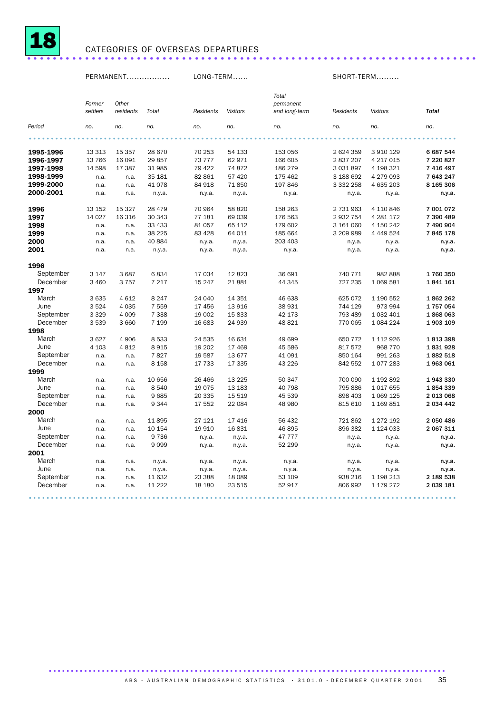

## CATEGORIES OF OVERSEAS DEPARTURES ......................................................................

PERMANENT................. LONG-TERM...... SHORT-TERM.........

|           |          |           |         |                  |                 | Total         |               |                 |              |
|-----------|----------|-----------|---------|------------------|-----------------|---------------|---------------|-----------------|--------------|
|           | Former   | Other     |         |                  |                 | permanent     |               |                 |              |
|           | settlers | residents | Total   | <b>Residents</b> | <b>Visitors</b> | and long-term | Residents     | <b>Visitors</b> | <b>Total</b> |
| Period    | no.      | no.       | no.     | no.              | no.             | no.           | no.           | no.             | no.          |
|           |          |           |         |                  |                 |               |               |                 |              |
| 1995-1996 | 13 3 13  | 15 3 5 7  | 28 670  | 70 253           | 54 133          | 153 056       | 2 624 359     | 3 910 129       | 6 687 544    |
| 1996-1997 | 13 766   | 16 091    | 29857   | 73 777           | 62 971          | 166 605       | 2 837 207     | 4 217 015       | 7 220 827    |
| 1997-1998 | 14 5 98  | 17 387    | 31 985  | 79 422           | 74 872          | 186 279       | 3 0 3 1 8 9 7 | 4 198 321       | 7 416 497    |
| 1998-1999 | n.a.     | n.a.      | 35 181  | 82 861           | 57 4 20         | 175 462       | 3 188 692     | 4 279 093       | 7 643 247    |
| 1999-2000 | n.a.     | n.a.      | 41 0 78 | 84 918           | 71850           | 197 846       | 3 332 258     | 4 635 203       | 8 165 306    |
| 2000-2001 | n.a.     | n.a.      | n.y.a.  | n.y.a.           | n.y.a.          | n.y.a.        | n.y.a.        | n.y.a.          | n.y.a.       |
| 1996      | 13 152   | 15 3 27   | 28 479  | 70 964           | 58 820          | 158 263       | 2 731 963     | 4 110 846       | 7 001 072    |
| 1997      | 14 0 27  | 16 316    | 30 343  | 77 181           | 69 039          | 176 563       | 2 932 754     | 4 281 172       | 7 390 489    |
| 1998      | n.a.     | n.a.      | 33 433  | 81 057           | 65 112          | 179 602       | 3 161 060     | 4 150 242       | 7 490 904    |
| 1999      | n.a.     | n.a.      | 38 2 25 | 83 4 28          | 64 011          | 185 664       | 3 209 989     | 4 4 4 5 2 4     | 7845178      |
| 2000      | n.a.     | n.a.      | 40 884  | n.y.a.           | n.y.a.          | 203 403       | n.y.a.        | n.y.a.          | n.y.a.       |
| 2001      | n.a.     | n.a.      | n.y.a.  | n.y.a.           | n.y.a.          | n.y.a.        | n.y.a.        | n.y.a.          | n.y.a.       |
| 1996      |          |           |         |                  |                 |               |               |                 |              |
| September | 3 1 4 7  | 3687      | 6834    | 17 034           | 12823           | 36 691        | 740 771       | 982 888         | 1760350      |
| December  | 3 4 6 0  | 3 7 5 7   | 7 2 1 7 | 15 247           | 21881           | 44 345        | 727 235       | 1 0 69 5 81     | 1841161      |
| 1997      |          |           |         |                  |                 |               |               |                 |              |
| March     | 3635     | 4 6 1 2   | 8 2 4 7 | 24 040           | 14 3 5 1        | 46 638        | 625 072       | 1 190 552       | 1862 262     |
| June      | 3524     | 4 0 3 5   | 7 5 5 9 | 17 456           | 13916           | 38 931        | 744 129       | 973 994         | 1757054      |
| September | 3 3 2 9  | 4 0 0 9   | 7 3 3 8 | 19 002           | 15833           | 42 173        | 793 489       | 1 0 3 2 4 0 1   | 1868063      |
| December  | 3539     | 3 6 6 0   | 7 1 9 9 | 16 683           | 24 939          | 48 821        | 770 065       | 1 084 224       | 1903 109     |
| 1998      |          |           |         |                  |                 |               |               |                 |              |
| March     | 3627     | 4 9 0 6   | 8533    | 24 535           | 16 631          | 49 699        | 650 772       | 1 112 926       | 1813398      |
| June      | 4 1 0 3  | 4812      | 8915    | 19 20 2          | 17 469          | 45 586        | 817 572       | 968 770         | 1831928      |
| September | n.a.     | n.a.      | 7827    | 19 587           | 13677           | 41 091        | 850 164       | 991 263         | 1882 518     |
| December  | n.a.     | n.a.      | 8 1 5 8 | 17 733           | 17 335          | 43 2 26       | 842 552       | 1077283         | 1963061      |
| 1999      |          |           |         |                  |                 |               |               |                 |              |
| March     | n.a.     | n.a.      | 10 656  | 26 4 66          | 13 2 25         | 50 347        | 700 090       | 1 192 892       | 1943330      |
| June      | n.a.     | n.a.      | 8540    | 19 0 75          | 13 183          | 40 798        | 795 886       | 1 0 1 7 6 5 5   | 1854339      |
| September | n.a.     | n.a.      | 9685    | 20 335           | 15 5 19         | 45 539        | 898 403       | 1 069 125       | 2 013 068    |
| December  | n.a.     | n.a.      | 9344    | 17 552           | 22 084          | 48 980        | 815 610       | 1 169 851       | 2 034 442    |
| 2000      |          |           |         |                  |                 |               |               |                 |              |
| March     | n.a.     | n.a.      | 11895   | 27 121           | 17416           | 56 432        | 721 862       | 1 272 192       | 2 050 486    |
| June      | n.a.     | n.a.      | 10 154  | 19910            | 16831           | 46 895        | 896 382       | 1 124 033       | 2 067 311    |
| September | n.a.     | n.a.      | 9736    | n.y.a.           | n.y.a.          | 47 777        | n.y.a.        | n.y.a.          | n.y.a.       |
| December  | n.a.     | n.a.      | 9099    | n.y.a.           | n.y.a.          | 52 299        | n.y.a.        | n.y.a.          | n.y.a.       |
| 2001      |          |           |         |                  |                 |               |               |                 |              |
| March     | n.a.     | n.a.      | n.y.a.  | n.y.a.           | n.y.a.          | n.y.a.        | n.y.a.        | n.y.a.          | n.y.a.       |
| June      | n.a.     | n.a.      | n.y.a.  | n.y.a.           | n.y.a.          | n.y.a.        | n.y.a.        | n.y.a.          | n.y.a.       |
| September | n.a.     | n.a.      | 11 632  | 23 388           | 18 0 89         | 53 109        | 938 216       | 1 198 213       | 2 189 538    |
| December  | n.a.     | n.a.      | 11 2 22 | 18 180           | 23 5 15         | 52 917        | 806 992       | 1 179 272       | 2 039 181    |
|           |          |           |         |                  |                 |               |               |                 |              |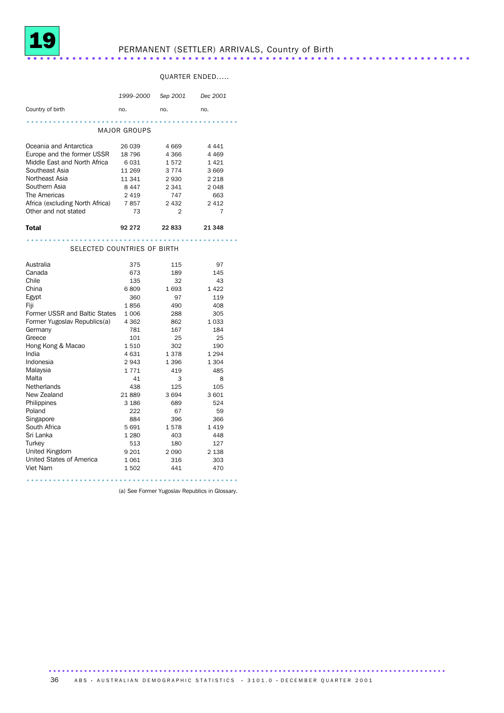

## PERMANENT (SETTLER) ARRIVALS, Country of Birth ..................................................................... ..

### QUARTER ENDED.....

|                                 | 1999-2000    | Sep 2001  | Dec 2001  |
|---------------------------------|--------------|-----------|-----------|
| Country of birth                | no.          | no.       | no.       |
|                                 |              |           |           |
|                                 | MAJOR GROUPS |           |           |
| Oceania and Antarctica          | 26 039       | 4 6 6 9   | 4 4 4 1   |
| Europe and the former USSR      | 18 796       | 4 3 6 6   | 4 4 6 9   |
| Middle East and North Africa    | 6031         | 1572      | 1421      |
| Southeast Asia                  | 11 269       | 3 7 7 4   | 3 6 6 9   |
| Northeast Asia                  | 11 341       | 2930      | 2 2 1 8   |
| Southern Asia                   | 8447         | 2 3 4 1   | 2 0 4 8   |
| The Americas                    | 2419         | 747       | 663       |
| Africa (excluding North Africa) | 7857         | 2 4 3 2   | 2 4 1 2   |
| Other and not stated            | 73           | 2         | 7         |
| Total                           | 92 272       | 22833     | 21 348    |
| SELECTED COUNTRIES OF BIRTH     |              |           |           |
|                                 |              |           |           |
| Australia                       | 375          | 115       | 97        |
| Canada                          | 673          | 189       | 145       |
| Chile                           | 135          | 32        | 43        |
| China                           | 6809         | 1693      | 1422      |
| Egypt                           | 360          | 97        | 119       |
| Fiji                            | 1856         | 490       | 408       |
| Former USSR and Baltic States   | 1 0 0 6      | 288       | 305       |
| Former Yugoslav Republics(a)    | 4 3 6 2      | 862       | 1 0 3 3   |
| Germany<br>Greece               | 781<br>101   | 167<br>25 | 184<br>25 |
| Hong Kong & Macao               | 1510         | 302       | 190       |
| India                           | 4631         | 1378      | 1 2 9 4   |
| Indonesia                       | 2943         | 1 3 9 6   | 1 3 0 4   |
| Malaysia                        | 1771         | 419       | 485       |
| Malta                           | 41           | 3         | 8         |
| Netherlands                     | 438          | 125       | 105       |
| New Zealand                     | 21889        | 3694      | 3 601     |
| Philippines                     | 3 1 8 6      | 689       | 524       |
| Poland                          | 222          | 67        | 59        |
| Singapore                       | 884          | 396       | 366       |
| South Africa                    | 5 6 9 1      | 1578      | 1 4 1 9   |
| Sri Lanka                       | 1 2 8 0      | 403       | 448       |
| Turkey                          | 513          | 180       | 127       |
| United Kingdom                  | 9 2 0 1      | 2090      | 2 1 3 8   |
| United States of America        | 1061         | 316       | 303       |
| Viet Nam                        | 1502         | 441       | 470       |
|                                 |              |           |           |

(a) See Former Yugoslav Republics in Glossary.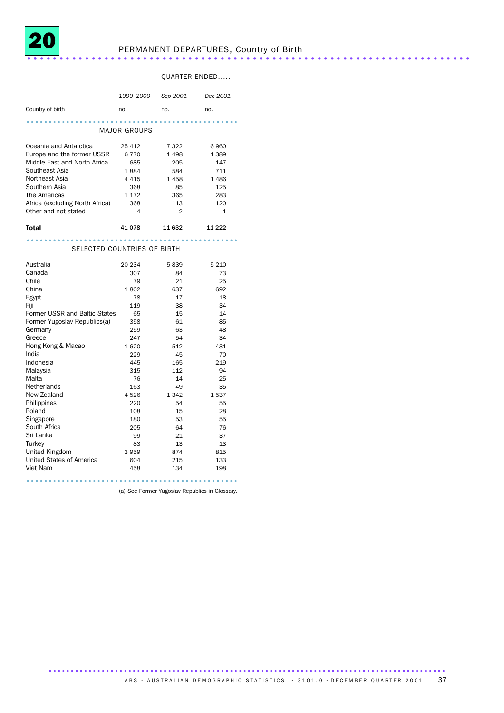

## PERMANENT DEPARTURES, Country of Birth ..................................................................... ..

### QUARTER ENDED.....

|                                 | 1999–2000           | Sep 2001       | Dec 2001     |
|---------------------------------|---------------------|----------------|--------------|
| Country of birth                | no.                 | no.            | no.          |
|                                 |                     |                |              |
|                                 | <b>MAJOR GROUPS</b> |                |              |
| Oceania and Antarctica          | 25 4 12             | 7 3 2 2        | 6960         |
| Europe and the former USSR      | 6770                | 1498           | 1389         |
| Middle East and North Africa    | 685                 | 205            | 147          |
| Southeast Asia                  | 1884                | 584            | 711          |
| Northeast Asia                  | 4 4 1 5             | 1458           | 1486         |
| Southern Asia                   | 368                 | 85             | 125          |
| The Americas                    | 1 1 7 2             | 365            | 283          |
| Africa (excluding North Africa) | 368                 | 113            | 120          |
| Other and not stated            | 4                   | $\mathfrak{D}$ | $\mathbf{1}$ |
| Total                           | 41 078              | 11 632         | 11 2 22      |
|                                 |                     |                |              |
| SELECTED COUNTRIES OF BIRTH     |                     |                |              |
| Australia                       | 20 234              | 5839           | 5 2 1 0      |
| Canada                          | 307                 | 84             | 73           |
| Chile                           | 79                  | 21             | 25           |
| China                           | 1802                | 637            | 692          |
| Egypt                           | 78                  | 17             | 18           |
| Fiji                            | 119                 | 38             | 34           |
| Former USSR and Baltic States   | 65                  | 15             | 14           |
| Former Yugoslav Republics(a)    | 358                 | 61             | 85           |
| Germany                         | 259                 | 63             | 48           |
| Greece                          | 247                 | 54             | 34           |
| Hong Kong & Macao               | 1620                | 512            | 431          |
| India                           | 229                 | 45             | 70           |
| Indonesia<br>Malaysia           | 445<br>315          | 165<br>112     | 219<br>94    |
| Malta                           | 76                  | 14             | 25           |
| <b>Netherlands</b>              | 163                 | 49             | 35           |
| New Zealand                     | 4526                | 1 3 4 2        | 1537         |
| Philippines                     | 220                 | 54             | 55           |
| Poland                          | 108                 | 15             | 28           |
| Singapore                       | 180                 | 53             | 55           |
| South Africa                    | 205                 | 64             | 76           |
| Sri Lanka                       | 99                  | 21             | 37           |
| Turkey                          | 83                  | 13             | 13           |
| United Kingdom                  | 3959                | 874            | 815          |
| United States of America        | 604                 | 215            | 133          |
| Viet Nam                        | 458                 | 134            | 198          |
|                                 |                     |                |              |

(a) See Former Yugoslav Republics in Glossary.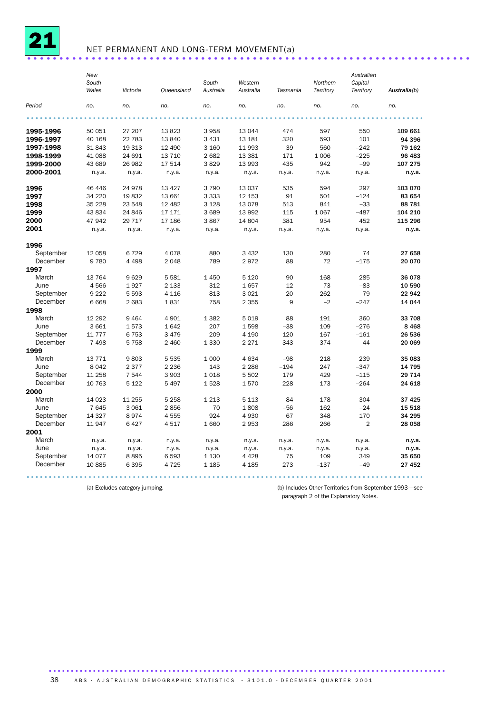

## NET PERMANENT AND LONG-TERM MOVEMENT(a) .....................................................................

|           | New<br>South<br>Wales | Victoria | <b>Queensland</b> | South<br>Australia | Western<br>Australia | Tasmania | Northern<br>Territory | Australian<br>Capital<br>Territory | Australia(b) |
|-----------|-----------------------|----------|-------------------|--------------------|----------------------|----------|-----------------------|------------------------------------|--------------|
| Period    | no.                   | no.      | no.               | no.                | no.                  | no.      | no.                   | no.                                | no.          |
|           |                       |          |                   |                    |                      |          |                       |                                    |              |
| 1995-1996 | 50 051                | 27 207   | 13823             | 3958               | 13 0 44              | 474      | 597                   | 550                                | 109 661      |
| 1996-1997 | 40 168                | 22 783   | 13 840            | 3 4 3 1            | 13 18 1              | 320      | 593                   | 101                                | 94 396       |
| 1997-1998 | 31843                 | 19 313   | 12 490            | 3 160              | 11 993               | 39       | 560                   | $-242$                             | 79 162       |
| 1998-1999 | 41 088                | 24 691   | 13 710            | 2682               | 13 3 8 1             | 171      | 1 0 0 6               | $-225$                             | 96 483       |
| 1999-2000 | 43 689                | 26 982   | 17 514            | 3829               | 13 993               | 435      | 942                   | $-99$                              | 107 275      |
| 2000-2001 | n.y.a.                | n.y.a.   | n.y.a.            | n.y.a.             | n.y.a.               | n.y.a.   | n.y.a.                | n.y.a.                             | n.y.a.       |
| 1996      | 46 446                | 24978    | 13 4 27           | 3790               | 13 0 37              | 535      | 594                   | 297                                | 103 070      |
| 1997      | 34 2 20               | 19832    | 13 661            | 3 3 3 3            | 12 153               | 91       | 501                   | $-124$                             | 83 654       |
| 1998      | 35 2 28               | 23 548   | 12 482            | 3 1 2 8            | 13078                | 513      | 841                   | $-33$                              | 88 781       |
| 1999      | 43 834                | 24 846   | 17 17 1           | 3689               | 13 992               | 115      | 1 0 6 7               | $-487$                             | 104 210      |
| 2000      | 47 942                | 29 7 1 7 | 17 186            | 3867               | 14 804               | 381      | 954                   | 452                                | 115 296      |
| 2001      | n.y.a.                | n.y.a.   | n.y.a.            | n.y.a.             | n.y.a.               | n.y.a.   | n.y.a.                | n.y.a.                             | n.y.a.       |
| 1996      |                       |          |                   |                    |                      |          |                       |                                    |              |
| September | 12 058                | 6729     | 4 0 7 8           | 880                | 3 4 3 2              | 130      | 280                   | 74                                 | 27 658       |
| December  | 9780                  | 4 4 9 8  | 2 0 4 8           | 789                | 2972                 | 88       | 72                    | $-175$                             | 20 070       |
| 1997      |                       |          |                   |                    |                      |          |                       |                                    |              |
| March     | 13 7 64               | 9629     | 5 5 8 1           | 1450               | 5 1 2 0              | 90       | 168                   | 285                                | 36 078       |
| June      | 4566                  | 1927     | 2 1 3 3           | 312                | 1657                 | 12       | 73                    | $-83$                              | 10 590       |
| September | 9 2 2 2               | 5 5 9 3  | 4 1 1 6           | 813                | 3 0 2 1              | $-20$    | 262                   | $-79$                              | 22 942       |
| December  | 6668                  | 2 6 8 3  | 1831              | 758                | 2 3 5 5              | 9        | $-2$                  | $-247$                             | 14 044       |
| 1998      |                       |          |                   |                    |                      |          |                       |                                    |              |
| March     | 12 292                | 9 4 6 4  | 4 9 0 1           | 1 3 8 2            | 5019                 | 88       | 191                   | 360                                | 33 708       |
| June      | 3 6 6 1               | 1573     | 1642              | 207                | 1598                 | $-38$    | 109                   | $-276$                             | 8 4 6 8      |
| September | 11 7 7 7              | 6753     | 3 4 7 9           | 209                | 4 1 9 0              | 120      | 167                   | $-161$                             | 26 536       |
| December  | 7498                  | 5758     | 2 4 6 0           | 1 3 3 0            | 2 2 7 1              | 343      | 374                   | 44                                 | 20 069       |
| 1999      |                       |          |                   |                    |                      |          |                       |                                    |              |
| March     | 13 7 7 1              | 9803     | 5 5 3 5           | 1 0 0 0            | 4634                 | $-98$    | 218                   | 239                                | 35 083       |
| June      | 8 0 4 2               | 2 3 7 7  | 2 2 3 6           | 143                | 2 2 8 6              | $-194$   | 247                   | $-347$                             | 14 795       |
| September | 11 258                | 7 5 4 4  | 3 9 0 3           | 1018               | 5 5 0 2              | 179      | 429                   | $-115$                             | 29 7 14      |
| December  | 10 763                | 5 1 2 2  | 5 4 9 7           | 1528               | 1570                 | 228      | 173                   | $-264$                             | 24 618       |
| 2000      |                       |          |                   |                    |                      |          |                       |                                    |              |
| March     | 14 0 23               | 11 255   | 5 2 5 8           | 1 2 1 3            | 5 1 1 3              | 84       | 178                   | 304                                | 37 4 25      |
| June      | 7645                  | 3 0 6 1  | 2856              | 70                 | 1808                 | $-56$    | 162                   | $-24$                              | 15 518       |
| September | 14 3 27               | 8974     | 4555              | 924                | 4930                 | 67       | 348                   | 170                                | 34 295       |
| December  | 11947                 | 6427     | 4517              | 1660               | 2953                 | 286      | 266                   | $\overline{2}$                     | 28 058       |
| 2001      |                       |          |                   |                    |                      |          |                       |                                    |              |
| March     | n.y.a.                | n.y.a.   | n.y.a.            | n.y.a.             | n.y.a.               | n.y.a.   | n.y.a.                | n.y.a.                             | n.y.a.       |
| June      | n.y.a.                | n.y.a.   | n.y.a.            | n.y.a.             | n.y.a.               | n.y.a.   | n.y.a.                | n.y.a.                             | n.y.a.       |
| September | 14 077                | 8895     | 6 5 9 3           | 1 1 3 0            | 4 4 2 8              | 75       | 109                   | 349                                | 35 650       |
| December  | 10885                 | 6395     | 4 7 2 5           | 1 1 8 5            | 4 1 8 5              | 273      | $-137$                | $-49$                              | 27 452       |

(a) Excludes category jumping. (b) Includes Other Territories from September 1993—see paragraph 2 of the Explanatory Notes.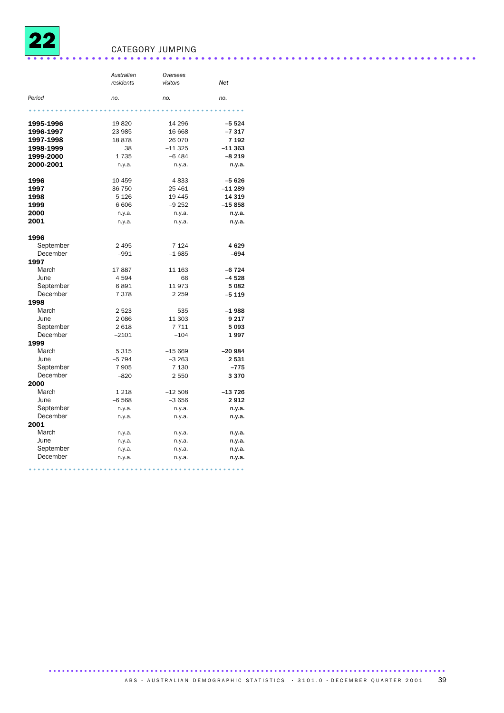

## CATEGORY JUMPING ......................................................................

|           | Australian | Overseas |          |
|-----------|------------|----------|----------|
|           | residents  | visitors | Net      |
| Period    | no.        | no.      | no.      |
|           |            |          |          |
| 1995-1996 | 19820      | 14 29 6  | $-5524$  |
| 1996-1997 | 23 985     | 16 668   | $-7317$  |
| 1997-1998 | 18878      | 26 0 70  | 7 1 9 2  |
| 1998-1999 | 38         | $-11325$ | $-11363$ |
| 1999-2000 | 1735       | $-6484$  | $-8219$  |
| 2000-2001 | n.y.a.     | n.y.a.   | n.y.a.   |
| 1996      | 10 459     | 4833     | $-5626$  |
| 1997      | 36 750     | 25 4 61  | -11 289  |
| 1998      | 5 1 2 6    | 19 4 45  | 14 319   |
| 1999      | 6 60 6     | $-9252$  | $-15858$ |
| 2000      | n.y.a.     | n.y.a.   | n.y.a.   |
| 2001      | n.y.a.     | n.y.a.   | n.y.a.   |
| 1996      |            |          |          |
| September | 2 4 9 5    | 7 1 2 4  | 4629     |
| December  | $-991$     | $-1685$  | -694     |
| 1997      |            |          |          |
| March     | 17887      | 11 163   | $-6724$  |
| June      | 4594       | 66       | $-4528$  |
| September | 6891       | 11973    | 5 0 8 2  |
| December  | 7378       | 2 2 5 9  | $-5119$  |
| 1998      |            |          |          |
| March     | 2 5 2 3    | 535      | $-1988$  |
| June      | 2086       | 11 303   | 9 2 1 7  |
| September | 2618       | 7711     | 5093     |
| December  | $-2101$    | $-104$   | 1997     |
| 1999      |            |          |          |
| March     | 5 3 1 5    | $-15669$ | $-20984$ |
| June      | $-5794$    | $-3263$  | 2531     |
| September | 7905       | 7 1 3 0  | -775     |
| December  | $-820$     | 2550     | 3370     |
| 2000      |            |          |          |
| March     | 1 2 1 8    | $-12508$ | $-13726$ |
| June      | $-6568$    | $-3656$  | 2912     |
| September | n.y.a.     | n.y.a.   | n.y.a.   |
| December  | n.y.a.     | n.y.a.   | n.y.a.   |
| 2001      |            |          |          |
| March     | n.y.a.     | n.y.a.   | n.y.a.   |
| June      | n.y.a.     | n.y.a.   | n.y.a.   |
| September | n.y.a.     | n.y.a.   | n.y.a.   |
| December  | n.y.a.     | n.y.a.   | n.y.a.   |
|           |            |          |          |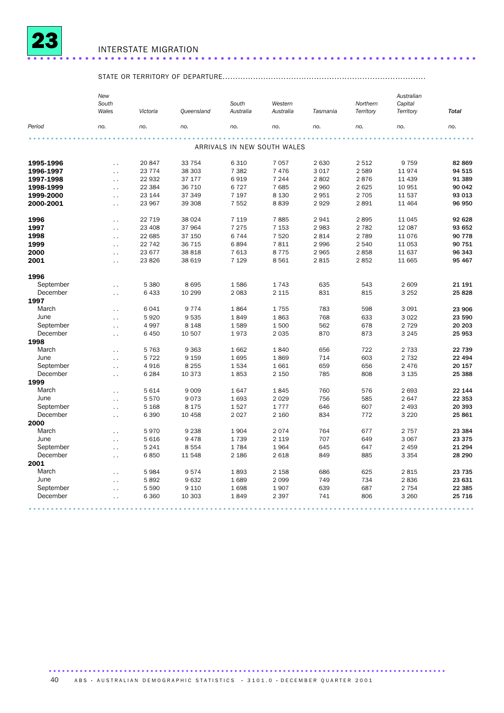

## INTERSTATE MIGRATION ......................................................................

## STATE OR TERRITORY OF DEPARTURE................................................................................

|           | New<br>South<br>Wales | Victoria | Queensland | South<br>Australia          | Western<br>Australia | Tasmania | Northern<br>Territory | Australian<br>Capital<br>Territory | <b>Total</b> |
|-----------|-----------------------|----------|------------|-----------------------------|----------------------|----------|-----------------------|------------------------------------|--------------|
|           |                       |          |            |                             |                      |          |                       |                                    |              |
| Period    | no.                   | no.      | no.        | no.                         | no.                  | no.      | no.                   | no.                                | no.          |
|           |                       |          |            |                             |                      |          |                       |                                    |              |
|           |                       |          |            | ARRIVALS IN NEW SOUTH WALES |                      |          |                       |                                    |              |
| 1995-1996 | $\ddot{\phantom{0}}$  | 20 847   | 33 754     | 6 3 1 0                     | 7 0 5 7              | 2 6 3 0  | 2512                  | 9759                               | 82 869       |
| 1996-1997 | $\ddotsc$             | 23 7 7 4 | 38 303     | 7 3 8 2                     | 7476                 | 3 0 1 7  | 2589                  | 11974                              | 94 515       |
| 1997-1998 | $\ddot{\phantom{0}}$  | 22 932   | 37 177     | 6919                        | 7 2 4 4              | 2802     | 2876                  | 11 439                             | 91 389       |
| 1998-1999 | $\ddot{\phantom{0}}$  | 22 3 84  | 36 710     | 6727                        | 7685                 | 2 9 6 0  | 2625                  | 10 951                             | 90 042       |
| 1999-2000 | $\ddot{\phantom{0}}$  | 23 144   | 37 349     | 7 1 9 7                     | 8 1 3 0              | 2951     | 2 7 0 5               | 11 537                             | 93 013       |
| 2000-2001 | $\ddot{\phantom{0}}$  | 23 967   | 39 308     | 7 5 5 2                     | 8839                 | 2929     | 2891                  | 11 4 64                            | 96 950       |
| 1996      | $\ddot{\phantom{0}}$  | 22 7 19  | 38 0 24    | 7 1 1 9                     | 7885                 | 2941     | 2895                  | 11 0 45                            | 92 628       |
| 1997      | $\ddot{\phantom{0}}$  | 23 408   | 37 964     | 7 2 7 5                     | 7 1 5 3              | 2 9 8 3  | 2 7 8 2               | 12 087                             | 93 652       |
| 1998      | $\ddot{\phantom{0}}$  | 22 685   | 37 150     | 6744                        | 7520                 | 2 8 1 4  | 2789                  | 11076                              | 90 778       |
| 1999      | $\ddot{\phantom{0}}$  | 22 742   | 36 715     | 6894                        | 7811                 | 2 9 9 6  | 2 5 4 0               | 11 0 53                            | 90 751       |
| 2000      | $\ddot{\phantom{0}}$  | 23 677   | 38 818     | 7613                        | 8775                 | 2 9 6 5  | 2858                  | 11 637                             | 96 343       |
| 2001      | $\ddotsc$             | 23826    | 38 619     | 7 1 2 9                     | 8561                 | 2815     | 2852                  | 11 665                             | 95 467       |
| 1996      |                       |          |            |                             |                      |          |                       |                                    |              |
| September | $\ddotsc$             | 5 3 8 0  | 8695       | 1586                        | 1743                 | 635      | 543                   | 2 609                              | 21 191       |
| December  | $\ddot{\phantom{1}}$  | 6433     | 10 299     | 2 0 8 3                     | 2 1 1 5              | 831      | 815                   | 3 2 5 2                            | 25828        |
| 1997      |                       |          |            |                             |                      |          |                       |                                    |              |
| March     | $\ddotsc$             | 6041     | 9 7 7 4    | 1864                        | 1755                 | 783      | 598                   | 3 0 9 1                            | 23 906       |
| June      | $\ddot{\phantom{0}}$  | 5920     | 9 5 3 5    | 1849                        | 1863                 | 768      | 633                   | 3022                               | 23 590       |
| September | $\sim$                | 4997     | 8 1 4 8    | 1589                        | 1500                 | 562      | 678                   | 2 7 2 9                            | 20 20 3      |
| December  | $\ddotsc$             | 6 4 5 0  | 10 507     | 1973                        | 2 0 3 5              | 870      | 873                   | 3 2 4 5                            | 25 953       |
| 1998      |                       |          |            |                             |                      |          |                       |                                    |              |
| March     | $\ddot{\phantom{0}}$  | 5763     | 9 3 6 3    | 1662                        | 1840                 | 656      | 722                   | 2 7 3 3                            | 22 739       |
| June      | $\ddot{\phantom{0}}$  | 5 7 2 2  | 9 1 5 9    | 1695                        | 1869                 | 714      | 603                   | 2 7 3 2                            | 22 4 94      |
| September | $\ddotsc$             | 4916     | 8 2 5 5    | 1534                        | 1 6 6 1              | 659      | 656                   | 2 4 7 6                            | 20 157       |
| December  | $\ddotsc$             | 6 2 8 4  | 10 373     | 1853                        | 2 1 5 0              | 785      | 808                   | 3 1 3 5                            | 25 388       |
| 1999      |                       |          |            |                             |                      |          |                       |                                    |              |
| March     | $\ddot{\phantom{0}}$  | 5 6 1 4  | 9 0 0 9    | 1647                        | 1845                 | 760      | 576                   | 2 6 9 3                            | 22 144       |
| June      | $\ddot{\phantom{0}}$  | 5570     | 9073       | 1693                        | 2 0 2 9              | 756      | 585                   | 2647                               | 22 353       |
| September | $\ddot{\phantom{0}}$  | 5 1 6 8  | 8 1 7 5    | 1527                        | 1777                 | 646      | 607                   | 2 4 9 3                            | 20 393       |
| December  | $\ddot{\phantom{0}}$  | 6 3 9 0  | 10 458     | 2 0 2 7                     | 2 160                | 834      | 772                   | 3 2 2 0                            | 25 861       |
| 2000      |                       |          |            |                             |                      |          |                       |                                    |              |
| March     | $\ddot{\phantom{0}}$  | 5970     | 9 2 3 8    | 1904                        | 2074                 | 764      | 677                   | 2757                               | 23 384       |
| June      | $\ddotsc$             | 5 6 1 6  | 9478       | 1739                        | 2 1 1 9              | 707      | 649                   | 3 0 6 7                            | 23 375       |
| September | $\ddot{\phantom{0}}$  | 5 2 4 1  | 8 5 5 4    | 1784                        | 1964                 | 645      | 647                   | 2 4 5 9                            | 21 294       |
| December  | $\ddot{\phantom{0}}$  | 6850     | 11 548     | 2 1 8 6                     | 2 6 18               | 849      | 885                   | 3 3 5 4                            | 28 290       |
| 2001      |                       |          |            |                             |                      |          |                       |                                    |              |
| March     | $\ddot{\phantom{0}}$  | 5984     | 9574       | 1893                        | 2 1 5 8              | 686      | 625                   | 2815                               | 23 7 35      |
| June      | $\ddot{\phantom{0}}$  | 5892     | 9632       | 1689                        | 2 0 9 9              | 749      | 734                   | 2836                               | 23 631       |
| September | $\ddot{\phantom{0}}$  | 5 5 9 0  | 9 1 1 0    | 1698                        | 1907                 | 639      | 687                   | 2 7 5 4                            | 22 385       |
| December  | $\ddot{\phantom{0}}$  | 6 3 6 0  | 10 303     | 1849                        | 2 3 9 7              | 741      | 806                   | 3 2 6 0                            | 25 7 16      |
|           |                       |          |            |                             |                      |          |                       |                                    |              |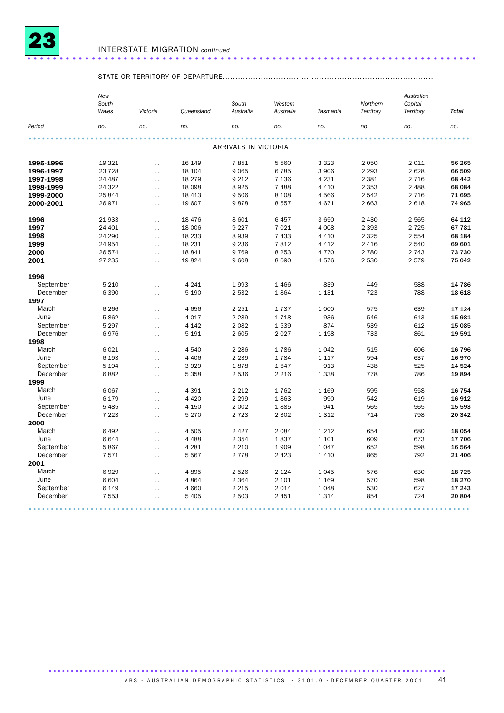

### INTERSTATE MIGRATION *continued* ......................................................................

## STATE OR TERRITORY OF DEPARTURE...................................................................................

|           | New<br>South<br>Wales | Victoria             | Queensland | South<br>Australia   | Western<br>Australia | Tasmania | Northern<br>Territory | Australian<br>Capital<br>Territory | <b>Total</b> |
|-----------|-----------------------|----------------------|------------|----------------------|----------------------|----------|-----------------------|------------------------------------|--------------|
| Period    | no.                   | no.                  | no.        | no.                  | no.                  | no.      | no.                   | no.                                | no.          |
|           |                       |                      |            |                      |                      |          |                       |                                    |              |
|           |                       |                      |            | ARRIVALS IN VICTORIA |                      |          |                       |                                    |              |
| 1995-1996 | 19 321                | $\ddot{\phantom{0}}$ | 16 149     | 7851                 | 5 5 6 0              | 3 3 2 3  | 2 0 5 0               | 2011                               | 56 265       |
| 1996-1997 | 23 7 28               | $\ddotsc$            | 18 104     | 9 0 65               | 6 7 8 5              | 3 9 0 6  | 2 2 9 3               | 2628                               | 66 509       |
| 1997-1998 | 24 487                | $\sim$ .             | 18 279     | 9 2 1 2              | 7 1 3 6              | 4 2 3 1  | 2 3 8 1               | 2 7 1 6                            | 68 442       |
| 1998-1999 | 24 3 22               | $\ddot{\phantom{0}}$ | 18 0 98    | 8925                 | 7 4 8 8              | 4 4 1 0  | 2 3 5 3               | 2 4 8 8                            | 68 084       |
| 1999-2000 | 25 844                | $\ddot{\phantom{0}}$ | 18 4 13    | 9 5 0 6              | 8 1 0 8              | 4 5 6 6  | 2 5 4 2               | 2 7 1 6                            | 71 695       |
| 2000-2001 | 26971                 | $\sim$ $\sim$        | 19 607     | 9878                 | 8557                 | 4671     | 2 6 6 3               | 2 6 18                             | 74 965       |
| 1996      | 21 933                | $\ddot{\phantom{0}}$ | 18 4 76    | 8 6 0 1              | 6 4 5 7              | 3 6 5 0  | 2 4 3 0               | 2 5 6 5                            | 64 112       |
| 1997      | 24 401                | $\ddot{\phantom{0}}$ | 18 006     | 9 2 2 7              | 7 0 2 1              | 4 0 0 8  | 2 3 9 3               | 2 7 2 5                            | 67 781       |
| 1998      | 24 290                | $\sim$ $\sim$        | 18 2 3 3   | 8939                 | 7 4 3 3              | 4 4 1 0  | 2 3 2 5               | 2 5 5 4                            | 68 184       |
| 1999      | 24 954                | $\ddot{\phantom{0}}$ | 18 2 31    | 9 2 3 6              | 7812                 | 4 4 1 2  | 2 4 1 6               | 2 5 4 0                            | 69 601       |
| 2000      | 26 574                | $\ddot{\phantom{a}}$ | 18 841     | 9769                 | 8 2 5 3              | 4 7 7 0  | 2 7 8 0               | 2 7 4 3                            | 73 730       |
| 2001      | 27 235                | $\ddot{\phantom{0}}$ | 19824      | 9 6 0 8              | 8 6 9 0              | 4576     | 2 5 3 0               | 2579                               | 75 042       |
| 1996      |                       |                      |            |                      |                      |          |                       |                                    |              |
| September | 5 2 1 0               | $\ddot{\phantom{0}}$ | 4 2 4 1    | 1993                 | 1 4 6 6              | 839      | 449                   | 588                                | 14 786       |
| December  | 6 3 9 0               | $\sim$ $\sim$        | 5 1 9 0    | 2 5 3 2              | 1864                 | 1 1 3 1  | 723                   | 788                                | 18 618       |
| 1997      |                       |                      |            |                      |                      |          |                       |                                    |              |
| March     | 6 2 6 6               | $\ddot{\phantom{0}}$ | 4656       | 2 2 5 1              | 1737                 | 1 0 0 0  | 575                   | 639                                | 17 124       |
| June      | 5862                  | $\ddot{\phantom{a}}$ | 4 0 1 7    | 2 2 8 9              | 1718                 | 936      | 546                   | 613                                | 15 981       |
| September | 5 2 9 7               | $\ddot{\phantom{a}}$ | 4 1 4 2    | 2 0 8 2              | 1539                 | 874      | 539                   | 612                                | 15 085       |
| December  | 6976                  | $\sim$ $\sim$        | 5 1 9 1    | 2 605                | 2 0 2 7              | 1 1 9 8  | 733                   | 861                                | 19591        |
| 1998      |                       |                      |            |                      |                      |          |                       |                                    |              |
| March     | 6021                  | $\ddot{\phantom{0}}$ | 4540       | 2 2 8 6              | 1786                 | 1 0 4 2  | 515                   | 606                                | 16 796       |
| June      | 6 1 9 3               | $\ddot{\phantom{0}}$ | 4 4 0 6    | 2 2 3 9              | 1784                 | 1 1 1 7  | 594                   | 637                                | 16970        |
| September | 5 1 9 4               | $\ddot{\phantom{0}}$ | 3929       | 1878                 | 1647                 | 913      | 438                   | 525                                | 14 5 24      |
| December  | 6882                  | $\ddot{\phantom{0}}$ | 5 3 5 8    | 2 5 3 6              | 2 2 1 6              | 1 3 3 8  | 778                   | 786                                | 19894        |
| 1999      |                       |                      |            |                      |                      |          |                       |                                    |              |
| March     | 6 0 67                | $\ddot{\phantom{0}}$ | 4 3 9 1    | 2 2 1 2              | 1762                 | 1 1 6 9  | 595                   | 558                                | 16 754       |
| June      | 6 179                 | $\ddot{\phantom{0}}$ | 4 4 2 0    | 2 2 9 9              | 1863                 | 990      | 542                   | 619                                | 16912        |
| September | 5 4 8 5               | $\ddot{\phantom{0}}$ | 4 1 5 0    | 2 0 0 2              | 1885                 | 941      | 565                   | 565                                | 15 593       |
| December  | 7 2 2 3               | $\sim$ $\sim$        | 5 2 7 0    | 2 7 2 3              | 2 3 0 2              | 1 3 1 2  | 714                   | 798                                | 20 342       |
| 2000      |                       |                      |            |                      |                      |          |                       |                                    |              |
| March     | 6492                  | . .                  | 4505       | 2 4 2 7              | 2 0 8 4              | 1 2 1 2  | 654                   | 680                                | 18 054       |
| June      | 6644                  | $\sim$ .             | 4 4 8 8    | 2 3 5 4              | 1837                 | 1 1 0 1  | 609                   | 673                                | 17 706       |
| September | 5867                  | $\ddot{\phantom{0}}$ | 4 2 8 1    | 2 2 1 0              | 1 9 0 9              | 1 0 4 7  | 652                   | 598                                | 16 5 64      |
| December  | 7571                  | $\ddot{\phantom{0}}$ | 5 5 6 7    | 2 7 7 8              | 2 4 2 3              | 1 4 1 0  | 865                   | 792                                | 21 40 6      |
| 2001      |                       |                      |            |                      |                      |          |                       |                                    |              |
| March     | 6929                  | $\ddot{\phantom{0}}$ | 4895       | 2 5 2 6              | 2 1 2 4              | 1 0 4 5  | 576                   | 630                                | 18725        |
| June      | 6 604                 | $\ddot{\phantom{0}}$ | 4864       | 2 3 6 4              | 2 1 0 1              | 1 1 6 9  | 570                   | 598                                | 18 270       |
| September | 6 1 4 9               | $\ddot{\phantom{0}}$ | 4 6 6 0    | 2 2 1 5              | 2 0 1 4              | 1 0 4 8  | 530                   | 627                                | 17 243       |
| December  | 7 5 5 3               | $\ddot{\phantom{0}}$ | 5 4 0 5    | 2 5 0 3              | 2 4 5 1              | 1 3 1 4  | 854                   | 724                                | 20 804       |
|           |                       |                      |            |                      |                      |          |                       |                                    |              |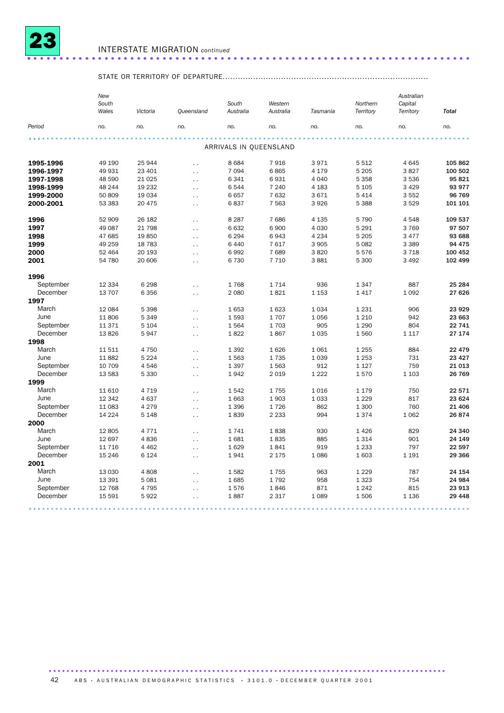

### INTERSTATE MIGRATION *continued* ..................................................................... .

### STATE OR TERRITORY OF DEPARTURE.................................................................................

|                       | New<br>South<br>Wales | Victoria | Queensland           | South<br>Australia     | Western<br>Australia | Tasmania | Northern<br>Territory | Australian<br>Capital<br>Territory | <b>Total</b>     |
|-----------------------|-----------------------|----------|----------------------|------------------------|----------------------|----------|-----------------------|------------------------------------|------------------|
| Period                | no.                   | no.      | no.                  | no.                    | no.                  | no.      | no.                   | no.                                | no.              |
|                       |                       |          |                      |                        |                      |          |                       |                                    |                  |
|                       |                       |          |                      | ARRIVALS IN QUEENSLAND |                      |          |                       |                                    |                  |
| 1995-1996             | 49 190                | 25 944   | $\ddotsc$            | 8684                   | 7916                 | 3971     | 5512                  | 4645                               | 105 862          |
| 1996-1997             | 49 931                | 23 401   | $\ddot{\phantom{0}}$ | 7 0 9 4                | 6865                 | 4 1 7 9  | 5 2 0 5               | 3827                               | 100 502          |
| 1997-1998             | 48 590                | 21 0 25  | $\ddotsc$            | 6 3 4 1                | 6931                 | 4 0 4 0  | 5 3 5 8               | 3536                               | 95 821           |
| 1998-1999             | 48 244                | 19 2 32  | $\ddotsc$            | 6544                   | 7 2 4 0              | 4 1 8 3  | 5 1 0 5               | 3 4 2 9                            | 93 977           |
| 1999-2000             | 50 809                | 19 0 34  | $\ddot{\phantom{0}}$ | 6657                   | 7 632                | 3671     | 5 4 1 4               | 3552                               | 96 769           |
| 2000-2001             | 53 383                | 20 475   | $\ddot{\phantom{0}}$ | 6837                   | 7 5 6 3              | 3926     | 5 3 8 8               | 3529                               | 101 101          |
|                       |                       |          |                      |                        |                      |          |                       |                                    |                  |
| 1996                  | 52 909                | 26 182   | $\ddot{\phantom{0}}$ | 8 2 8 7                | 7686                 | 4 1 3 5  | 5790                  | 4548                               | 109 537          |
| 1997                  | 49 087                | 21 798   | $\ddot{\phantom{0}}$ | 6632                   | 6 900                | 4 0 3 0  | 5 2 9 1               | 3769                               | 97 507           |
| 1998                  | 47 685                | 19850    | $\ddotsc$            | 6 2 9 4                | 6943                 | 4 2 3 4  | 5 2 0 5               | 3 4 7 7                            | 93 688           |
| 1999                  | 49 259                | 18 7 83  | $\ddot{\phantom{0}}$ | 6 4 4 0                | 7617                 | 3 9 0 5  | 5 0 8 2               | 3 3 8 9                            | 94 475           |
| 2000                  | 52 464                | 20 193   | $\ddotsc$            | 6992                   | 7689                 | 3820     | 5576                  | 3718                               | 100 452          |
| 2001                  | 54 780                | 20 60 6  | $\ddot{\phantom{0}}$ | 6 7 3 0                | 7 7 1 0              | 3881     | 5 300                 | 3 4 9 2                            | 102 499          |
| 1996                  |                       |          |                      |                        |                      |          |                       |                                    |                  |
| September             | 12 3 34               | 6 2 9 8  | $\ddotsc$            | 1768                   | 1714                 | 936      | 1347                  | 887                                | 25 284           |
| December              | 13 707                | 6 3 5 6  | $\sim$ $\sim$        | 2 0 8 0                | 1821                 | 1 1 5 3  | 1417                  | 1 0 9 2                            | 27 626           |
| 1997                  |                       |          |                      |                        |                      |          |                       |                                    |                  |
| March                 | 12 084                | 5 3 9 8  | $\ddot{\phantom{1}}$ | 1653                   | 1623                 | 1034     | 1 2 3 1               | 906                                | 23 9 29          |
| June                  | 11806                 | 5 3 4 9  | $\ddot{\phantom{0}}$ | 1593                   | 1707                 | 1056     | 1 2 1 0               | 942                                | 23 663           |
| September             | 11 371                | 5 1 0 4  | $\ddotsc$            | 1564                   | 1703                 | 905      | 1 2 9 0               | 804                                | 22 741           |
| December              | 13826                 | 5947     | $\ddotsc$            | 1822                   | 1867                 | 1035     | 1560                  | 1 1 1 7                            | 27 174           |
| 1998                  |                       |          |                      |                        |                      |          |                       |                                    |                  |
| March                 | 11511                 | 4 7 5 0  | $\ddotsc$            | 1 3 9 2                | 1626                 | 1061     | 1 2 5 5               | 884                                | 22 4 7 9         |
| June                  | 11882                 | 5 2 2 4  | $\ddot{\phantom{0}}$ | 1563                   | 1735                 | 1039     | 1 2 5 3               | 731                                | 23 4 27          |
| September             | 10 709                | 4546     | $\ddot{\phantom{0}}$ | 1 3 9 7                | 1563                 | 912      | 1 1 2 7               | 759                                | 21 013           |
| December              | 13 583                | 5 3 3 0  | $\ddotsc$            | 1942                   | 2 0 1 9              | 1 2 2 2  | 1570                  | 1 1 0 3                            | 26 769           |
| 1999                  |                       |          |                      |                        |                      |          |                       |                                    |                  |
| March                 | 11 610                | 4 7 1 9  | $\ddotsc$            | 1542                   | 1755                 | 1016     | 1 1 7 9               | 750                                | 22 571           |
| June                  | 12 342                | 4 6 3 7  | $\ddotsc$            | 1 6 6 3                | 1903                 | 1033     | 1 2 2 9               | 817                                | 23 6 24          |
| September             | 11 083                | 4 2 7 9  | $\ddotsc$            | 1 3 9 6                | 1726                 | 862      | 1 300                 | 760                                | 21 40 6          |
| December              | 14 2 24               | 5 1 4 8  | $\ddot{\phantom{0}}$ | 1839                   | 2 2 3 3              | 994      | 1374                  | 1 0 6 2                            | 26 874           |
| 2000                  |                       |          |                      |                        |                      |          |                       |                                    |                  |
| March                 | 12 805                | 4 7 7 1  |                      | 1741                   | 1838                 | 930      | 1426                  | 829                                | 24 340           |
| June                  | 12 697                | 4836     | $\ddotsc$            | 1681                   | 1835                 | 885      | 1 3 1 4               | 901                                | 24 149           |
|                       |                       |          | $\ddotsc$            | 1629                   |                      |          |                       |                                    |                  |
| September<br>December | 11 7 16               | 4 4 6 2  | $\ddot{\phantom{1}}$ |                        | 1841                 | 919      | 1 2 3 3               | 797                                | 22 597<br>29 366 |
|                       | 15 246                | 6 1 2 4  | $\ddot{\phantom{0}}$ | 1941                   | 2 1 7 5              | 1086     | 1 603                 | 1 1 9 1                            |                  |
| 2001                  |                       |          |                      |                        |                      |          |                       |                                    |                  |
| March                 | 13 0 30               | 4808     | $\ddot{\phantom{0}}$ | 1582                   | 1755                 | 963      | 1 2 2 9               | 787                                | 24 154           |
| June                  | 13 3 9 1              | 5 0 8 1  | $\ddot{\phantom{0}}$ | 1685                   | 1792                 | 958      | 1 3 2 3               | 754                                | 24 984           |
| September             | 12 768                | 4795     | $\ddotsc$            | 1576                   | 1846                 | 871      | 1 2 4 2               | 815                                | 23 913           |
| December              | 15 591                | 5922     | $\ddot{\phantom{0}}$ | 1887                   | 2 3 1 7              | 1089     | 1506                  | 1 1 3 6                            | 29 4 48          |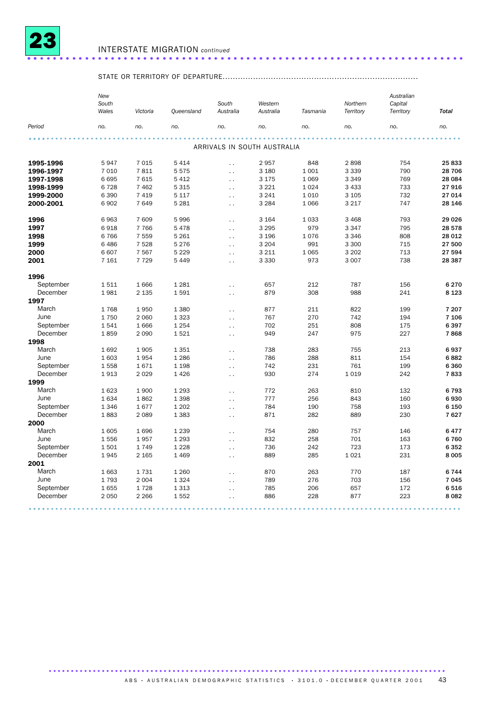

### INTERSTATE MIGRATION *continued* .................................................................... ..

## STATE OR TERRITORY OF DEPARTURE.............................................................................

|           | New<br>South<br>Wales | Victoria | Queensland | South<br>Australia   | Western<br>Australia        | Tasmania | Northern<br>Territory | Australian<br>Capital<br>Territory | <b>Total</b> |
|-----------|-----------------------|----------|------------|----------------------|-----------------------------|----------|-----------------------|------------------------------------|--------------|
| Period    | no.                   | no.      | no.        | no.                  | no.                         | no.      | no.                   | no.                                | no.          |
|           |                       |          |            |                      |                             |          |                       |                                    |              |
|           |                       |          |            |                      | ARRIVALS IN SOUTH AUSTRALIA |          |                       |                                    |              |
| 1995-1996 | 5947                  | 7015     | 5 4 1 4    | $\ddot{\phantom{0}}$ | 2957                        | 848      | 2898                  | 754                                | 25833        |
| 1996-1997 | 7 0 1 0               | 7811     | 5575       | $\ddot{\phantom{0}}$ | 3 1 8 0                     | 1 0 0 1  | 3 3 3 9               | 790                                | 28 706       |
| 1997-1998 | 6695                  | 7615     | 5 4 1 2    | $\ddot{\phantom{0}}$ | 3 1 7 5                     | 1 0 6 9  | 3 3 4 9               | 769                                | 28 084       |
| 1998-1999 | 6728                  | 7 4 6 2  | 5 3 1 5    | $\ddot{\phantom{a}}$ | 3 2 2 1                     | 1 0 2 4  | 3 4 3 3               | 733                                | 27916        |
| 1999-2000 | 6 3 9 0               | 7 4 1 9  | 5 1 1 7    | $\sim$               | 3 2 4 1                     | 1010     | 3 1 0 5               | 732                                | 27 014       |
| 2000-2001 | 6 9 0 2               | 7649     | 5 2 8 1    | $\ddot{\phantom{0}}$ | 3 2 8 4                     | 1066     | 3 2 1 7               | 747                                | 28 146       |
|           |                       |          |            |                      |                             |          |                       |                                    |              |
| 1996      | 6963                  | 7 609    | 5996       | $\ddot{\phantom{a}}$ | 3 1 6 4                     | 1033     | 3 4 6 8               | 793                                | 29 0 26      |
| 1997      | 6918                  | 7 7 6 6  | 5 4 7 8    | $\ddotsc$            | 3 2 9 5                     | 979      | 3 3 4 7               | 795                                | 28 578       |
| 1998      | 6766                  | 7 5 5 9  | 5 2 6 1    | $\ddot{\phantom{0}}$ | 3 1 9 6                     | 1076     | 3 3 4 6               | 808                                | 28 012       |
| 1999      | 6 4 8 6               | 7528     | 5 2 7 6    | $\ddot{\phantom{0}}$ | 3 2 0 4                     | 991      | 3 3 0 0               | 715                                | 27 500       |
| 2000      | 6 607                 | 7567     | 5 2 2 9    | $\ddotsc$            | 3 2 1 1                     | 1 0 6 5  | 3 2 0 2               | 713                                | 27 594       |
| 2001      | 7 1 6 1               | 7729     | 5 4 4 9    | $\ddot{\phantom{0}}$ | 3 3 3 0                     | 973      | 3 0 0 7               | 738                                | 28 387       |
|           |                       |          |            |                      |                             |          |                       |                                    |              |
| 1996      |                       |          |            |                      |                             |          |                       |                                    |              |
| September | 1511                  | 1666     | 1 2 8 1    | $\ddot{\phantom{0}}$ | 657                         | 212      | 787                   | 156                                | 6270         |
| December  | 1981                  | 2 1 3 5  | 1591       | $\ddot{\phantom{a}}$ | 879                         | 308      | 988                   | 241                                | 8 1 2 3      |
| 1997      |                       |          |            |                      |                             |          |                       |                                    |              |
| March     | 1768                  | 1950     | 1 3 8 0    | $\sim$               | 877                         | 211      | 822                   | 199                                | 7 207        |
| June      | 1750                  | 2 0 6 0  | 1 3 2 3    | $\ddot{\phantom{0}}$ | 767                         | 270      | 742                   | 194                                | 7 106        |
| September | 1541                  | 1666     | 1 2 5 4    | $\ddot{\phantom{0}}$ | 702                         | 251      | 808                   | 175                                | 6397         |
| December  | 1859                  | 2090     | 1521       | $\ddot{\phantom{0}}$ | 949                         | 247      | 975                   | 227                                | 7868         |
| 1998      |                       |          |            |                      |                             |          |                       |                                    |              |
| March     | 1692                  | 1905     | 1 3 5 1    | $\ddot{\phantom{0}}$ | 738                         | 283      | 755                   | 213                                | 6937         |
| June      | 1 603                 | 1954     | 1 2 8 6    | $\ddot{\phantom{a}}$ | 786                         | 288      | 811                   | 154                                | 6882         |
| September | 1558                  | 1671     | 1 1 9 8    | $\sim$               | 742                         | 231      | 761                   | 199                                | 6360         |
| December  | 1913                  | 2029     | 1 4 2 6    | $\ddot{\phantom{0}}$ | 930                         | 274      | 1019                  | 242                                | 7833         |
| 1999      |                       |          |            |                      |                             |          |                       |                                    |              |
| March     | 1623                  | 1900     | 1 2 9 3    | $\ddot{\phantom{a}}$ | 772                         | 263      | 810                   | 132                                | 6793         |
| June      | 1634                  | 1862     | 1 3 9 8    | $\ddot{\phantom{0}}$ | 777                         | 256      | 843                   | 160                                | 6930         |
| September | 1 3 4 6               | 1677     | 1 2 0 2    | $\ddot{\phantom{0}}$ | 784                         | 190      | 758                   | 193                                | 6 150        |
| December  | 1883                  | 2 0 8 9  | 1 3 8 3    | $\sim$               | 871                         | 282      | 889                   | 230                                | 7627         |
| 2000      |                       |          |            |                      |                             |          |                       |                                    |              |
| March     | 1 605                 | 1696     | 1 2 3 9    | $\ddot{\phantom{0}}$ | 754                         | 280      | 757                   | 146                                | 6477         |
| June      | 1556                  | 1957     | 1 2 9 3    |                      | 832                         | 258      | 701                   | 163                                | 6760         |
| September | 1501                  | 1749     | 1 2 2 8    | $\ddotsc$            | 736                         | 242      | 723                   | 173                                | 6352         |
| December  | 1945                  | 2 1 6 5  | 1 4 6 9    | $\ddot{\phantom{0}}$ | 889                         | 285      | 1 0 2 1               | 231                                | 8 0 0 5      |
| 2001      |                       |          |            | $\ddot{\phantom{0}}$ |                             |          |                       |                                    |              |
| March     |                       |          |            |                      |                             |          |                       |                                    |              |
| June      | 1 6 6 3               | 1731     | 1 2 6 0    | $\ddot{\phantom{0}}$ | 870                         | 263      | 770                   | 187                                | 6744         |
|           | 1793                  | 2004     | 1 3 2 4    | $\sim$               | 789                         | 276      | 703                   | 156                                | 7 0 4 5      |
| September | 1655                  | 1728     | 1 3 1 3    | $\ddot{\phantom{0}}$ | 785                         | 206      | 657                   | 172                                | 6516         |
| December  | 2 0 5 0               | 2 2 6 6  | 1552       | $\ddot{\phantom{0}}$ | 886                         | 228      | 877                   | 223                                | 8 0 8 2      |
|           |                       |          |            |                      |                             |          |                       |                                    |              |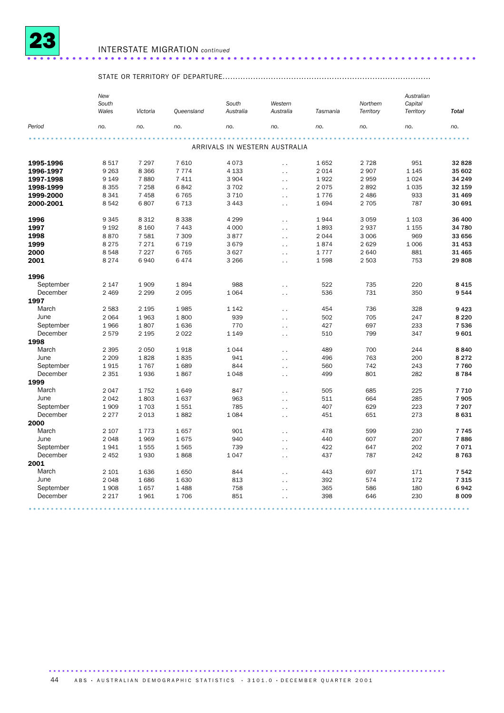

### INTERSTATE MIGRATION *continued* ......................................................................

## STATE OR TERRITORY OF DEPARTURE..................................................................................

|               | New<br>South<br>Wales | Victoria     | Queensland   | South<br>Australia | Western<br>Australia          | Tasmania | Northern<br>Territory | Australian<br>Capital<br>Territory | <b>Total</b>    |
|---------------|-----------------------|--------------|--------------|--------------------|-------------------------------|----------|-----------------------|------------------------------------|-----------------|
| Period        | no.                   | no.          | no.          | no.                | no.                           | no.      | no.                   | no.                                | no.             |
|               |                       |              |              |                    |                               |          |                       |                                    |                 |
|               |                       |              |              |                    | ARRIVALS IN WESTERN AUSTRALIA |          |                       |                                    |                 |
| 1995-1996     | 8517                  | 7 2 9 7      | 7610         | 4073               | $\ddotsc$                     | 1652     | 2 7 2 8               | 951                                | 32 828          |
| 1996-1997     | 9 2 6 3               | 8 3 6 6      | 7 7 7 4      | 4 1 3 3            | $\ddotsc$                     | 2014     | 2 9 0 7               | 1 1 4 5                            | 35 602          |
| 1997-1998     | 9 1 4 9               | 7880         | 7 4 1 1      | 3 9 0 4            | $\ddotsc$                     | 1922     | 2959                  | 1 0 2 4                            | 34 249          |
| 1998-1999     | 8 3 5 5               | 7 2 5 8      | 6842         | 3702               | $\ddotsc$                     | 2075     | 2892                  | 1 0 3 5                            | 32 159          |
| 1999-2000     | 8 3 4 1               | 7 4 5 8      | 6765         | 3710               | $\sim$ .                      | 1776     | 2 4 8 6               | 933                                | 31 469          |
| 2000-2001     | 8542                  | 6807         | 6713         | 3 4 4 3            | $\ddotsc$                     | 1694     | 2 7 0 5               | 787                                | 30 691          |
| 1996          | 9345                  | 8 3 1 2      | 8 3 3 8      | 4 2 9 9            | $\ddot{\phantom{0}}$          | 1944     | 3 0 5 9               | 1 1 0 3                            | 36 400          |
| 1997          | 9 1 9 2               | 8 1 6 0      | 7 4 4 3      | 4 0 0 0            | $\ddotsc$                     | 1893     | 2937                  | 1 1 5 5                            | 34 780          |
| 1998          | 8870                  | 7581         | 7 3 0 9      | 3877               | $\ddotsc$                     | 2044     | 3 0 0 6               | 969                                | 33 656          |
| 1999          | 8 2 7 5               | 7 2 7 1      | 6719         | 3679               | $\ddotsc$                     | 1874     | 2 6 2 9               | 1 0 0 6                            | 31 4 53         |
| 2000          | 8548                  | 7 2 2 7      | 6765         | 3627               | $\ddot{\phantom{1}}$ .        | 1777     | 2 6 4 0               | 881                                | 31 465          |
| 2001          | 8 2 7 4               | 6940         | 6474         | 3 2 6 6            | $\ddotsc$                     | 1598     | 2 5 0 3               | 753                                | 29808           |
| 1996          |                       |              |              |                    |                               |          |                       |                                    |                 |
| September     | 2 1 4 7               | 1909         | 1894         | 988                | $\ddotsc$                     | 522      | 735                   | 220                                | 8 4 1 5         |
| December      | 2 4 6 9               | 2 2 9 9      | 2095         | 1064               | $\ddotsc$                     | 536      | 731                   | 350                                | 9544            |
| 1997          |                       |              |              |                    |                               |          |                       |                                    |                 |
| March         | 2 5 8 3               | 2 1 9 5      | 1985         | 1 1 4 2            | $\ddotsc$                     | 454      | 736                   | 328                                | 9423            |
| June          | 2 0 6 4               | 1963         | 1800         | 939                | $\ddotsc$                     | 502      | 705                   | 247                                | 8 2 2 0         |
| September     | 1966                  | 1807         | 1636         | 770                | $\ddot{\phantom{1}}$ .        | 427      | 697                   | 233                                | 7536            |
| December      | 2579                  | 2 1 9 5      | 2022         | 1 1 4 9            | $\ddotsc$                     | 510      | 799                   | 347                                | 9601            |
| 1998          |                       |              |              |                    |                               |          |                       |                                    |                 |
| March         | 2 3 9 5               | 2 0 5 0      | 1918         | 1044               |                               | 489      | 700                   | 244                                | 8840            |
| June          | 2 2 0 9               | 1828         | 1835         | 941                | $\ddotsc$                     | 496      | 763                   | 200                                | 8 2 7 2         |
| September     | 1915                  | 1767         | 1689         | 844                | $\ddot{\phantom{0}}$          | 560      | 742                   | 243                                | 7760            |
| December      | 2 3 5 1               | 1936         | 1867         | 1048               | $\sim$ .                      | 499      | 801                   | 282                                | 8784            |
| 1999          |                       |              |              |                    | $\ddot{\phantom{1}}$ .        |          |                       |                                    |                 |
| March         | 2047                  | 1752         | 1649         | 847                |                               | 505      | 685                   | 225                                | 7710            |
| June          | 2042                  | 1803         | 1637         | 963                | $\ddotsc$                     | 511      | 664                   | 285                                | 7905            |
| September     | 1909                  | 1703         |              | 785                | $\ddotsc$                     | 407      | 629                   | 223                                | 7 207           |
| December      |                       |              | 1551         | 1084               | $\sim$                        |          |                       |                                    | 8631            |
|               | 2 2 7 7               | 2013         | 1882         |                    | $\ddotsc$                     | 451      | 651                   | 273                                |                 |
| 2000          |                       |              |              |                    |                               |          |                       |                                    |                 |
| March<br>June | 2 107<br>2048         | 1773<br>1969 | 1657<br>1675 | 901<br>940         | $\ddot{\phantom{0}}$          | 478      | 599                   | 230<br>207                         | 7 7 4 5<br>7886 |
|               |                       |              |              |                    | $\ddot{\phantom{1}}$ .        | 440      | 607                   |                                    |                 |
| September     | 1941                  | 1555         | 1565         | 739                | $\ddot{\phantom{1}}$ .        | 422      | 647                   | 202                                | 7071            |
| December      | 2 4 5 2               | 1930         | 1868         | 1047               | $\ddotsc$                     | 437      | 787                   | 242                                | 8763            |
| 2001          |                       |              |              |                    |                               |          |                       |                                    |                 |
| March         | 2 101                 | 1636         | 1650         | 844                | $\ddot{\phantom{0}}$          | 443      | 697                   | 171                                | 7542            |
| June          | 2048                  | 1686         | 1630         | 813                | $\sim$ .                      | 392      | 574                   | 172                                | 7315            |
| September     | 1908                  | 1657         | 1488         | 758                | $\ddot{\phantom{0}}$          | 365      | 586                   | 180                                | 6942            |
| December      | 2 2 1 7               | 1961         | 1706         | 851                | $\ddotsc$                     | 398      | 646                   | 230                                | 8 0 0 9         |
|               |                       |              |              |                    |                               |          |                       |                                    |                 |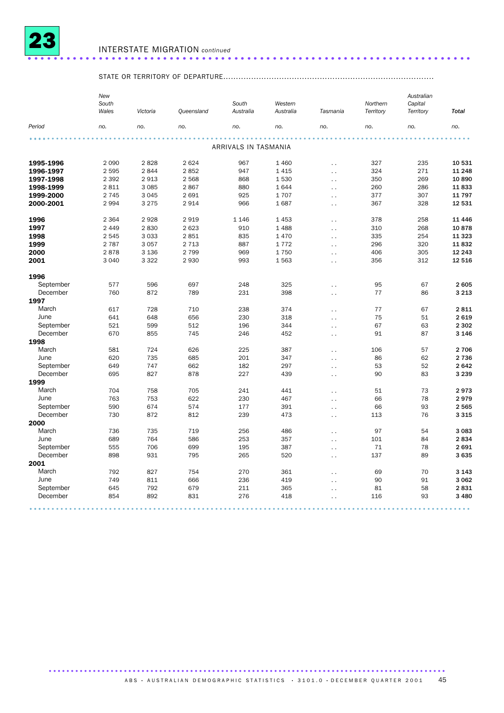

### INTERSTATE MIGRATION *continued* ..................................................................... .

## STATE OR TERRITORY OF DEPARTURE...................................................................................

|                       | New<br>South<br>Wales | Victoria   | Queensland | South<br>Australia   | Western<br>Australia | Tasmania                                     | Northern<br>Territory | Australian<br>Capital<br>Territory | <b>Total</b>    |
|-----------------------|-----------------------|------------|------------|----------------------|----------------------|----------------------------------------------|-----------------------|------------------------------------|-----------------|
| Period                | no.                   | no.        | no.        | no.                  | no.                  | no.                                          | no.                   | no.                                | no.             |
|                       |                       |            |            |                      |                      |                                              |                       |                                    |                 |
|                       |                       |            |            | ARRIVALS IN TASMANIA |                      |                                              |                       |                                    |                 |
| 1995-1996             | 2 0 9 0               | 2828       | 2 6 2 4    | 967                  | 1 4 6 0              | $\ddotsc$                                    | 327                   | 235                                | 10 531          |
| 1996-1997             | 2 5 9 5               | 2844       | 2852       | 947                  | 1 4 1 5              | $\ddotsc$                                    | 324                   | 271                                | 11 248          |
| 1997-1998             | 2 3 9 2               | 2913       | 2 5 6 8    | 868                  | 1530                 | $\ddots$                                     | 350                   | 269                                | 10890           |
| 1998-1999             | 2811                  | 3 0 8 5    | 2867       | 880                  | 1644                 | $\ddot{\phantom{a}}$                         | 260                   | 286                                | 11833           |
| 1999-2000             | 2 7 4 5               | 3 0 4 5    | 2 6 9 1    | 925                  | 1707                 | $\ddot{\phantom{0}}$                         | 377                   | 307                                | 11 797          |
| 2000-2001             | 2994                  | 3 2 7 5    | 2914       | 966                  | 1687                 | $\ddot{\phantom{1}}$                         | 367                   | 328                                | 12 531          |
| 1996                  | 2 3 6 4               | 2928       | 2919       | 1 1 4 6              | 1453                 | $\ddotsc$                                    | 378                   | 258                                | 11 4 46         |
| 1997                  | 2 4 4 9               | 2830       | 2 6 2 3    | 910                  | 1 4 8 8              | $\ddot{\phantom{0}}$                         | 310                   | 268                                | 10878           |
| 1998                  | 2 5 4 5               | 3 0 3 3    | 2851       | 835                  | 1 4 7 0              | $\ddot{\phantom{0}}$                         | 335                   | 254                                | 11 323          |
| 1999                  | 2 7 8 7               | 3 0 5 7    | 2 7 1 3    | 887                  | 1772                 | $\ddotsc$                                    | 296                   | 320                                | 11832           |
| 2000                  | 2878                  | 3 1 3 6    | 2 7 9 9    | 969                  | 1750                 | $\ddot{\phantom{a}}$                         | 406                   | 305                                | 12 243          |
| 2001                  | 3 0 4 0               | 3 3 2 2    | 2 9 3 0    | 993                  | 1 5 6 3              | $\ddot{\phantom{0}}$                         | 356                   | 312                                | 12 516          |
| 1996                  |                       |            |            |                      |                      |                                              |                       |                                    |                 |
| September             | 577                   | 596        | 697        | 248                  | 325                  | $\ddot{\phantom{0}}$                         | 95                    | 67                                 | 2 605           |
| December              | 760                   | 872        | 789        | 231                  | 398                  | $\ddot{\phantom{0}}$                         | 77                    | 86                                 | 3 2 1 3         |
| 1997                  |                       |            |            |                      |                      |                                              |                       |                                    |                 |
| March                 | 617                   | 728        | 710        | 238                  | 374                  | $\ddot{\phantom{0}}$                         | 77                    | 67                                 | 2811            |
| June                  | 641                   | 648        | 656        | 230                  | 318                  |                                              | 75                    | 51                                 | 2619            |
| September             | 521                   | 599        | 512        | 196                  | 344                  | $\ddot{\phantom{0}}$<br>$\ddot{\phantom{0}}$ | 67                    | 63                                 | 2 3 0 2         |
| December              | 670                   | 855        | 745        | 246                  | 452                  |                                              | 91                    | 87                                 | 3 1 4 6         |
| 1998                  |                       |            |            |                      |                      | $\ddot{\phantom{0}}$                         |                       |                                    |                 |
| March                 | 581                   | 724        | 626        | 225                  | 387                  |                                              | 106                   | 57                                 | 2 7 0 6         |
| June                  | 620                   | 735        | 685        | 201                  | 347                  | $\sim$                                       | 86                    | 62                                 | 2 7 3 6         |
|                       |                       |            |            |                      | 297                  | $\ddot{\phantom{0}}$                         |                       | 52                                 |                 |
| September<br>December | 649<br>695            | 747<br>827 | 662<br>878 | 182<br>227           | 439                  | $\ddot{\phantom{0}}$                         | 53<br>90              | 83                                 | 2642<br>3 2 3 9 |
|                       |                       |            |            |                      |                      | $\ddot{\phantom{0}}$                         |                       |                                    |                 |
| 1999<br>March         |                       |            |            |                      |                      |                                              |                       |                                    |                 |
|                       | 704                   | 758        | 705        | 241                  | 441                  | $\ddot{\phantom{0}}$                         | 51                    | 73                                 | 2973            |
| June                  | 763                   | 753        | 622        | 230                  | 467                  | $\ddot{\phantom{a}}$                         | 66                    | 78                                 | 2979            |
| September             | 590                   | 674        | 574        | 177                  | 391                  | $\ddot{\phantom{0}}$                         | 66                    | 93                                 | 2565            |
| December              | 730                   | 872        | 812        | 239                  | 473                  | $\sim$                                       | 113                   | 76                                 | 3 3 1 5         |
| 2000                  |                       |            |            |                      |                      |                                              |                       |                                    |                 |
| March                 | 736                   | 735        | 719        | 256                  | 486                  | $\ddot{\phantom{0}}$                         | 97                    | 54                                 | 3 0 8 3         |
| June                  | 689                   | 764        | 586        | 253                  | 357                  | $\ddot{\phantom{0}}$                         | 101                   | 84                                 | 2834            |
| September             | 555                   | 706        | 699        | 195                  | 387                  | $\sim$ $\sim$                                | 71                    | 78                                 | 2691            |
| December              | 898                   | 931        | 795        | 265                  | 520                  | $\ddot{\phantom{0}}$                         | 137                   | 89                                 | 3635            |
| 2001                  |                       |            |            |                      |                      |                                              |                       |                                    |                 |
| March                 | 792                   | 827        | 754        | 270                  | 361                  | $\ddot{\phantom{0}}$                         | 69                    | 70                                 | 3 1 4 3         |
| June                  | 749                   | 811        | 666        | 236                  | 419                  | $\ddot{\phantom{0}}$                         | 90                    | 91                                 | 3 0 6 2         |
| September             | 645                   | 792        | 679        | 211                  | 365                  | $\ddot{\phantom{1}}$                         | 81                    | 58                                 | 2831            |
| December              | 854                   | 892        | 831        | 276                  | 418                  | $\ddot{\phantom{0}}$                         | 116                   | 93                                 | 3 4 8 0         |
|                       |                       |            |            |                      |                      |                                              |                       |                                    |                 |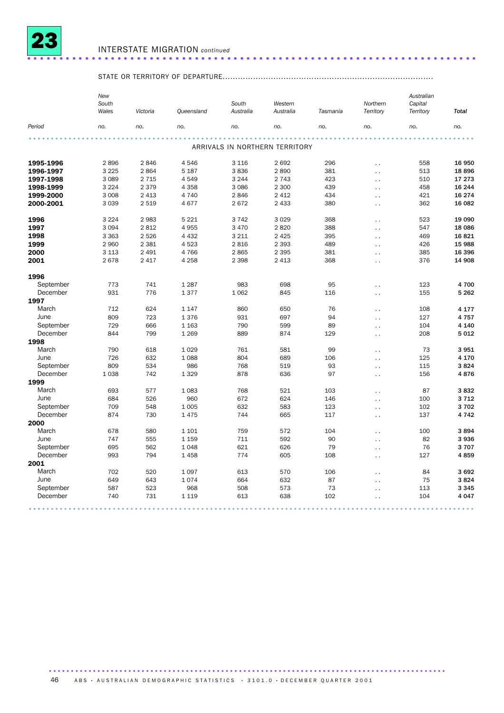

### INTERSTATE MIGRATION *continued* ......................................................................

### STATE OR TERRITORY OF DEPARTURE...................................................................................

|                       | New<br>South<br>Wales | Victoria | Queensland         | South<br>Australia | Western<br>Australia           | Tasmania | Northern<br>Territory                        | Australian<br>Capital<br>Territory | <b>Total</b> |
|-----------------------|-----------------------|----------|--------------------|--------------------|--------------------------------|----------|----------------------------------------------|------------------------------------|--------------|
| Period                | no.                   | no.      | no.                | no.                | no.                            | no.      | no.                                          | no.                                | no.          |
|                       |                       |          |                    |                    |                                |          |                                              |                                    |              |
|                       |                       |          |                    |                    | ARRIVALS IN NORTHERN TERRITORY |          |                                              |                                    |              |
| 1995-1996             | 2896                  | 2846     | 4546               | 3 1 1 6            | 2692                           | 296      | $\ddot{\phantom{0}}$                         | 558                                | 16 950       |
| 1996-1997             | 3 2 2 5               | 2864     | 5 1 8 7            | 3836               | 2890                           | 381      | $\ddotsc$                                    | 513                                | 18896        |
| 1997-1998             | 3 0 8 9               | 2 7 1 5  | 4549               | 3 2 4 4            | 2 7 4 3                        | 423      | $\ddot{\phantom{a}}$                         | 510                                | 17 273       |
| 1998-1999             | 3 2 2 4               | 2 3 7 9  | 4 3 5 8            | 3 0 8 6            | 2 300                          | 439      | $\ddotsc$                                    | 458                                | 16 244       |
| 1999-2000             | 3 0 0 8               | 2 4 1 3  | 4 7 4 0            | 2846               | 2 4 1 2                        | 434      | $\ddot{\phantom{0}}$                         | 421                                | 16 274       |
| 2000-2001             | 3 0 3 9               | 2 5 1 9  | 4677               | 2672               | 2 4 3 3                        | 380      | . .                                          | 362                                | 16 082       |
| 1996                  | 3 2 2 4               | 2983     | 5 2 2 1            | 3 7 4 2            | 3 0 2 9                        | 368      | $\ddot{\phantom{0}}$                         | 523                                | 19 090       |
| 1997                  | 3 0 9 4               | 2812     | 4 9 5 5            | 3 4 7 0            | 2820                           | 388      | $\ddot{\phantom{0}}$                         | 547                                | 18 0 86      |
| 1998                  | 3 3 6 3               | 2526     | 4 4 3 2            | 3 2 1 1            | 2 4 2 5                        | 395      | $\ddotsc$                                    | 469                                | 16821        |
| 1999                  | 2 9 6 0               | 2 3 8 1  | 4523               | 2 8 1 6            | 2 3 9 3                        | 489      | $\ddot{\phantom{0}}$                         | 426                                | 15 988       |
| 2000                  | 3 1 1 3               | 2 4 9 1  | 4766               | 2865               | 2 3 9 5                        | 381      | $\ddotsc$                                    | 385                                | 16 396       |
| 2001                  | 2678                  | 2 4 1 7  | 4 2 5 8            | 2 3 9 8            | 2 4 1 3                        | 368      | $\ddot{\phantom{0}}$                         | 376                                | 14 908       |
| 1996                  |                       |          |                    |                    |                                |          |                                              |                                    |              |
| September             | 773                   | 741      | 1 2 8 7            | 983                | 698                            | 95       | $\ddotsc$                                    | 123                                | 4700         |
| December              | 931                   | 776      | 1377               | 1 0 6 2            | 845                            | 116      | $\ddot{\phantom{0}}$                         | 155                                | 5 2 6 2      |
| 1997                  |                       |          |                    |                    |                                |          |                                              |                                    |              |
| March                 | 712                   | 624      | 1 1 4 7            | 860                | 650                            | 76       | $\ddot{\phantom{0}}$                         | 108                                | 4 1 7 7      |
| June                  | 809                   | 723      | 1376               | 931                | 697                            | 94       | $\ddot{\phantom{0}}$                         | 127                                | 4757         |
| September             | 729                   | 666      | 1 1 6 3            | 790                | 599                            | 89       | $\ddotsc$                                    | 104                                | 4 1 4 0      |
| December              | 844                   | 799      | 1 2 6 9            | 889                | 874                            | 129      | $\ddot{\phantom{0}}$                         | 208                                | 5012         |
| 1998                  |                       |          |                    |                    |                                |          |                                              |                                    |              |
| March                 | 790                   | 618      | 1 0 2 9            | 761                | 581                            | 99       | $\ddotsc$                                    | 73                                 | 3951         |
| June                  | 726                   | 632      | 1 0 8 8            | 804                | 689                            | 106      | $\ddot{\phantom{0}}$                         | 125                                | 4 170        |
| September             | 809                   | 534      | 986                | 768                | 519                            | 93       | $\ddot{\phantom{0}}$                         | 115                                | 3824         |
| December              | 1038                  | 742      | 1 3 2 9            | 878                | 636                            | 97       | $\ddot{\phantom{0}}$                         | 156                                | 4876         |
| 1999                  |                       |          |                    |                    |                                |          |                                              |                                    |              |
| March                 | 693                   | 577      | 1 0 8 3            | 768                | 521                            | 103      | $\ddot{\phantom{0}}$                         | 87                                 | 3832         |
| June                  | 684                   | 526      | 960                | 672                | 624                            | 146      | $\ddot{\phantom{0}}$                         | 100                                | 3712         |
| September<br>December | 709<br>874            | 548      | 1 0 0 5            | 632                | 583                            | 123      | $\ddot{\phantom{0}}$                         | 102                                | 3702         |
|                       |                       | 730      | 1 4 7 5            | 744                | 665                            | 117      | $\ddot{\phantom{0}}$                         | 137                                | 4 7 4 2      |
| 2000<br>March         | 678                   | 580      |                    | 759                | 572                            | 104      |                                              | 100                                | 3894         |
| June                  | 747                   | 555      | 1 1 0 1<br>1 1 5 9 | 711                | 592                            | 90       | $\ddot{\phantom{0}}$                         | 82                                 | 3936         |
| September             | 695                   | 562      | 1 0 4 8            | 621                | 626                            | 79       | $\ddot{\phantom{1}}$                         | 76                                 | 3707         |
| December              | 993                   | 794      | 1458               | 774                | 605                            | 108      | $\ddot{\phantom{0}}$                         | 127                                | 4859         |
| 2001                  |                       |          |                    |                    |                                |          | $\ddot{\phantom{0}}$                         |                                    |              |
| March                 | 702                   | 520      | 1 0 9 7            | 613                | 570                            | 106      |                                              | 84                                 | 3692         |
| June                  | 649                   | 643      | 1074               | 664                | 632                            | 87       | $\ddot{\phantom{0}}$<br>$\ddot{\phantom{0}}$ | 75                                 | 3824         |
| September             | 587                   | 523      | 968                | 508                | 573                            | 73       | $\ddot{\phantom{0}}$                         | 113                                | 3 3 4 5      |
| December              | 740                   | 731      | 1 1 1 9            | 613                | 638                            | 102      | $\ddot{\phantom{0}}$                         | 104                                | 4 0 4 7      |
|                       |                       |          |                    |                    |                                |          |                                              |                                    |              |

46 ABS · AUSTRALIAN DEMOGRAPHIC STATISTICS · 3101.0 · DECEMBER QUARTER 2001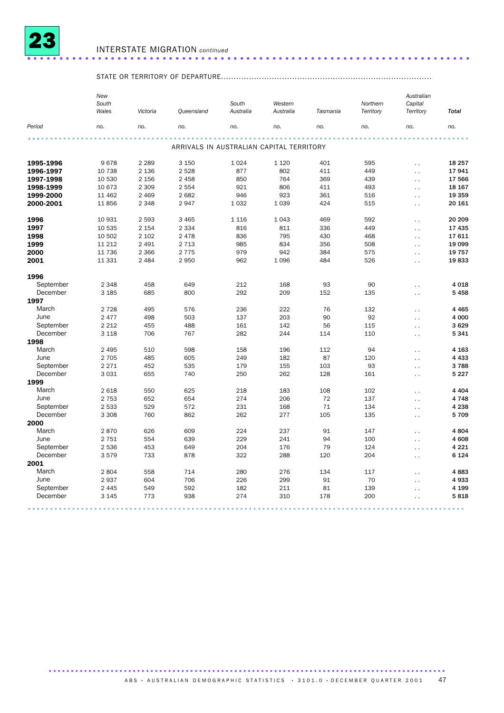

### INTERSTATE MIGRATION *continued* ..................................................................... .

## STATE OR TERRITORY OF DEPARTURE...................................................................................

|           | New<br>South<br>Wales | Victoria | Queensland                               | South<br>Australia | Western<br>Australia | Tasmania | Northern<br>Territory | Australian<br>Capital<br>Territory | <b>Total</b> |
|-----------|-----------------------|----------|------------------------------------------|--------------------|----------------------|----------|-----------------------|------------------------------------|--------------|
| Period    | no.                   | no.      | no.                                      | no.                | no.                  | no.      | no.                   | no.                                | no.          |
|           |                       |          |                                          |                    |                      |          |                       |                                    |              |
|           |                       |          | ARRIVALS IN AUSTRALIAN CAPITAL TERRITORY |                    |                      |          |                       |                                    |              |
| 1995-1996 | 9678                  | 2 2 8 9  | 3 1 5 0                                  | 1 0 2 4            | 1 1 2 0              | 401      | 595                   | $\ddotsc$                          | 18 25 7      |
| 1996-1997 | 10 738                | 2 1 3 6  | 2528                                     | 877                | 802                  | 411      | 449                   | $\ddot{\phantom{1}}$               | 17941        |
| 1997-1998 | 10 530                | 2 1 5 6  | 2 4 5 8                                  | 850                | 764                  | 369      | 439                   | $\ddot{\phantom{a}}$               | 17 566       |
| 1998-1999 | 10 673                | 2 3 0 9  | 2 5 5 4                                  | 921                | 806                  | 411      | 493                   | $\ddotsc$                          | 18 167       |
| 1999-2000 | 11 462                | 2 4 6 9  | 2682                                     | 946                | 923                  | 361      | 516                   | $\ddot{\phantom{0}}$               | 19 359       |
| 2000-2001 | 11856                 | 2 3 4 8  | 2947                                     | 1 0 3 2            | 1039                 | 424      | 515                   | $\sim$                             | 20 16 1      |
| 1996      | 10 931                | 2 5 9 3  | 3 4 6 5                                  | 1 1 1 6            | 1043                 | 469      | 592                   | $\ddot{\phantom{0}}$               | 20 20 9      |
| 1997      | 10 535                | 2 1 5 4  | 2 3 3 4                                  | 816                | 811                  | 336      | 449                   | $\ddot{\phantom{1}}$               | 17 435       |
| 1998      | 10 502                | 2 1 0 2  | 2 4 7 8                                  | 836                | 795                  | 430      | 468                   | $\ddotsc$                          | 17611        |
| 1999      | 11 212                | 2 4 9 1  | 2 7 1 3                                  | 985                | 834                  | 356      | 508                   | $\ddot{\phantom{a}}$               | 19 099       |
| 2000      | 11 736                | 2 3 6 6  | 2 7 7 5                                  | 979                | 942                  | 384      | 575                   | $\ddot{\phantom{a}}$               | 19 757       |
| 2001      | 11 331                | 2 4 8 4  | 2950                                     | 962                | 1096                 | 484      | 526                   | $\ddotsc$                          | 19833        |
| 1996      |                       |          |                                          |                    |                      |          |                       |                                    |              |
| September | 2 3 4 8               | 458      | 649                                      | 212                | 168                  | 93       | 90                    | $\ddot{\phantom{0}}$               | 4 0 18       |
| December  | 3 1 8 5               | 685      | 800                                      | 292                | 209                  | 152      | 135                   | $\ddotsc$                          | 5458         |
| 1997      |                       |          |                                          |                    |                      |          |                       |                                    |              |
| March     | 2 7 2 8               | 495      | 576                                      | 236                | 222                  | 76       | 132                   | $\ddotsc$                          | 4 4 6 5      |
| June      | 2 4 7 7               | 498      | 503                                      | 137                | 203                  | 90       | 92                    | $\ddotsc$                          | 4 000        |
| September | 2 2 1 2               | 455      | 488                                      | 161                | 142                  | 56       | 115                   | $\ddotsc$                          | 3629         |
| December  | 3 1 1 8               | 706      | 767                                      | 282                | 244                  | 114      | 110                   | $\ddotsc$                          | 5341         |
| 1998      |                       |          |                                          |                    |                      |          |                       |                                    |              |
| March     | 2 4 9 5               | 510      | 598                                      | 158                | 196                  | 112      | 94                    | $\ddot{\phantom{0}}$               | 4 1 6 3      |
| June      | 2 7 0 5               | 485      | 605                                      | 249                | 182                  | 87       | 120                   | $\ddot{\phantom{0}}$               | 4 4 3 3      |
| September | 2 2 7 1               | 452      | 535                                      | 179                | 155                  | 103      | 93                    | $\ddot{\phantom{0}}$               | 3788         |
| December  | 3 0 3 1               | 655      | 740                                      | 250                | 262                  | 128      | 161                   | $\ddotsc$                          | 5 2 2 7      |
| 1999      |                       |          |                                          |                    |                      |          |                       |                                    |              |
| March     | 2 6 18                | 550      | 625                                      | 218                | 183                  | 108      | 102                   | $\ddotsc$                          | 4 4 0 4      |
| June      | 2 7 5 3               | 652      | 654                                      | 274                | 206                  | 72       | 137                   | $\ddot{\phantom{0}}$               | 4748         |
| September | 2 5 3 3               | 529      | 572                                      | 231                | 168                  | 71       | 134                   | $\sim$ $\sim$                      | 4 2 3 8      |
| December  | 3 3 0 8               | 760      | 862                                      | 262                | 277                  | 105      | 135                   | $\ddotsc$                          | 5709         |
| 2000      |                       |          |                                          |                    |                      |          |                       |                                    |              |
| March     | 2870                  | 626      | 609                                      | 224                | 237                  | 91       | 147                   | $\ddot{\phantom{1}}$               | 4804         |
| June      | 2 7 5 1               | 554      | 639                                      | 229                | 241                  | 94       | 100                   |                                    | 4608         |
| September | 2 5 3 6               | 453      | 649                                      | 204                | 176                  | 79       | 124                   | $\ddotsc$<br>$\ddot{\phantom{0}}$  | 4 2 2 1      |
| December  | 3579                  | 733      | 878                                      | 322                | 288                  | 120      | 204                   |                                    | 6 1 2 4      |
| 2001      |                       |          |                                          |                    |                      |          |                       | $\ddotsc$                          |              |
| March     | 2804                  | 558      | 714                                      | 280                | 276                  | 134      | 117                   |                                    | 4883         |
| June      | 2937                  | 604      | 706                                      | 226                | 299                  | 91       | 70                    | $\ddotsc$                          | 4933         |
| September | 2 4 4 5               | 549      | 592                                      | 182                | 211                  | 81       | 139                   | $\ddot{\phantom{0}}$               | 4 1 9 9      |
| December  |                       |          | 938                                      |                    |                      |          |                       | $\ddot{\phantom{0}}$               |              |
|           | 3 1 4 5               | 773      |                                          | 274                | 310                  | 178      | 200                   | $\ddot{\phantom{0}}$               | 5818         |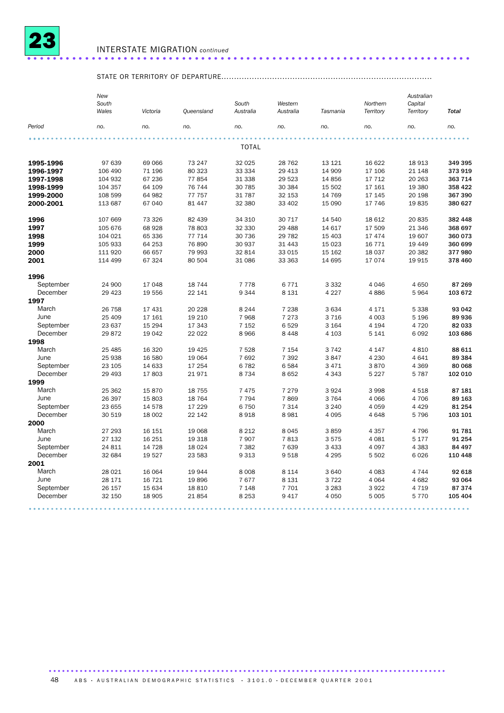

### INTERSTATE MIGRATION *continued* ..................................................................... .

## STATE OR TERRITORY OF DEPARTURE...................................................................................

|           | New<br>South<br>Wales | Victoria | Queensland | South<br>Australia | Western<br>Australia | Tasmania | Northern<br>Territory | Australian<br>Capital<br>Territory | <b>Total</b> |
|-----------|-----------------------|----------|------------|--------------------|----------------------|----------|-----------------------|------------------------------------|--------------|
|           |                       |          |            |                    |                      |          |                       |                                    |              |
| Period    | no.                   | no.      | no.        | no.                | no.                  | no.      | no.                   | no.                                | no.          |
|           |                       |          |            |                    |                      |          |                       |                                    |              |
|           |                       |          |            | <b>TOTAL</b>       |                      |          |                       |                                    |              |
| 1995-1996 | 97 639                | 69 066   | 73 247     | 32 0 25            | 28 7 62              | 13 121   | 16 622                | 18913                              | 349 395      |
| 1996-1997 | 106 490               | 71 196   | 80 323     | 33 334             | 29 4 13              | 14 909   | 17 106                | 21 148                             | 373 919      |
| 1997-1998 | 104 932               | 67 236   | 77854      | 31 338             | 29 5 23              | 14 8 56  | 17 712                | 20 26 3                            | 363 714      |
| 1998-1999 | 104 357               | 64 109   | 76 744     | 30 785             | 30 384               | 15 502   | 17 161                | 19 380                             | 358 422      |
| 1999-2000 | 108 599               | 64 982   | 77 757     | 31 787             | 32 153               | 14 769   | 17 145                | 20 198                             | 367 390      |
| 2000-2001 | 113 687               | 67 040   | 81 447     | 32 380             | 33 402               | 15 0 90  | 17 746                | 19835                              | 380 627      |
| 1996      | 107 669               | 73 326   | 82 439     | 34 310             | 30 717               | 14 540   | 18 612                | 20 835                             | 382 448      |
| 1997      | 105 676               | 68 928   | 78 803     | 32 330             | 29 4 88              | 14 617   | 17 509                | 21 346                             | 368 697      |
| 1998      | 104 021               | 65 336   | 77 714     | 30 736             | 29 7 82              | 15 403   | 17 474                | 19 607                             | 360 073      |
| 1999      | 105 933               | 64 253   | 76890      | 30 937             | 31 4 4 3             | 15 0 23  | 16 771                | 19 4 49                            | 360 699      |
| 2000      | 111 920               | 66 657   | 79 993     | 32 814             | 33 015               | 15 162   | 18 037                | 20 382                             | 377980       |
| 2001      | 114 499               | 67 324   | 80 504     | 31 086             | 33 363               | 14 695   | 17 074                | 19915                              | 378 460      |
| 1996      |                       |          |            |                    |                      |          |                       |                                    |              |
| September | 24 900                | 17 048   | 18744      | 7778               | 6771                 | 3 3 3 2  | 4 0 4 6               | 4 6 5 0                            | 87 269       |
| December  | 29 4 23               | 19 556   | 22 141     | 9 3 4 4            | 8 1 3 1              | 4 2 2 7  | 4886                  | 5964                               | 103 672      |
| 1997      |                       |          |            |                    |                      |          |                       |                                    |              |
| March     | 26 758                | 17 431   | 20 228     | 8 2 4 4            | 7 2 3 8              | 3634     | 4 171                 | 5 3 3 8                            | 93 042       |
| June      | 25 409                | 17 161   | 19 210     | 7968               | 7 2 7 3              | 3716     | 4 0 0 3               | 5 1 9 6                            | 89 936       |
| September | 23 637                | 15 2 94  | 17 343     | 7 1 5 2            | 6529                 | 3 1 6 4  | 4 1 9 4               | 4720                               | 82 033       |
| December  | 29872                 | 19 042   | 22 0 22    | 8 9 6 6            | 8 4 4 8              | 4 1 0 3  | 5 1 4 1               | 6092                               | 103 686      |
| 1998      |                       |          |            |                    |                      |          |                       |                                    |              |
| March     | 25 4 85               | 16 3 20  | 19 4 25    | 7 5 28             | 7 1 5 4              | 3742     | 4 1 4 7               | 4810                               | 88 611       |
| June      | 25 938                | 16 580   | 19 064     | 7 6 9 2            | 7 3 9 2              | 3847     | 4 2 3 0               | 4641                               | 89 384       |
| September | 23 105                | 14 633   | 17 254     | 6782               | 6584                 | 3 4 7 1  | 3870                  | 4 3 6 9                            | 80 068       |
| December  | 29 4 93               | 17803    | 21971      | 8 7 3 4            | 8652                 | 4 3 4 3  | 5 2 2 7               | 5787                               | 102 010      |
| 1999      |                       |          |            |                    |                      |          |                       |                                    |              |
| March     | 25 362                | 15870    | 18 7 55    | 7475               | 7 2 7 9              | 3924     | 3 9 9 8               | 4518                               | 87 181       |
| June      | 26 397                | 15 803   | 18 7 64    | 7 7 9 4            | 7869                 | 3764     | 4 0 6 6               | 4706                               | 89 163       |
| September | 23 655                | 14 578   | 17 229     | 6750               | 7 3 1 4              | 3 2 4 0  | 4 0 5 9               | 4 4 2 9                            | 81 254       |
| December  | 30 519                | 18 002   | 22 142     | 8918               | 8981                 | 4 0 9 5  | 4 6 4 8               | 5796                               | 103 101      |
| 2000      |                       |          |            |                    |                      |          |                       |                                    |              |
| March     | 27 293                | 16 151   | 19 068     | 8 2 1 2            | 8045                 | 3859     | 4 3 5 7               | 4796                               | 91 781       |
| June      | 27 132                | 16 25 1  | 19 318     | 7 9 0 7            | 7813                 | 3575     | 4 0 8 1               | 5 1 7 7                            | 91 254       |
| September | 24 811                | 14 7 28  | 18 0 24    | 7 3 8 2            | 7639                 | 3 4 3 3  | 4 0 9 7               | 4 3 8 3                            | 84 497       |
| December  | 32 684                | 19 5 27  | 23 583     | 9 3 1 3            | 9518                 | 4 2 9 5  | 5 5 0 2               | 6026                               | 110 448      |
| 2001      |                       |          |            |                    |                      |          |                       |                                    |              |
| March     | 28 0 21               | 16 064   | 19944      | 8 0 0 8            | 8 1 1 4              | 3 6 4 0  | 4 0 8 3               | 4744                               | 92 618       |
| June      | 28 171                | 16 721   | 19896      | 7677               | 8 1 3 1              | 3722     | 4 0 64                | 4682                               | 93 064       |
| September | 26 157                | 15 634   | 18810      | 7 1 4 8            | 7701                 | 3 2 8 3  | 3 9 2 2               | 4 7 1 9                            | 87374        |
| December  | 32 150                | 18 905   | 21854      | 8 2 5 3            | 9 4 1 7              | 4 0 5 0  | 5 0 0 5               | 5770                               | 105 404      |
|           |                       |          |            |                    |                      |          |                       |                                    |              |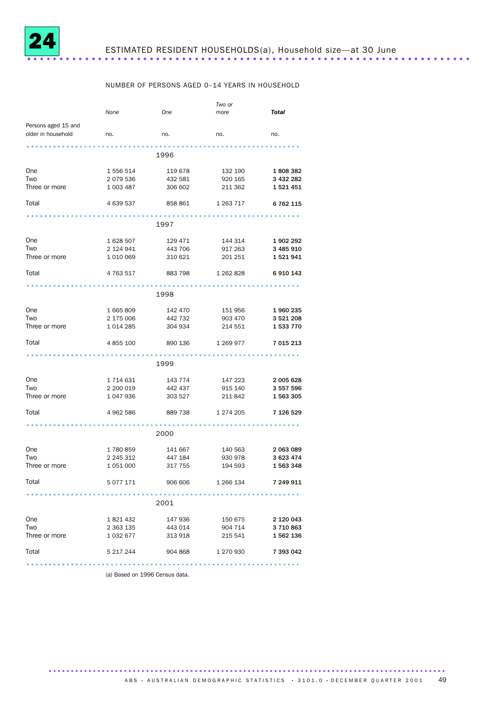

### NUMBER OF PERSONS AGED 0–14 YEARS IN HOUSEHOLD

|                                  |                   |                   | Two or                    |           |
|----------------------------------|-------------------|-------------------|---------------------------|-----------|
|                                  | None              | <b>One</b>        | more                      | Total     |
|                                  |                   |                   |                           |           |
| Persons aged 15 and              |                   |                   |                           |           |
| older in household<br>$\sim$ no. |                   | no.               | no.                       | no.       |
|                                  |                   |                   |                           |           |
|                                  |                   |                   |                           |           |
|                                  |                   | 1996              |                           |           |
|                                  |                   |                   |                           |           |
| One                              | 1 556 514         | 119 678           | 132 190 1 808 382         |           |
|                                  |                   |                   |                           |           |
| Two                              | 2 079 536         | 432 581           | 920 165                   | 3 432 282 |
| Three or more                    | 1 003 487         | 306 602           | 211 362                   | 1521451   |
|                                  |                   |                   |                           |           |
| Total                            | 4 639 537         | 858 861 1 263 717 |                           | 6 762 115 |
|                                  |                   |                   |                           |           |
|                                  |                   |                   |                           |           |
|                                  |                   | 1997              |                           |           |
|                                  |                   |                   |                           |           |
| One                              | 1628 507          | 129 471           | 144 314                   | 1 902 292 |
|                                  |                   |                   |                           |           |
| Two                              | 2 124 941         | 443 706           | 917 263                   | 3 485 910 |
| Three or more                    | 1 010 069         | 310 621           | 201 251                   | 1521941   |
|                                  |                   |                   |                           |           |
| Total                            | 4 763 517         | 883 798           | 1 262 828                 | 6 910 143 |
|                                  |                   |                   |                           |           |
|                                  |                   |                   |                           |           |
|                                  |                   | 1998              |                           |           |
|                                  |                   |                   |                           |           |
| One                              | 1665809           | 142 470           | 151 956                   | 1 960 235 |
|                                  |                   |                   |                           |           |
| Two                              | 2 175 006 442 732 |                   | 903 470                   | 3 521 208 |
| Three or more                    | 1014285           | 304 934           | 214 551                   | 1 533 770 |
|                                  |                   |                   |                           |           |
| Total                            | 4 855 100         | 890 136           | 1 269 977 7 015 213       |           |
|                                  |                   |                   |                           |           |
|                                  |                   |                   |                           |           |
|                                  |                   | 1999              |                           |           |
|                                  |                   |                   |                           |           |
| One                              | 1 714 631         |                   | 143 774 147 223 2 005 628 |           |
|                                  |                   |                   |                           |           |
| Two                              | 2 200 019         | 442 437           | 915 140                   | 3 557 596 |
| Three or more                    | 1 047 936         | 303 527           | 211 842                   | 1 563 305 |
|                                  |                   |                   |                           |           |
| Total                            | 4 962 586         | 889 738           | 1 274 205                 | 7 126 529 |
|                                  |                   |                   |                           |           |
|                                  |                   |                   |                           |           |
|                                  |                   | 2000              |                           |           |
|                                  |                   |                   |                           |           |
| One                              | 1 780 859         | 141 667           |                           | 2 063 089 |
|                                  |                   |                   | 140 563                   |           |
| Two                              | 2 245 312         | 447 184           | 930 978                   | 3 623 474 |
| Three or more                    | 1 051 000         | 317 755           | 194 593                   | 1 563 348 |
|                                  |                   |                   |                           |           |
| Total                            | 5 077 171         | 906 606           | 1 266 134                 | 7 249 911 |
|                                  |                   |                   |                           |           |
|                                  |                   |                   |                           |           |
|                                  |                   | 2001              |                           |           |
|                                  |                   |                   |                           |           |
| One                              | 1 821 432         | 147 936           | 150 675                   | 2 120 043 |
|                                  |                   |                   |                           |           |
| Two                              | 2 363 135         | 443 014           | 904 714                   | 3 710 863 |
| Three or more                    | 1 032 677         | 313 918           | 215 541 1 562 136         |           |
|                                  |                   |                   |                           |           |
| Total                            | 5 217 244         | 904 868           | 1 270 930                 | 7 393 042 |
|                                  |                   |                   |                           |           |
|                                  |                   |                   |                           |           |

(a) Based on 1996 Census data.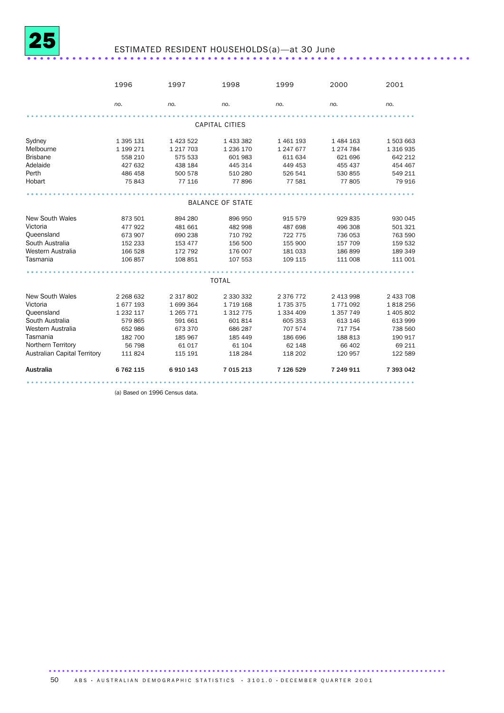

## ESTIMATED RESIDENT HOUSEHOLDS(a)—at 30 June ..................................................................... .

|                                                                                                                                                                   | 1996                                                                                          | 1997                                                                                          | 1998                                                                                     | 1999                                                                                    | 2000                                                                                        | 2001                                                                                    |
|-------------------------------------------------------------------------------------------------------------------------------------------------------------------|-----------------------------------------------------------------------------------------------|-----------------------------------------------------------------------------------------------|------------------------------------------------------------------------------------------|-----------------------------------------------------------------------------------------|---------------------------------------------------------------------------------------------|-----------------------------------------------------------------------------------------|
|                                                                                                                                                                   | no.                                                                                           | no.                                                                                           | no.                                                                                      | no.                                                                                     | no.                                                                                         | no.                                                                                     |
|                                                                                                                                                                   |                                                                                               |                                                                                               | <b>CAPITAL CITIES</b>                                                                    |                                                                                         |                                                                                             |                                                                                         |
| Sydney<br>Melbourne<br><b>Brisbane</b><br>Adelaide<br>Perth<br>Hobart                                                                                             | 1 395 131<br>1 199 271<br>558 210<br>427 632<br>486 458<br>75 843                             | 1 423 522<br>1 217 703<br>575 533<br>438 184<br>500 578<br>77 116                             | 1 433 382<br>1 236 170<br>601983<br>445 314<br>510 280<br>77896                          | 1 461 193<br>1 247 677<br>611 634<br>449 453<br>526 541<br>77 581                       | 1 484 163<br>1 274 784<br>621 696<br>455 437<br>530 855<br>77805                            | 1503663<br>1 316 935<br>642 212<br>454 467<br>549 211<br>79 916                         |
|                                                                                                                                                                   |                                                                                               |                                                                                               |                                                                                          |                                                                                         |                                                                                             |                                                                                         |
|                                                                                                                                                                   |                                                                                               |                                                                                               | <b>BALANCE OF STATE</b>                                                                  |                                                                                         |                                                                                             |                                                                                         |
| <b>New South Wales</b><br>Victoria<br>Queensland<br>South Australia<br>Western Australia<br>Tasmania                                                              | 873 501<br>477 922<br>673 907<br>152 233<br>166 528<br>106 857                                | 894 280<br>481 661<br>690 238<br>153 477<br>172 792<br>108 851                                | 896 950<br>482 998<br>710 792<br>156 500<br>176 007<br>107 553                           | 915 579<br>487 698<br>722 775<br>155 900<br>181 033<br>109 115                          | 929 835<br>496 308<br>736 053<br>157 709<br>186899<br>111 008                               | 930 045<br>501 321<br>763 590<br>159 532<br>189 349<br>111 001                          |
| <b>TOTAL</b>                                                                                                                                                      |                                                                                               |                                                                                               |                                                                                          |                                                                                         |                                                                                             |                                                                                         |
| <b>New South Wales</b><br>Victoria<br>Queensland<br>South Australia<br>Western Australia<br>Tasmania<br>Northern Territory<br><b>Australian Capital Territory</b> | 2 2 68 6 32<br>1677193<br>1 2 3 2 1 1 7<br>579 865<br>652 986<br>182 700<br>56 798<br>111 824 | 2 3 1 7 8 0 2<br>1699364<br>1 2 6 7 7 1<br>591 661<br>673 370<br>185 967<br>61 017<br>115 191 | 2 330 332<br>1719168<br>1 3 1 7 7 5<br>601814<br>686 287<br>185 449<br>61 104<br>118 284 | 2 376 772<br>1735375<br>1 334 409<br>605 353<br>707 574<br>186 696<br>62 148<br>118 202 | 2 413 998<br>1771092<br>1 3 5 7 7 4 9<br>613 146<br>717 754<br>188 813<br>66 402<br>120 957 | 2 433 708<br>1818256<br>1 405 802<br>613 999<br>738 560<br>190 917<br>69 211<br>122 589 |
| Australia                                                                                                                                                         | 6 762 115                                                                                     | 6910143                                                                                       | 7 015 213                                                                                | 7 126 529                                                                               | 7 249 911                                                                                   | 7 393 042                                                                               |
|                                                                                                                                                                   |                                                                                               |                                                                                               |                                                                                          |                                                                                         |                                                                                             |                                                                                         |

(a) Based on 1996 Census data.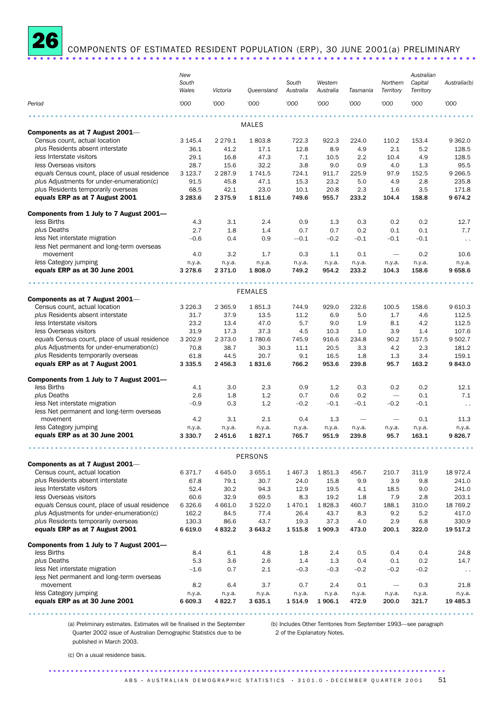

COMPONENTS OF ESTIMATED RESIDENT POPULATION (ERP), 30 JUNE 2001(a) PRELIMINARY

|                                                                  | New<br>South<br>Wales | Victoria          | Queensland     | South<br>Australia | Western<br>Australia | Tasmania                 | Northern<br>Territory           | Australian<br>Capital<br>Territory | Australia(b)    |
|------------------------------------------------------------------|-----------------------|-------------------|----------------|--------------------|----------------------|--------------------------|---------------------------------|------------------------------------|-----------------|
| Period                                                           | '000                  | '000              | '000           | '000               | '000                 | '000                     | '000                            | '000                               | '000            |
|                                                                  |                       |                   |                |                    |                      |                          |                                 |                                    |                 |
| Components as at 7 August 2001-                                  |                       |                   | <b>MALES</b>   |                    |                      |                          |                                 |                                    |                 |
| Census count, actual location                                    | 3 1 4 5 . 4           | 2 2 7 9 . 1       | 1803.8         | 722.3              | 922.3                | 224.0                    | 110.2                           | 153.4                              | 9 3 6 2.0       |
| plus Residents absent interstate                                 | 36.1                  | 41.2              | 17.1           | 12.8               | 8.9                  | 4.9                      | 2.1                             | 5.2                                | 128.5           |
| less Interstate visitors                                         | 29.1                  | 16.8              | 47.3           | 7.1                | 10.5                 | 2.2                      | 10.4                            | 4.9                                | 128.5           |
| less Overseas visitors                                           | 28.7                  | 15.6              | 32.2           | 3.8                | 9.0                  | 0.9                      | 4.0                             | 1.3                                | 95.5            |
|                                                                  |                       |                   |                |                    |                      |                          |                                 |                                    |                 |
| equals Census count, place of usual residence                    | 3 1 2 3 . 7           | 2 2 8 7 . 9       | 1 741.5        | 724.1              | 911.7                | 225.9                    | 97.9                            | 152.5                              | 9 2 66.5        |
| plus Adjustments for under-enumeration(c)                        | 91.5                  | 45.8              | 47.1           | 15.3               | 23.2                 | 5.0                      | 4.9                             | 2.8                                | 235.8           |
| plus Residents temporarily overseas                              | 68.5                  | 42.1              | 23.0           | 10.1               | 20.8                 | 2.3                      | 1.6                             | 3.5                                | 171.8           |
| equals ERP as at 7 August 2001                                   | 3 283.6               | 2 3 7 5 . 9       | 1811.6         | 749.6              | 955.7                | 233.2                    | 104.4                           | 158.8                              | 9674.2          |
| Components from 1 July to 7 August 2001-                         |                       |                   |                |                    |                      |                          |                                 |                                    |                 |
| less Births                                                      | 4.3                   | 3.1               | 2.4            | 0.9                | 1.3                  | 0.3                      | 0.2                             | 0.2                                | 12.7            |
| plus Deaths                                                      | 2.7                   | 1.8               | 1.4            | 0.7                | 0.7                  | 0.2                      | 0.1                             | 0.1                                | 7.7             |
| less Net interstate migration                                    | $-0.6$                | 0.4               | 0.9            | $-0.1$             | $-0.2$               | $-0.1$                   | $-0.1$                          | $-0.1$                             | $\sim$ $\sim$   |
| less Net permanent and long-term overseas                        |                       |                   |                |                    |                      |                          |                                 |                                    |                 |
| movement                                                         | 4.0                   | 3.2               | 1.7            | 0.3                | 1.1                  | 0.1                      | $\overbrace{\phantom{1232211}}$ | 0.2                                | 10.6            |
| less Category jumping                                            | n.y.a.                | n.y.a.            | n.y.a.         | n.y.a.             | n.y.a.               | n.y.a.                   | n.y.a.                          | n.y.a.                             | n.y.a.          |
| equals ERP as at 30 June 2001                                    | 3 2 7 8.6             | 2 3 7 1.0         | 1808.0         | 749.2              | 954.2                | 233.2                    | 104.3                           | 158.6                              | 9658.6          |
|                                                                  |                       |                   |                |                    |                      |                          |                                 |                                    |                 |
| Components as at 7 August 2001-                                  |                       |                   | <b>FEMALES</b> |                    |                      |                          |                                 |                                    |                 |
| Census count, actual location                                    | 3 2 2 6 . 3           | 2 3 6 5.9         | 1851.3         | 744.9              | 929.0                | 232.6                    | 100.5                           | 158.6                              | 9 6 10.3        |
| plus Residents absent interstate                                 | 31.7                  | 37.9              | 13.5           | 11.2               | 6.9                  | 5.0                      | 1.7                             | 4.6                                | 112.5           |
| less Interstate visitors                                         | 23.2                  | 13.4              | 47.0           | 5.7                | 9.0                  | 1.9                      | 8.1                             | 4.2                                | 112.5           |
| less Overseas visitors                                           | 31.9                  | 17.3              | 37.3           | 4.5                | 10.3                 | 1.0                      | 3.9                             | 1.4                                | 107.6           |
| equals Census count, place of usual residence                    | 3 202.9               | 2 373.0           | 1780.6         | 745.9              | 916.6                | 234.8                    | 90.2                            | 157.5                              | 9 502.7         |
| plus Adjustments for under-enumeration(c)                        |                       |                   |                |                    |                      |                          |                                 |                                    |                 |
| plus Residents temporarily overseas                              | 70.8                  | 38.7              | 30.3           | 11.1               | 20.5                 | 3.3                      | 4.2                             | 2.3                                | 181.2           |
| equals ERP as at 7 August 2001                                   | 61.8<br>3 3 3 5 . 5   | 44.5<br>2 4 5 6.3 | 20.7<br>1831.6 | 9.1<br>766.2       | 16.5<br>953.6        | 1.8<br>239.8             | 1.3<br>95.7                     | 3.4<br>163.2                       | 159.1<br>9843.0 |
|                                                                  |                       |                   |                |                    |                      |                          |                                 |                                    |                 |
| Components from 1 July to 7 August 2001-                         |                       |                   |                |                    |                      |                          |                                 |                                    |                 |
| less Births                                                      | 4.1                   | 3.0               | 2.3            | 0.9                | 1.2                  | 0.3                      | 0.2                             | 0.2                                | 12.1            |
| plus Deaths                                                      | 2.6                   | 1.8               | 1.2            | 0.7                | 0.6                  | 0.2                      | $\overline{\phantom{0}}$        | 0.1                                | 7.1             |
| less Net interstate migration                                    | $-0.9$                | 0.3               | 1.2            | $-0.2$             | $-0.1$               | $-0.1$                   | $-0.2$                          | $-0.1$                             | $\sim$ $\sim$   |
| less Net permanent and long-term overseas                        |                       |                   |                |                    |                      |                          |                                 |                                    |                 |
| movement                                                         | 4.2                   | 3.1               | 2.1            | 0.4                | 1.3                  | $\overline{\phantom{0}}$ | $\overbrace{\phantom{12332}}$   | 0.1                                | 11.3            |
| less Category jumping                                            | n.y.a.                | n.y.a.            | n.y.a.         | n.y.a.             | n.y.a.               | n.y.a.                   | n.y.a.                          | n.y.a.                             | n.y.a.          |
| equals ERP as at 30 June 2001                                    | 3 3 3 0 . 7           | 2 4 5 1.6         | 1827.1         | 765.7              | 951.9                | 239.8                    | 95.7                            | 163.1                              | 9826.7          |
|                                                                  |                       |                   |                |                    |                      |                          |                                 |                                    |                 |
|                                                                  |                       |                   | <b>PERSONS</b> |                    |                      |                          |                                 |                                    |                 |
| Components as at 7 August 2001-<br>Census count, actual location | 6371.7                | 4 645.0           | 3 655.1        | 1 4 6 7 . 3        | 1851.3               | 456.7                    | 210.7                           | 311.9                              | 18 972.4        |
|                                                                  |                       |                   |                |                    |                      |                          |                                 |                                    |                 |
| plus Residents absent interstate                                 | 67.8                  | 79.1              | 30.7           | 24.0               | 15.8                 | 9.9                      | 3.9                             | 9.8                                | 241.0           |
| less Interstate visitors                                         | 52.4                  | 30.2              | 94.3           | 12.9               | 19.5                 | 4.1                      | 18.5                            | 9.0                                | 241.0           |
| less Overseas visitors                                           | 60.6                  | 32.9              | 69.5           | 8.3                | 19.2                 | 1.8                      | 7.9                             | 2.8                                | 203.1           |
| equals Census count, place of usual residence                    | 6326.6                | 4 661.0           | 3 5 2 2.0      | 1470.1             | 1828.3               | 460.7                    | 188.1                           | 310.0                              | 18 769.2        |
| plus Adjustments for under-enumeration(c)                        | 162.2                 | 84.5              | 77.4           | 26.4               | 43.7                 | 8.3                      | 9.2                             | 5.2                                | 417.0           |
| plus Residents temporarily overseas                              | 130.3                 | 86.6              | 43.7           | 19.3               | 37.3                 | 4.0                      | 2.9                             | 6.8                                | 330.9           |
| equals ERP as at 7 August 2001                                   | 6 619.0               | 4 8 3 2.2         | 3 643.2        | 1515.8             | 1909.3               | 473.0                    | 200.1                           | 322.0                              | 19 517.2        |
| Components from 1 July to 7 August 2001-                         |                       |                   |                |                    |                      |                          |                                 |                                    |                 |
| less Births                                                      | 8.4                   | 6.1               | 4.8            | 1.8                | 2.4                  | 0.5                      | 0.4                             | 0.4                                | 24.8            |
| plus Deaths                                                      | 5.3                   | 3.6               | 2.6            | 1.4                | 1.3                  | 0.4                      | 0.1                             | 0.2                                | 14.7            |
| less Net interstate migration                                    | $-1.6$                | 0.7               | 2.1            | $-0.3$             | $-0.3$               | $-0.2$                   | $-0.2$                          | $-0.2$                             | $\sim$ $\sim$   |
| less Net permanent and long-term overseas                        |                       |                   |                |                    |                      |                          |                                 |                                    |                 |
| movement                                                         | 8.2                   | 6.4               | 3.7            | 0.7                | 2.4                  | 0.1                      | $\overline{\phantom{m}}$        | 0.3                                | 21.8            |
| less Category jumping                                            | n.y.a.                | n.y.a.            | n.y.a.         | n.y.a.             | n.y.a.               | n.y.a.                   | n.y.a.                          | n.y.a.                             | n.y.a.          |
| equals ERP as at 30 June 2001                                    | 6 609.3               | 4 8 22.7          | 3 635.1        | 1514.9             | 1906.1               | 472.9                    | 200.0                           | 321.7                              | 19 485.3        |

(a) Preliminary estimates. Estimates will be finalised in the September (b) Includes Other Territories from September 1993—see paragraph Quarter 2002 issue of Australian Demographic Statistics due to be published in March 2003.

2 of the Explanatory Notes.

(c) On a usual residence basis.

.....................................................................................................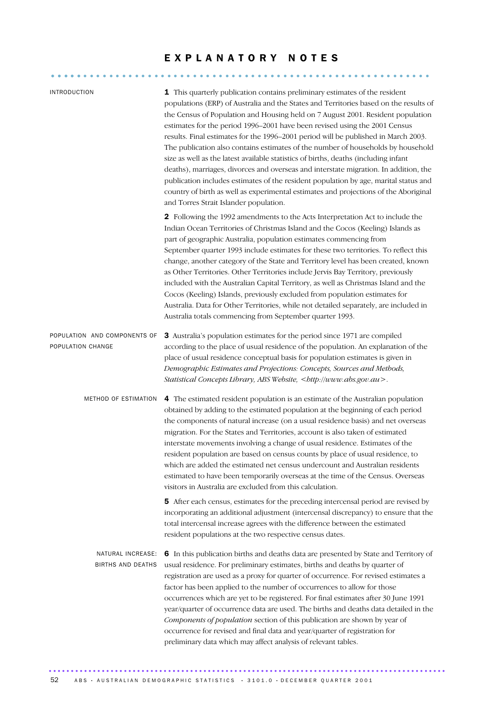### E X P L A N A T O R Y N O T E S

........................................................... .....

| <b>INTRODUCTION</b>                               | 1 This quarterly publication contains preliminary estimates of the resident<br>populations (ERP) of Australia and the States and Territories based on the results of<br>the Census of Population and Housing held on 7 August 2001. Resident population<br>estimates for the period 1996–2001 have been revised using the 2001 Census<br>results. Final estimates for the 1996-2001 period will be published in March 2003.<br>The publication also contains estimates of the number of households by household<br>size as well as the latest available statistics of births, deaths (including infant<br>deaths), marriages, divorces and overseas and interstate migration. In addition, the<br>publication includes estimates of the resident population by age, marital status and<br>country of birth as well as experimental estimates and projections of the Aboriginal<br>and Torres Strait Islander population. |
|---------------------------------------------------|--------------------------------------------------------------------------------------------------------------------------------------------------------------------------------------------------------------------------------------------------------------------------------------------------------------------------------------------------------------------------------------------------------------------------------------------------------------------------------------------------------------------------------------------------------------------------------------------------------------------------------------------------------------------------------------------------------------------------------------------------------------------------------------------------------------------------------------------------------------------------------------------------------------------------|
|                                                   | 2 Following the 1992 amendments to the Acts Interpretation Act to include the<br>Indian Ocean Territories of Christmas Island and the Cocos (Keeling) Islands as<br>part of geographic Australia, population estimates commencing from<br>September quarter 1993 include estimates for these two territories. To reflect this<br>change, another category of the State and Territory level has been created, known<br>as Other Territories. Other Territories include Jervis Bay Territory, previously<br>included with the Australian Capital Territory, as well as Christmas Island and the<br>Cocos (Keeling) Islands, previously excluded from population estimates for<br>Australia. Data for Other Territories, while not detailed separately, are included in<br>Australia totals commencing from September quarter 1993.                                                                                         |
| POPULATION AND COMPONENTS OF<br>POPULATION CHANGE | 3 Australia's population estimates for the period since 1971 are compiled<br>according to the place of usual residence of the population. An explanation of the<br>place of usual residence conceptual basis for population estimates is given in<br>Demographic Estimates and Projections: Concepts, Sources and Methods,<br>Statistical Concepts Library, ABS Website,<br>.                                                                                                                                                                                                                                                                                                                                                                                                                                                                                                                                            |
| METHOD OF ESTIMATION                              | 4 The estimated resident population is an estimate of the Australian population<br>obtained by adding to the estimated population at the beginning of each period<br>the components of natural increase (on a usual residence basis) and net overseas<br>migration. For the States and Territories, account is also taken of estimated<br>interstate movements involving a change of usual residence. Estimates of the<br>resident population are based on census counts by place of usual residence, to<br>which are added the estimated net census undercount and Australian residents<br>estimated to have been temporarily overseas at the time of the Census. Overseas<br>visitors in Australia are excluded from this calculation.                                                                                                                                                                                 |
|                                                   | 5 After each census, estimates for the preceding intercensal period are revised by<br>incorporating an additional adjustment (intercensal discrepancy) to ensure that the<br>total intercensal increase agrees with the difference between the estimated<br>resident populations at the two respective census dates.                                                                                                                                                                                                                                                                                                                                                                                                                                                                                                                                                                                                     |
| NATURAL INCREASE:<br>BIRTHS AND DEATHS            | 6 In this publication births and deaths data are presented by State and Territory of<br>usual residence. For preliminary estimates, births and deaths by quarter of<br>registration are used as a proxy for quarter of occurrence. For revised estimates a<br>factor has been applied to the number of occurrences to allow for those<br>occurrences which are yet to be registered. For final estimates after 30 June 1991<br>year/quarter of occurrence data are used. The births and deaths data detailed in the<br>Components of population section of this publication are shown by year of<br>occurrence for revised and final data and year/quarter of registration for<br>preliminary data which may affect analysis of relevant tables.                                                                                                                                                                         |

52 ABS · AUSTRALIAN DEMOGRAPHIC STATISTICS · 3101.0 · DECEMBER QUARTER 2001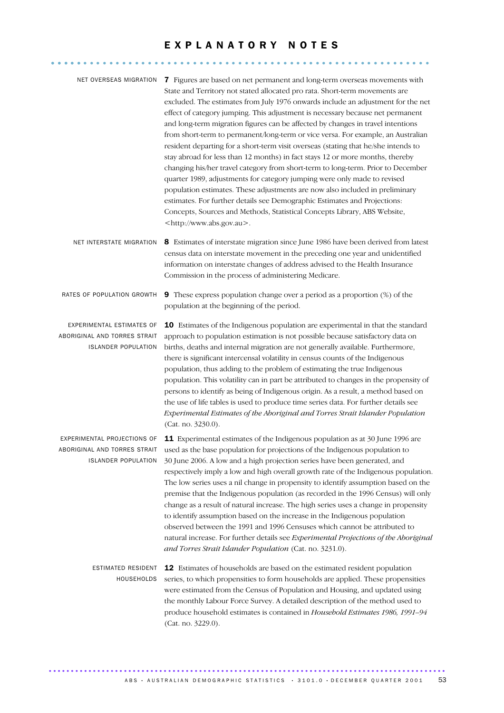## E X P L A N A T O R Y N O T E S

........................................................... .....

| NET OVERSEAS MIGRATION                                                                  | 7 Figures are based on net permanent and long-term overseas movements with<br>State and Territory not stated allocated pro rata. Short-term movements are<br>excluded. The estimates from July 1976 onwards include an adjustment for the net<br>effect of category jumping. This adjustment is necessary because net permanent<br>and long-term migration figures can be affected by changes in travel intentions<br>from short-term to permanent/long-term or vice versa. For example, an Australian<br>resident departing for a short-term visit overseas (stating that he/she intends to<br>stay abroad for less than 12 months) in fact stays 12 or more months, thereby<br>changing his/her travel category from short-term to long-term. Prior to December<br>quarter 1989, adjustments for category jumping were only made to revised<br>population estimates. These adjustments are now also included in preliminary<br>estimates. For further details see Demographic Estimates and Projections:<br>Concepts, Sources and Methods, Statistical Concepts Library, ABS Website,<br><http: www.abs.gov.au="">.</http:> |
|-----------------------------------------------------------------------------------------|-------------------------------------------------------------------------------------------------------------------------------------------------------------------------------------------------------------------------------------------------------------------------------------------------------------------------------------------------------------------------------------------------------------------------------------------------------------------------------------------------------------------------------------------------------------------------------------------------------------------------------------------------------------------------------------------------------------------------------------------------------------------------------------------------------------------------------------------------------------------------------------------------------------------------------------------------------------------------------------------------------------------------------------------------------------------------------------------------------------------------------|
| NET INTERSTATE MIGRATION                                                                | 8 Estimates of interstate migration since June 1986 have been derived from latest<br>census data on interstate movement in the preceding one year and unidentified<br>information on interstate changes of address advised to the Health Insurance<br>Commission in the process of administering Medicare.                                                                                                                                                                                                                                                                                                                                                                                                                                                                                                                                                                                                                                                                                                                                                                                                                    |
| RATES OF POPULATION GROWTH                                                              | <b>9</b> These express population change over a period as a proportion (%) of the<br>population at the beginning of the period.                                                                                                                                                                                                                                                                                                                                                                                                                                                                                                                                                                                                                                                                                                                                                                                                                                                                                                                                                                                               |
| EXPERIMENTAL ESTIMATES OF<br>ABORIGINAL AND TORRES STRAIT<br><b>ISLANDER POPULATION</b> | 10 Estimates of the Indigenous population are experimental in that the standard<br>approach to population estimation is not possible because satisfactory data on<br>births, deaths and internal migration are not generally available. Furthermore,<br>there is significant intercensal volatility in census counts of the Indigenous<br>population, thus adding to the problem of estimating the true Indigenous<br>population. This volatility can in part be attributed to changes in the propensity of<br>persons to identify as being of Indigenous origin. As a result, a method based on<br>the use of life tables is used to produce time series data. For further details see<br>Experimental Estimates of the Aboriginal and Torres Strait Islander Population<br>(Cat. no. 3230.0).                                                                                                                                                                                                                                                                                                                               |
| EXPERIMENTAL PROJECTIONS OF<br><b>ISLANDER POPULATION</b>                               | 11 Experimental estimates of the Indigenous population as at 30 June 1996 are<br>ABORIGINAL AND TORRES STRAIT used as the base population for projections of the Indigenous population to<br>30 June 2006. A low and a high projection series have been generated, and<br>respectively imply a low and high overall growth rate of the Indigenous population.<br>The low series uses a nil change in propensity to identify assumption based on the<br>premise that the Indigenous population (as recorded in the 1996 Census) will only<br>change as a result of natural increase. The high series uses a change in propensity<br>to identify assumption based on the increase in the Indigenous population<br>observed between the 1991 and 1996 Censuses which cannot be attributed to<br>natural increase. For further details see Experimental Projections of the Aboriginal<br>and Torres Strait Islander Population (Cat. no. 3231.0).                                                                                                                                                                                 |
| ESTIMATED RESIDENT<br>HOUSEHOLDS                                                        | 12 Estimates of households are based on the estimated resident population<br>series, to which propensities to form households are applied. These propensities<br>were estimated from the Census of Population and Housing, and updated using<br>the monthly Labour Force Survey. A detailed description of the method used to<br>produce household estimates is contained in Household Estimates 1986, 1991-94<br>(Cat. no. 3229.0).                                                                                                                                                                                                                                                                                                                                                                                                                                                                                                                                                                                                                                                                                          |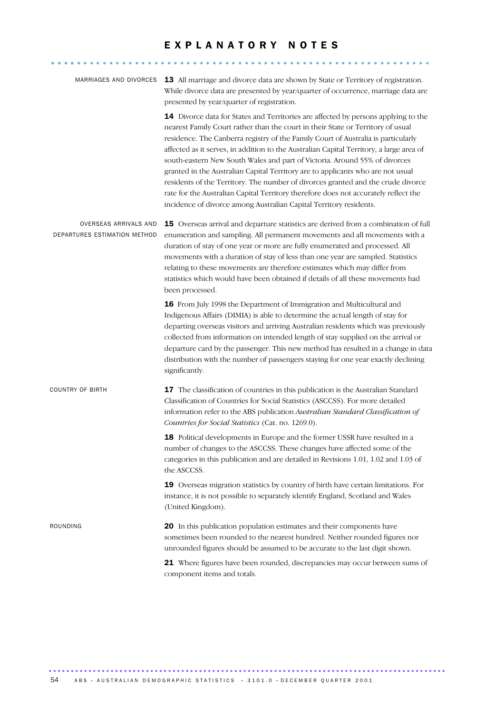## EXPLANATORY NOTES

........................................................... .....

| MARRIAGES AND DIVORCES                                | 13 All marriage and divorce data are shown by State or Territory of registration.<br>While divorce data are presented by year/quarter of occurrence, marriage data are<br>presented by year/quarter of registration.                                                                                                                                                                                                                                                                                                                                                                                                                                                                                                                                                    |
|-------------------------------------------------------|-------------------------------------------------------------------------------------------------------------------------------------------------------------------------------------------------------------------------------------------------------------------------------------------------------------------------------------------------------------------------------------------------------------------------------------------------------------------------------------------------------------------------------------------------------------------------------------------------------------------------------------------------------------------------------------------------------------------------------------------------------------------------|
|                                                       | 14 Divorce data for States and Territories are affected by persons applying to the<br>nearest Family Court rather than the court in their State or Territory of usual<br>residence. The Canberra registry of the Family Court of Australia is particularly<br>affected as it serves, in addition to the Australian Capital Territory, a large area of<br>south-eastern New South Wales and part of Victoria. Around 55% of divorces<br>granted in the Australian Capital Territory are to applicants who are not usual<br>residents of the Territory. The number of divorces granted and the crude divorce<br>rate for the Australian Capital Territory therefore does not accurately reflect the<br>incidence of divorce among Australian Capital Territory residents. |
| OVERSEAS ARRIVALS AND<br>DEPARTURES ESTIMATION METHOD | 15 Overseas arrival and departure statistics are derived from a combination of full<br>enumeration and sampling. All permanent movements and all movements with a<br>duration of stay of one year or more are fully enumerated and processed. All<br>movements with a duration of stay of less than one year are sampled. Statistics<br>relating to these movements are therefore estimates which may differ from<br>statistics which would have been obtained if details of all these movements had<br>been processed.                                                                                                                                                                                                                                                 |
|                                                       | 16 From July 1998 the Department of Immigration and Multicultural and<br>Indigenous Affairs (DIMIA) is able to determine the actual length of stay for<br>departing overseas visitors and arriving Australian residents which was previously<br>collected from information on intended length of stay supplied on the arrival or<br>departure card by the passenger. This new method has resulted in a change in data<br>distribution with the number of passengers staying for one year exactly declining<br>significantly.                                                                                                                                                                                                                                            |
| <b>COUNTRY OF BIRTH</b>                               | 17 The classification of countries in this publication is the Australian Standard<br>Classification of Countries for Social Statistics (ASCCSS). For more detailed<br>information refer to the ABS publication Australian Standard Classification of<br>Countries for Social Statistics (Cat. no. 1269.0).                                                                                                                                                                                                                                                                                                                                                                                                                                                              |
|                                                       | 18 Political developments in Europe and the former USSR have resulted in a<br>number of changes to the ASCCSS. These changes have affected some of the<br>categories in this publication and are detailed in Revisions 1.01, 1.02 and 1.03 of<br>the ASCCSS.                                                                                                                                                                                                                                                                                                                                                                                                                                                                                                            |
|                                                       | 19 Overseas migration statistics by country of birth have certain limitations. For<br>instance, it is not possible to separately identify England, Scotland and Wales<br>(United Kingdom).                                                                                                                                                                                                                                                                                                                                                                                                                                                                                                                                                                              |
| ROUNDING                                              | <b>20</b> In this publication population estimates and their components have<br>sometimes been rounded to the nearest hundred. Neither rounded figures nor<br>unrounded figures should be assumed to be accurate to the last digit shown.                                                                                                                                                                                                                                                                                                                                                                                                                                                                                                                               |
|                                                       | 21 Where figures have been rounded, discrepancies may occur between sums of<br>component items and totals.                                                                                                                                                                                                                                                                                                                                                                                                                                                                                                                                                                                                                                                              |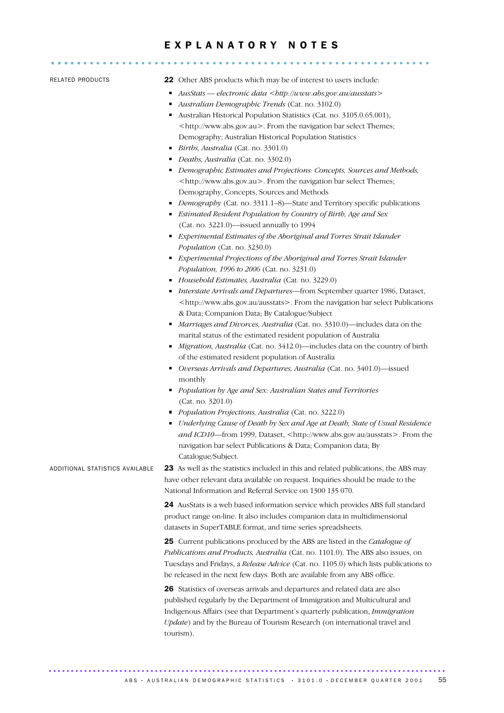## E X P L A N A T O R Y N O T E S ........................................................... .....

- RELATED PRODUCTS 22 Other ABS products which may be of interest to users include:
	- *AusStats electronic data <http://www.abs.gov.au/ausstats>*
	- *Australian Demographic Trends* (Cat. no. 3102.0)
	- Australian Historical Population Statistics (Cat. no. 3105.0.65.001), <http://www.abs.gov.au>. From the navigation bar select Themes; Demography; Australian Historical Population Statistics
	- *Births, Australia* (Cat. no. 3301.0)
	- *Deaths, Australia* (Cat. no. 3302.0)
	- *Demographic Estimates and Projections: Concepts, Sources and Methods,* <http://www.abs.gov.au>. From the navigation bar select Themes; Demography, Concepts, Sources and Methods
	- *Demography* (Cat. no. 3311.1–8)—State and Territory specific publications
	- *Estimated Resident Population by Country of Birth, Age and Sex*  (Cat. no. 3221.0)—issued annually to 1994
	- *Experimental Estimates of the Aboriginal and Torres Strait Islander Population* (Cat. no. 3230.0)
	- *Experimental Projections of the Aboriginal and Torres Strait Islander Population, 1996 to 2006* (Cat. no. 3231.0)
	- *Household Estimates, Australia* (Cat. no. 3229.0)
	- *Interstate Arrivals and Departures*—from September quarter 1986, Dataset, <http://www.abs.gov.au/ausstats>. From the navigation bar select Publications & Data; Companion Data; By Catalogue/Subject
	- *Marriages and Divorces, Australia* (Cat. no. 3310.0)—includes data on the marital status of the estimated resident population of Australia
	- *Migration, Australia* (Cat. no. 3412.0)—includes data on the country of birth of the estimated resident population of Australia
	- *Overseas Arrivals and Departures, Australia* (Cat. no. 3401.0)—issued monthly
	- *Population by Age and Sex: Australian States and Territories*  (Cat. no. 3201.0)
	- *Population Projections, Australia* (Cat. no. 3222.0)
	- *Underlying Cause of Death by Sex and Age at Death, State of Usual Residence* and ICD10—from 1999, Dataset, <http://www.abs.gov.au/ausstats>. From the navigation bar select Publications & Data; Companion data; By Catalogue/Subject.

ADDITIONAL STATISTICS AVAILABLE 23 As well as the statistics included in this and related publications, the ABS may have other relevant data available on request. Inquiries should be made to the National Information and Referral Service on 1300 135 070.

> 24 AusStats is a web based information service which provides ABS full standard product range on-line. It also includes companion data in multidimensional datasets in SuperTABLE format, and time series spreadsheets.

25 Current publications produced by the ABS are listed in the *Catalogue of Publications and Products, Australia* (Cat. no. 1101.0). The ABS also issues, on Tuesdays and Fridays, a *Release Advice* (Cat. no. 1105.0) which lists publications to be released in the next few days. Both are available from any ABS office.

26 Statistics of overseas arrivals and departures and related data are also published regularly by the Department of Immigration and Multicultural and Indigenous Affairs (see that Department's quarterly publication, *Immigration Update*) and by the Bureau of Tourism Research (on international travel and tourism).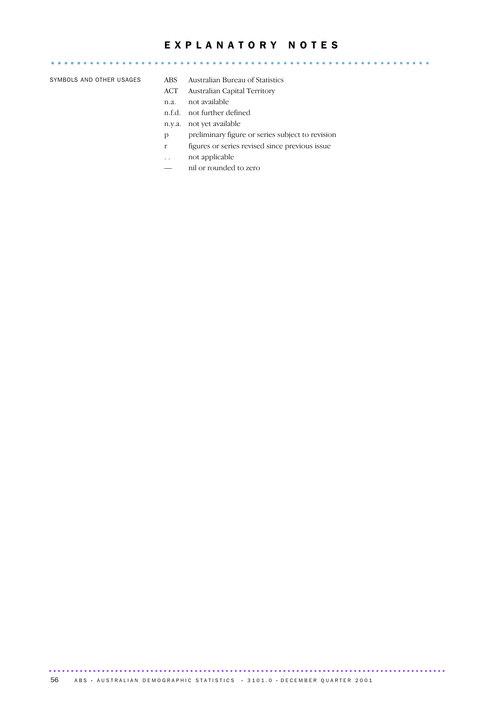## EXPLANATORY NOTES

........................................................... ..... SYMBOLS AND OTHER USAGES ABS Australian Bureau of Statistics

- ACT Australian Capital Territory
- n.a. not available
- n.f.d. not further defined
- n.y.a. not yet available
- p preliminary figure or series subject to revision
- r figures or series revised since previous issue
- . . not applicable
- nil or rounded to zero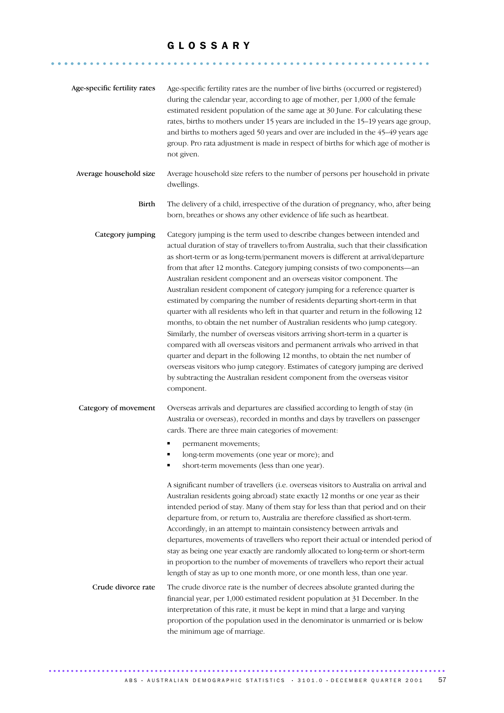........................................................... ......

| Age-specific fertility rates | Age-specific fertility rates are the number of live births (occurred or registered)<br>during the calendar year, according to age of mother, per 1,000 of the female<br>estimated resident population of the same age at 30 June. For calculating these<br>rates, births to mothers under 15 years are included in the 15-19 years age group,<br>and births to mothers aged 50 years and over are included in the 45-49 years age<br>group. Pro rata adjustment is made in respect of births for which age of mother is<br>not given.                                                                                                                                                                                                                                                                                                                                                                                                                                                                                                                                                                                                                                              |
|------------------------------|------------------------------------------------------------------------------------------------------------------------------------------------------------------------------------------------------------------------------------------------------------------------------------------------------------------------------------------------------------------------------------------------------------------------------------------------------------------------------------------------------------------------------------------------------------------------------------------------------------------------------------------------------------------------------------------------------------------------------------------------------------------------------------------------------------------------------------------------------------------------------------------------------------------------------------------------------------------------------------------------------------------------------------------------------------------------------------------------------------------------------------------------------------------------------------|
| Average household size       | Average household size refers to the number of persons per household in private<br>dwellings.                                                                                                                                                                                                                                                                                                                                                                                                                                                                                                                                                                                                                                                                                                                                                                                                                                                                                                                                                                                                                                                                                      |
| Birth                        | The delivery of a child, irrespective of the duration of pregnancy, who, after being<br>born, breathes or shows any other evidence of life such as heartbeat.                                                                                                                                                                                                                                                                                                                                                                                                                                                                                                                                                                                                                                                                                                                                                                                                                                                                                                                                                                                                                      |
| Category jumping             | Category jumping is the term used to describe changes between intended and<br>actual duration of stay of travellers to/from Australia, such that their classification<br>as short-term or as long-term/permanent movers is different at arrival/departure<br>from that after 12 months. Category jumping consists of two components-an<br>Australian resident component and an overseas visitor component. The<br>Australian resident component of category jumping for a reference quarter is<br>estimated by comparing the number of residents departing short-term in that<br>quarter with all residents who left in that quarter and return in the following 12<br>months, to obtain the net number of Australian residents who jump category.<br>Similarly, the number of overseas visitors arriving short-term in a quarter is<br>compared with all overseas visitors and permanent arrivals who arrived in that<br>quarter and depart in the following 12 months, to obtain the net number of<br>overseas visitors who jump category. Estimates of category jumping are derived<br>by subtracting the Australian resident component from the overseas visitor<br>component. |
| Category of movement         | Overseas arrivals and departures are classified according to length of stay (in<br>Australia or overseas), recorded in months and days by travellers on passenger<br>cards. There are three main categories of movement:<br>permanent movements;<br>long-term movements (one year or more); and<br>short-term movements (less than one year).<br>A significant number of travellers (i.e. overseas visitors to Australia on arrival and<br>Australian residents going abroad) state exactly 12 months or one year as their<br>intended period of stay. Many of them stay for less than that period and on their<br>departure from, or return to, Australia are therefore classified as short-term.<br>Accordingly, in an attempt to maintain consistency between arrivals and<br>departures, movements of travellers who report their actual or intended period of<br>stay as being one year exactly are randomly allocated to long-term or short-term<br>in proportion to the number of movements of travellers who report their actual<br>length of stay as up to one month more, or one month less, than one year.                                                              |
| Crude divorce rate           | The crude divorce rate is the number of decrees absolute granted during the<br>financial year, per 1,000 estimated resident population at 31 December. In the<br>interpretation of this rate, it must be kept in mind that a large and varying<br>proportion of the population used in the denominator is unmarried or is below<br>the minimum age of marriage.                                                                                                                                                                                                                                                                                                                                                                                                                                                                                                                                                                                                                                                                                                                                                                                                                    |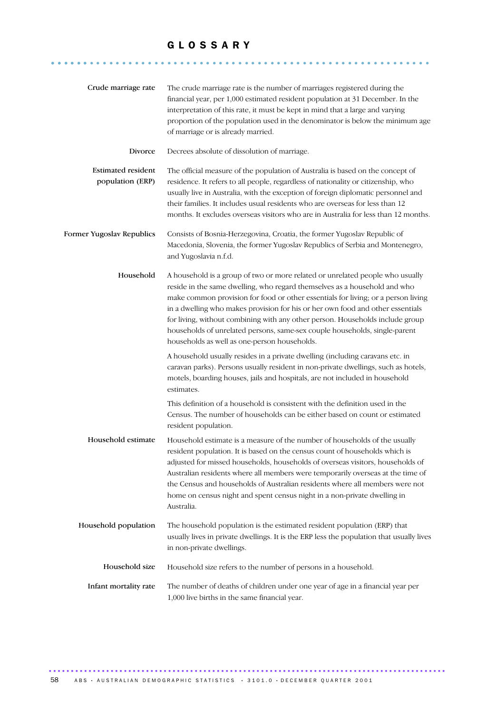........................................................... ......

| Crude marriage rate                           | The crude marriage rate is the number of marriages registered during the<br>financial year, per 1,000 estimated resident population at 31 December. In the<br>interpretation of this rate, it must be kept in mind that a large and varying<br>proportion of the population used in the denominator is below the minimum age<br>of marriage or is already married.                                                                                                                                                                               |
|-----------------------------------------------|--------------------------------------------------------------------------------------------------------------------------------------------------------------------------------------------------------------------------------------------------------------------------------------------------------------------------------------------------------------------------------------------------------------------------------------------------------------------------------------------------------------------------------------------------|
| Divorce                                       | Decrees absolute of dissolution of marriage.                                                                                                                                                                                                                                                                                                                                                                                                                                                                                                     |
| <b>Estimated resident</b><br>population (ERP) | The official measure of the population of Australia is based on the concept of<br>residence. It refers to all people, regardless of nationality or citizenship, who<br>usually live in Australia, with the exception of foreign diplomatic personnel and<br>their families. It includes usual residents who are overseas for less than 12<br>months. It excludes overseas visitors who are in Australia for less than 12 months.                                                                                                                 |
| Former Yugoslav Republics                     | Consists of Bosnia-Herzegovina, Croatia, the former Yugoslav Republic of<br>Macedonia, Slovenia, the former Yugoslav Republics of Serbia and Montenegro,<br>and Yugoslavia n.f.d.                                                                                                                                                                                                                                                                                                                                                                |
| Household                                     | A household is a group of two or more related or unrelated people who usually<br>reside in the same dwelling, who regard themselves as a household and who<br>make common provision for food or other essentials for living; or a person living<br>in a dwelling who makes provision for his or her own food and other essentials<br>for living, without combining with any other person. Households include group<br>households of unrelated persons, same-sex couple households, single-parent<br>households as well as one-person households. |
|                                               | A household usually resides in a private dwelling (including caravans etc. in<br>caravan parks). Persons usually resident in non-private dwellings, such as hotels,<br>motels, boarding houses, jails and hospitals, are not included in household<br>estimates.                                                                                                                                                                                                                                                                                 |
|                                               | This definition of a household is consistent with the definition used in the<br>Census. The number of households can be either based on count or estimated<br>resident population.                                                                                                                                                                                                                                                                                                                                                               |
| Household estimate                            | Household estimate is a measure of the number of households of the usually<br>resident population. It is based on the census count of households which is<br>adjusted for missed households, households of overseas visitors, households of<br>Australian residents where all members were temporarily overseas at the time of<br>the Census and households of Australian residents where all members were not<br>home on census night and spent census night in a non-private dwelling in<br>Australia.                                         |
| Household population                          | The household population is the estimated resident population (ERP) that<br>usually lives in private dwellings. It is the ERP less the population that usually lives<br>in non-private dwellings.                                                                                                                                                                                                                                                                                                                                                |
| Household size                                | Household size refers to the number of persons in a household.                                                                                                                                                                                                                                                                                                                                                                                                                                                                                   |
| Infant mortality rate                         | The number of deaths of children under one year of age in a financial year per<br>1,000 live births in the same financial year.                                                                                                                                                                                                                                                                                                                                                                                                                  |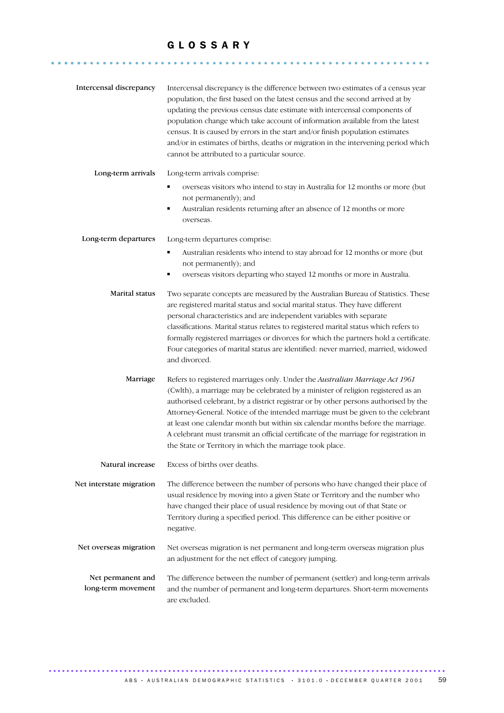........................................................... ......

| Intercensal discrepancy                 | Intercensal discrepancy is the difference between two estimates of a census year<br>population, the first based on the latest census and the second arrived at by<br>updating the previous census date estimate with intercensal components of<br>population change which take account of information available from the latest<br>census. It is caused by errors in the start and/or finish population estimates<br>and/or in estimates of births, deaths or migration in the intervening period which<br>cannot be attributed to a particular source.                            |
|-----------------------------------------|------------------------------------------------------------------------------------------------------------------------------------------------------------------------------------------------------------------------------------------------------------------------------------------------------------------------------------------------------------------------------------------------------------------------------------------------------------------------------------------------------------------------------------------------------------------------------------|
| Long-term arrivals                      | Long-term arrivals comprise:<br>overseas visitors who intend to stay in Australia for 12 months or more (but<br>not permanently); and<br>Australian residents returning after an absence of 12 months or more<br>٠<br>overseas.                                                                                                                                                                                                                                                                                                                                                    |
| Long-term departures                    | Long-term departures comprise:<br>Australian residents who intend to stay abroad for 12 months or more (but<br>٠<br>not permanently); and<br>overseas visitors departing who stayed 12 months or more in Australia.                                                                                                                                                                                                                                                                                                                                                                |
| Marital status                          | Two separate concepts are measured by the Australian Bureau of Statistics. These<br>are registered marital status and social marital status. They have different<br>personal characteristics and are independent variables with separate<br>classifications. Marital status relates to registered marital status which refers to<br>formally registered marriages or divorces for which the partners hold a certificate.<br>Four categories of marital status are identified: never married, married, widowed<br>and divorced.                                                     |
| Marriage                                | Refers to registered marriages only. Under the Australian Marriage Act 1961<br>(Cwlth), a marriage may be celebrated by a minister of religion registered as an<br>authorised celebrant, by a district registrar or by other persons authorised by the<br>Attorney-General. Notice of the intended marriage must be given to the celebrant<br>at least one calendar month but within six calendar months before the marriage.<br>A celebrant must transmit an official certificate of the marriage for registration in<br>the State or Territory in which the marriage took place. |
| Natural increase                        | Excess of births over deaths.                                                                                                                                                                                                                                                                                                                                                                                                                                                                                                                                                      |
| Net interstate migration                | The difference between the number of persons who have changed their place of<br>usual residence by moving into a given State or Territory and the number who<br>have changed their place of usual residence by moving out of that State or<br>Territory during a specified period. This difference can be either positive or<br>negative.                                                                                                                                                                                                                                          |
| Net overseas migration                  | Net overseas migration is net permanent and long-term overseas migration plus<br>an adjustment for the net effect of category jumping.                                                                                                                                                                                                                                                                                                                                                                                                                                             |
| Net permanent and<br>long-term movement | The difference between the number of permanent (settler) and long-term arrivals<br>and the number of permanent and long-term departures. Short-term movements<br>are excluded.                                                                                                                                                                                                                                                                                                                                                                                                     |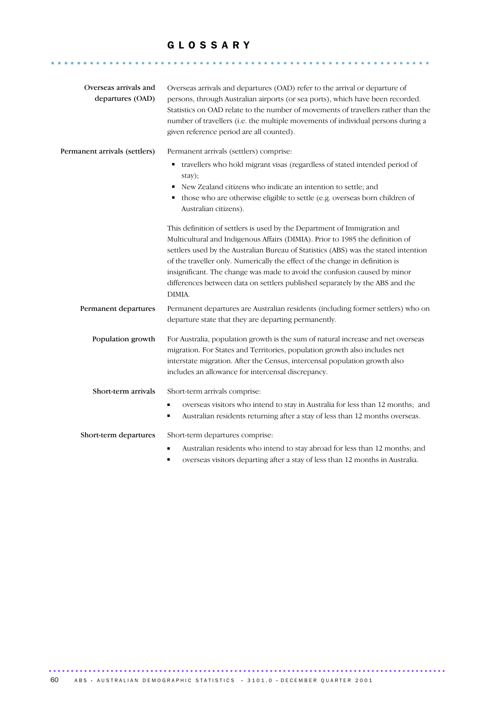........................................................... ......

| Overseas arrivals and         | Overseas arrivals and departures (OAD) refer to the arrival or departure of                                                                                                                                                                                                                         |
|-------------------------------|-----------------------------------------------------------------------------------------------------------------------------------------------------------------------------------------------------------------------------------------------------------------------------------------------------|
| departures (OAD)              | persons, through Australian airports (or sea ports), which have been recorded.<br>Statistics on OAD relate to the number of movements of travellers rather than the<br>number of travellers (i.e. the multiple movements of individual persons during a<br>given reference period are all counted). |
| Permanent arrivals (settlers) | Permanent arrivals (settlers) comprise:                                                                                                                                                                                                                                                             |
|                               | travellers who hold migrant visas (regardless of stated intended period of<br>stay);                                                                                                                                                                                                                |
|                               | New Zealand citizens who indicate an intention to settle; and<br>٠                                                                                                                                                                                                                                  |
|                               | those who are otherwise eligible to settle (e.g. overseas born children of<br>Australian citizens).                                                                                                                                                                                                 |
|                               | This definition of settlers is used by the Department of Immigration and                                                                                                                                                                                                                            |
|                               | Multicultural and Indigenous Affairs (DIMIA). Prior to 1985 the definition of                                                                                                                                                                                                                       |
|                               | settlers used by the Australian Bureau of Statistics (ABS) was the stated intention                                                                                                                                                                                                                 |
|                               | of the traveller only. Numerically the effect of the change in definition is<br>insignificant. The change was made to avoid the confusion caused by minor                                                                                                                                           |
|                               | differences between data on settlers published separately by the ABS and the<br>DIMIA.                                                                                                                                                                                                              |
| Permanent departures          | Permanent departures are Australian residents (including former settlers) who on                                                                                                                                                                                                                    |
|                               | departure state that they are departing permanently.                                                                                                                                                                                                                                                |
| Population growth             | For Australia, population growth is the sum of natural increase and net overseas                                                                                                                                                                                                                    |
|                               | migration. For States and Territories, population growth also includes net                                                                                                                                                                                                                          |
|                               | interstate migration. After the Census, intercensal population growth also                                                                                                                                                                                                                          |
|                               | includes an allowance for intercensal discrepancy.                                                                                                                                                                                                                                                  |
| Short-term arrivals           | Short-term arrivals comprise:                                                                                                                                                                                                                                                                       |
|                               | overseas visitors who intend to stay in Australia for less than 12 months; and<br>٠                                                                                                                                                                                                                 |
|                               | Australian residents returning after a stay of less than 12 months overseas.<br>٠                                                                                                                                                                                                                   |
| Short-term departures         | Short-term departures comprise:                                                                                                                                                                                                                                                                     |
|                               | Australian residents who intend to stay abroad for less than 12 months; and<br>٠                                                                                                                                                                                                                    |
|                               | $\blacksquare$<br>overseas visitors departing after a stay of less than 12 months in Australia.                                                                                                                                                                                                     |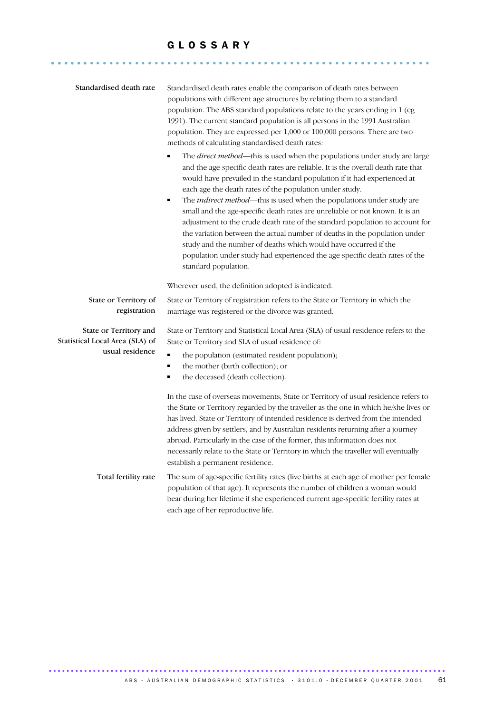........................................................... ......

| Standardised death rate                                                      | Standardised death rates enable the comparison of death rates between<br>populations with different age structures by relating them to a standard<br>population. The ABS standard populations relate to the years ending in 1 (eg<br>1991). The current standard population is all persons in the 1991 Australian<br>population. They are expressed per 1,000 or 100,000 persons. There are two<br>methods of calculating standardised death rates:<br>The direct method-this is used when the populations under study are large<br>and the age-specific death rates are reliable. It is the overall death rate that<br>would have prevailed in the standard population if it had experienced at<br>each age the death rates of the population under study.<br>The <i>indirect method</i> —this is used when the populations under study are<br>$\blacksquare$<br>small and the age-specific death rates are unreliable or not known. It is an<br>adjustment to the crude death rate of the standard population to account for<br>the variation between the actual number of deaths in the population under<br>study and the number of deaths which would have occurred if the<br>population under study had experienced the age-specific death rates of the<br>standard population. |
|------------------------------------------------------------------------------|--------------------------------------------------------------------------------------------------------------------------------------------------------------------------------------------------------------------------------------------------------------------------------------------------------------------------------------------------------------------------------------------------------------------------------------------------------------------------------------------------------------------------------------------------------------------------------------------------------------------------------------------------------------------------------------------------------------------------------------------------------------------------------------------------------------------------------------------------------------------------------------------------------------------------------------------------------------------------------------------------------------------------------------------------------------------------------------------------------------------------------------------------------------------------------------------------------------------------------------------------------------------------------------|
|                                                                              | Wherever used, the definition adopted is indicated.                                                                                                                                                                                                                                                                                                                                                                                                                                                                                                                                                                                                                                                                                                                                                                                                                                                                                                                                                                                                                                                                                                                                                                                                                                  |
| State or Territory of<br>registration                                        | State or Territory of registration refers to the State or Territory in which the<br>marriage was registered or the divorce was granted.                                                                                                                                                                                                                                                                                                                                                                                                                                                                                                                                                                                                                                                                                                                                                                                                                                                                                                                                                                                                                                                                                                                                              |
| State or Territory and<br>Statistical Local Area (SLA) of<br>usual residence | State or Territory and Statistical Local Area (SLA) of usual residence refers to the<br>State or Territory and SLA of usual residence of:<br>the population (estimated resident population);<br>the mother (birth collection); or<br>$\blacksquare$<br>the deceased (death collection).<br>$\blacksquare$                                                                                                                                                                                                                                                                                                                                                                                                                                                                                                                                                                                                                                                                                                                                                                                                                                                                                                                                                                            |
|                                                                              | In the case of overseas movements, State or Territory of usual residence refers to<br>the State or Territory regarded by the traveller as the one in which he/she lives or<br>has lived. State or Territory of intended residence is derived from the intended<br>address given by settlers, and by Australian residents returning after a journey<br>abroad. Particularly in the case of the former, this information does not<br>necessarily relate to the State or Territory in which the traveller will eventually<br>establish a permanent residence.                                                                                                                                                                                                                                                                                                                                                                                                                                                                                                                                                                                                                                                                                                                           |
| Total fertility rate                                                         | The sum of age-specific fertility rates (live births at each age of mother per female<br>population of that age). It represents the number of children a woman would<br>bear during her lifetime if she experienced current age-specific fertility rates at<br>each age of her reproductive life.                                                                                                                                                                                                                                                                                                                                                                                                                                                                                                                                                                                                                                                                                                                                                                                                                                                                                                                                                                                    |